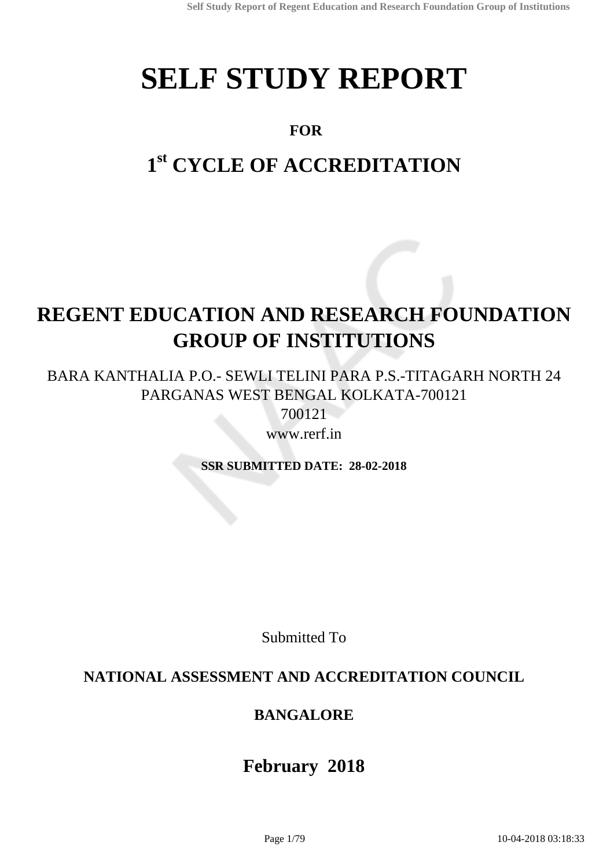# **SELF STUDY REPORT**

# **FOR**

# **1 st CYCLE OF ACCREDITATION**

# **REGENT EDUCATION AND RESEARCH FOUNDATION GROUP OF INSTITUTIONS**

BARA KANTHALIA P.O.- SEWLI TELINI PARA P.S.-TITAGARH NORTH 24 PARGANAS WEST BENGAL KOLKATA-700121

700121

www.rerf.in

**SSR SUBMITTED DATE: 28-02-2018**

Submitted To

# **NATIONAL ASSESSMENT AND ACCREDITATION COUNCIL**

# **BANGALORE**

# **February 2018**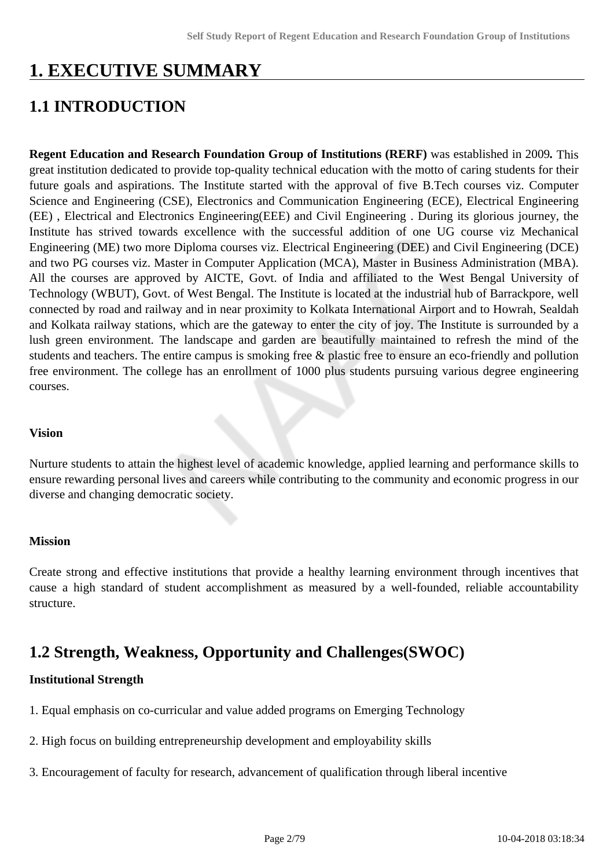# **1. EXECUTIVE SUMMARY**

# **1.1 INTRODUCTION**

**Regent Education and Research Foundation Group of Institutions (RERF)** was established in 2009*.* This great institution dedicated to provide top-quality technical education with the motto of caring students for their future goals and aspirations. The Institute started with the approval of five B.Tech courses viz. Computer Science and Engineering (CSE), Electronics and Communication Engineering (ECE), Electrical Engineering (EE) , Electrical and Electronics Engineering(EEE) and Civil Engineering . During its glorious journey, the Institute has strived towards excellence with the successful addition of one UG course viz Mechanical Engineering (ME) two more Diploma courses viz. Electrical Engineering (DEE) and Civil Engineering (DCE) and two PG courses viz. Master in Computer Application (MCA), Master in Business Administration (MBA). All the courses are approved by AICTE, Govt. of India and affiliated to the West Bengal University of Technology (WBUT), Govt. of West Bengal. The Institute is located at the industrial hub of Barrackpore, well connected by road and railway and in near proximity to Kolkata International Airport and to Howrah, Sealdah and Kolkata railway stations, which are the gateway to enter the city of joy. The Institute is surrounded by a lush green environment. The landscape and garden are beautifully maintained to refresh the mind of the students and teachers. The entire campus is smoking free & plastic free to ensure an eco-friendly and pollution free environment. The college has an enrollment of 1000 plus students pursuing various degree engineering courses.

#### **Vision**

Nurture students to attain the highest level of academic knowledge, applied learning and performance skills to ensure rewarding personal lives and careers while contributing to the community and economic progress in our diverse and changing democratic society.

#### **Mission**

Create strong and effective institutions that provide a healthy learning environment through incentives that cause a high standard of student accomplishment as measured by a well-founded, reliable accountability structure.

# **1.2 Strength, Weakness, Opportunity and Challenges(SWOC)**

#### **Institutional Strength**

- 1. Equal emphasis on co-curricular and value added programs on Emerging Technology
- 2. High focus on building entrepreneurship development and employability skills
- 3. Encouragement of faculty for research, advancement of qualification through liberal incentive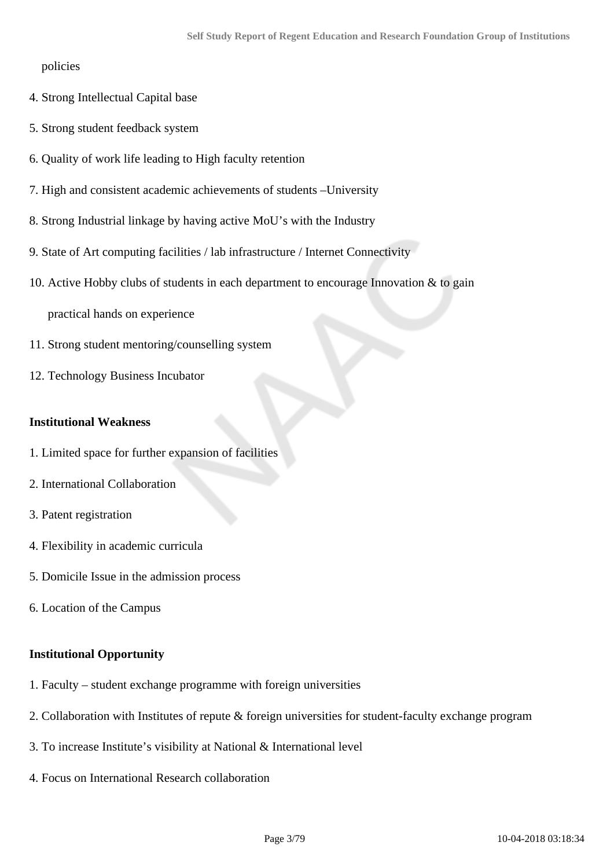#### policies

- 4. Strong Intellectual Capital base
- 5. Strong student feedback system
- 6. Quality of work life leading to High faculty retention
- 7. High and consistent academic achievements of students –University
- 8. Strong Industrial linkage by having active MoU's with the Industry
- 9. State of Art computing facilities / lab infrastructure / Internet Connectivity
- 10. Active Hobby clubs of students in each department to encourage Innovation & to gain

practical hands on experience

- 11. Strong student mentoring/counselling system
- 12. Technology Business Incubator

#### **Institutional Weakness**

- 1. Limited space for further expansion of facilities
- 2. International Collaboration
- 3. Patent registration
- 4. Flexibility in academic curricula
- 5. Domicile Issue in the admission process
- 6. Location of the Campus

#### **Institutional Opportunity**

- 1. Faculty student exchange programme with foreign universities
- 2. Collaboration with Institutes of repute & foreign universities for student-faculty exchange program
- 3. To increase Institute's visibility at National & International level
- 4. Focus on International Research collaboration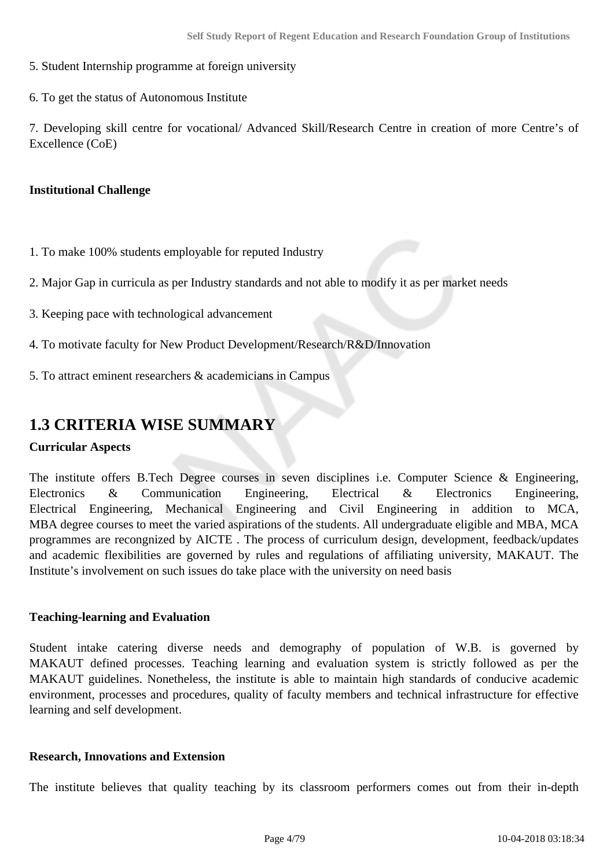- 5. Student Internship programme at foreign university
- 6. To get the status of Autonomous Institute

7. Developing skill centre for vocational/ Advanced Skill/Research Centre in creation of more Centre's of Excellence (CoE)

#### **Institutional Challenge**

1. To make 100% students employable for reputed Industry

2. Major Gap in curricula as per Industry standards and not able to modify it as per market needs

- 3. Keeping pace with technological advancement
- 4. To motivate faculty for New Product Development/Research/R&D/Innovation
- 5. To attract eminent researchers & academicians in Campus

### **1.3 CRITERIA WISE SUMMARY**

#### **Curricular Aspects**

The institute offers B.Tech Degree courses in seven disciplines i.e. Computer Science & Engineering, Electronics & Communication Engineering, Electrical & Electronics Engineering, Electrical Engineering, Mechanical Engineering and Civil Engineering in addition to MCA, MBA degree courses to meet the varied aspirations of the students. All undergraduate eligible and MBA, MCA programmes are recongnized by AICTE . The process of curriculum design, development, feedback/updates and academic flexibilities are governed by rules and regulations of affiliating university, MAKAUT. The Institute's involvement on such issues do take place with the university on need basis

#### **Teaching-learning and Evaluation**

Student intake catering diverse needs and demography of population of W.B. is governed by MAKAUT defined processes. Teaching learning and evaluation system is strictly followed as per the MAKAUT guidelines. Nonetheless, the institute is able to maintain high standards of conducive academic environment, processes and procedures, quality of faculty members and technical infrastructure for effective learning and self development.

#### **Research, Innovations and Extension**

The institute believes that quality teaching by its classroom performers comes out from their in-depth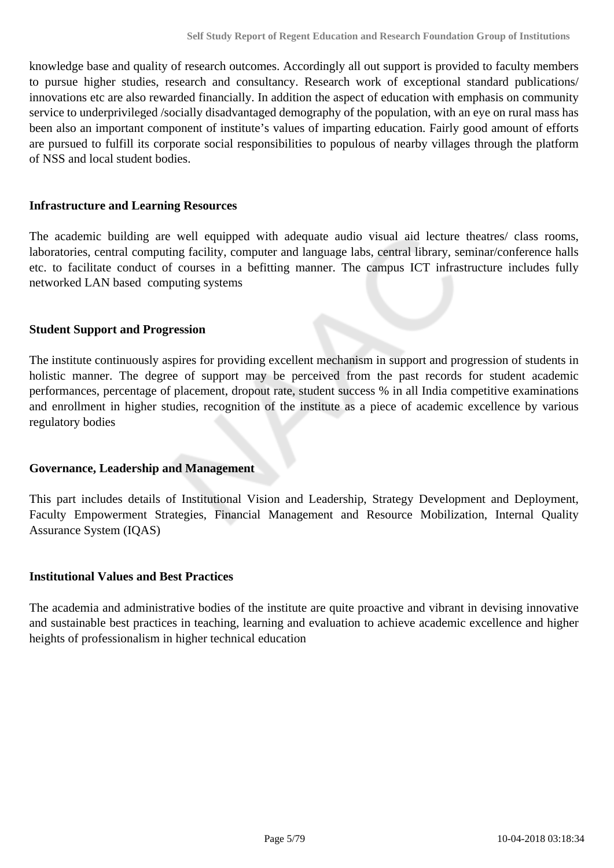knowledge base and quality of research outcomes. Accordingly all out support is provided to faculty members to pursue higher studies, research and consultancy. Research work of exceptional standard publications/ innovations etc are also rewarded financially. In addition the aspect of education with emphasis on community service to underprivileged /socially disadvantaged demography of the population, with an eye on rural mass has been also an important component of institute's values of imparting education. Fairly good amount of efforts are pursued to fulfill its corporate social responsibilities to populous of nearby villages through the platform of NSS and local student bodies.

#### **Infrastructure and Learning Resources**

The academic building are well equipped with adequate audio visual aid lecture theatres/ class rooms, laboratories, central computing facility, computer and language labs, central library, seminar/conference halls etc. to facilitate conduct of courses in a befitting manner. The campus ICT infrastructure includes fully networked LAN based computing systems

#### **Student Support and Progression**

The institute continuously aspires for providing excellent mechanism in support and progression of students in holistic manner. The degree of support may be perceived from the past records for student academic performances, percentage of placement, dropout rate, student success % in all India competitive examinations and enrollment in higher studies, recognition of the institute as a piece of academic excellence by various regulatory bodies

#### **Governance, Leadership and Management**

This part includes details of Institutional Vision and Leadership, Strategy Development and Deployment, Faculty Empowerment Strategies, Financial Management and Resource Mobilization, Internal Quality Assurance System (IQAS)

#### **Institutional Values and Best Practices**

The academia and administrative bodies of the institute are quite proactive and vibrant in devising innovative and sustainable best practices in teaching, learning and evaluation to achieve academic excellence and higher heights of professionalism in higher technical education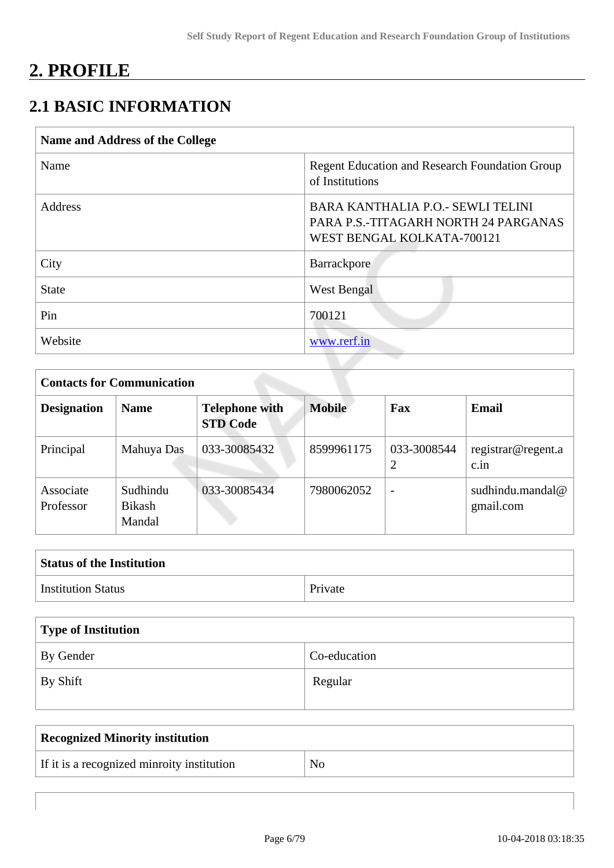# **2. PROFILE**

# **2.1 BASIC INFORMATION**

| Name and Address of the College |                                                                                                          |
|---------------------------------|----------------------------------------------------------------------------------------------------------|
| Name                            | <b>Regent Education and Research Foundation Group</b><br>of Institutions                                 |
| <b>Address</b>                  | BARA KANTHALIA P.O. - SEWLI TELINI<br>PARA P.S.-TITAGARH NORTH 24 PARGANAS<br>WEST BENGAL KOLKATA-700121 |
| City                            | Barrackpore                                                                                              |
| <b>State</b>                    | West Bengal                                                                                              |
| Pin                             | 700121                                                                                                   |
| Website                         | www.rerf.in                                                                                              |

| <b>Contacts for Communication</b> |                              |                                          |               |                          |                               |  |  |  |  |
|-----------------------------------|------------------------------|------------------------------------------|---------------|--------------------------|-------------------------------|--|--|--|--|
| <b>Designation</b>                | <b>Name</b>                  | <b>Telephone with</b><br><b>STD Code</b> | <b>Mobile</b> | Fax                      | Email                         |  |  |  |  |
| Principal                         | Mahuya Das                   | 033-30085432                             | 8599961175    | 033-3008544              | registrar@regent.a<br>c.in    |  |  |  |  |
| Associate<br>Professor            | Sudhindu<br>Bikash<br>Mandal | 033-30085434                             | 7980062052    | $\overline{\phantom{a}}$ | sudhindu.mandal@<br>gmail.com |  |  |  |  |

| <b>Status of the Institution</b> |         |
|----------------------------------|---------|
| <b>Institution Status</b>        | Private |

| Type of Institution |              |
|---------------------|--------------|
| By Gender           | Co-education |
| By Shift            | Regular      |

| Recognized Minority institution            |    |
|--------------------------------------------|----|
| If it is a recognized minroity institution | No |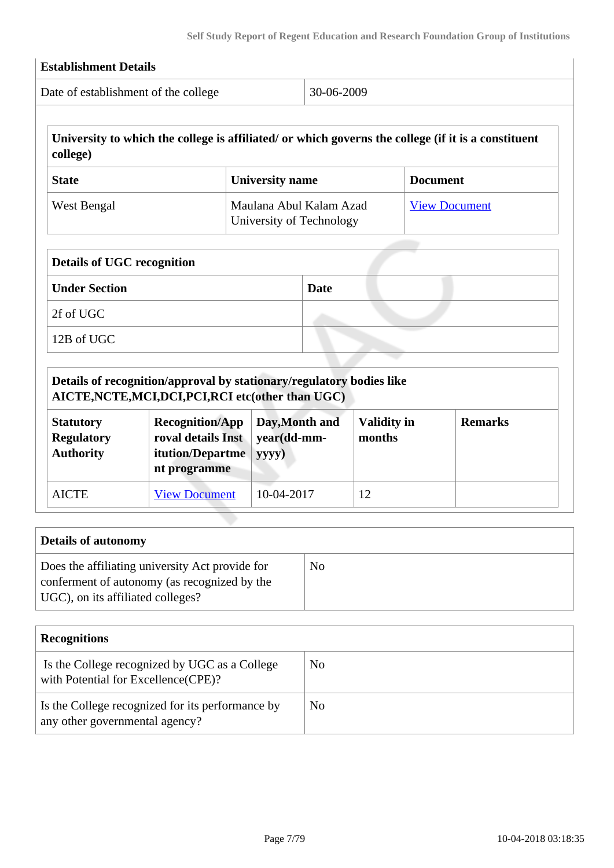| Date of establishment of the college |                                                                                                                             | 30-06-2009                                          |                    |                                                                                                     |  |  |
|--------------------------------------|-----------------------------------------------------------------------------------------------------------------------------|-----------------------------------------------------|--------------------|-----------------------------------------------------------------------------------------------------|--|--|
| college)                             |                                                                                                                             |                                                     |                    | University to which the college is affiliated/ or which governs the college (if it is a constituent |  |  |
| <b>State</b>                         |                                                                                                                             | <b>University name</b>                              |                    | <b>Document</b>                                                                                     |  |  |
| West Bengal                          |                                                                                                                             | Maulana Abul Kalam Azad<br>University of Technology |                    | <b>View Document</b>                                                                                |  |  |
| <b>Details of UGC recognition</b>    |                                                                                                                             |                                                     |                    |                                                                                                     |  |  |
| <b>Under Section</b>                 |                                                                                                                             | Date                                                |                    |                                                                                                     |  |  |
| 2f of UGC                            |                                                                                                                             |                                                     |                    |                                                                                                     |  |  |
| 12B of UGC                           |                                                                                                                             |                                                     |                    |                                                                                                     |  |  |
|                                      |                                                                                                                             |                                                     |                    |                                                                                                     |  |  |
|                                      | Details of recognition/approval by stationary/regulatory bodies like<br>AICTE, NCTE, MCI, DCI, PCI, RCI etc(other than UGC) |                                                     |                    |                                                                                                     |  |  |
| <b>Statutory</b>                     | <b>Recognition/App</b>                                                                                                      | Day, Month and                                      | <b>Validity in</b> | <b>Remarks</b>                                                                                      |  |  |

| <b>Statutory</b><br><b>Regulatory</b><br><b>Authority</b> | <b>Recognition/App</b><br>roval details Inst<br><b>itution/Departme</b><br>nt programme | Day, Month and<br>vear(dd-mm-<br>yyyy) | <b>Validity in</b><br>months | <b>Remarks</b> |
|-----------------------------------------------------------|-----------------------------------------------------------------------------------------|----------------------------------------|------------------------------|----------------|
| <b>AICTE</b>                                              | <b>View Document</b>                                                                    | 10-04-2017                             | 12                           |                |

| <b>Details of autonomy</b>                                                                                                           |    |
|--------------------------------------------------------------------------------------------------------------------------------------|----|
| Does the affiliating university Act provide for<br>conferment of autonomy (as recognized by the<br>UGC), on its affiliated colleges? | No |

| <b>Recognitions</b>                                                                  |    |
|--------------------------------------------------------------------------------------|----|
| Is the College recognized by UGC as a College<br>with Potential for Excellence(CPE)? | No |
| Is the College recognized for its performance by<br>any other governmental agency?   | No |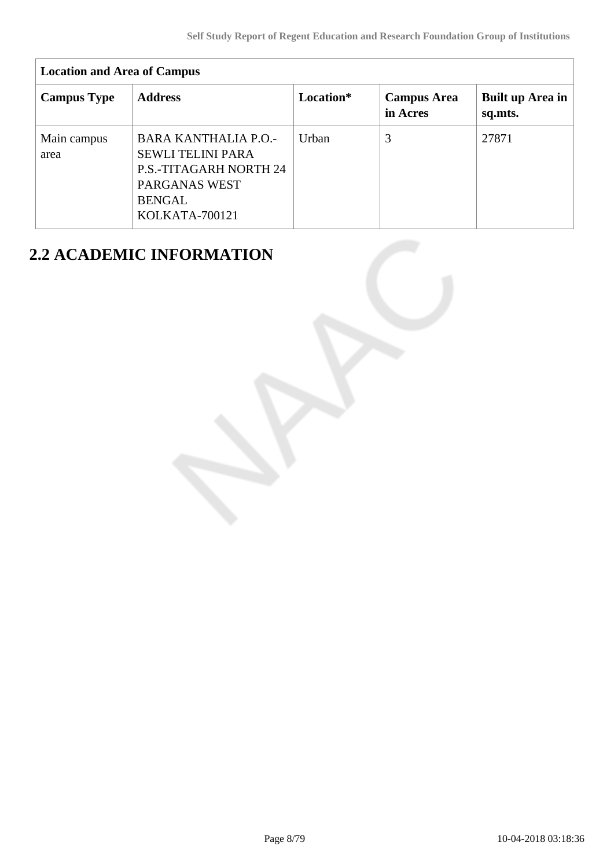| <b>Location and Area of Campus</b> |                                                                                                                                              |           |                                |                             |  |  |  |  |  |
|------------------------------------|----------------------------------------------------------------------------------------------------------------------------------------------|-----------|--------------------------------|-----------------------------|--|--|--|--|--|
| <b>Campus Type</b>                 | <b>Address</b>                                                                                                                               | Location* | <b>Campus Area</b><br>in Acres | Built up Area in<br>sq.mts. |  |  |  |  |  |
| Main campus<br>area                | <b>BARA KANTHALIA P.O.-</b><br><b>SEWLI TELINI PARA</b><br><b>P.S.-TITAGARH NORTH 24</b><br>PARGANAS WEST<br><b>BENGAL</b><br>KOLKATA-700121 | Urban     | 3                              | 27871                       |  |  |  |  |  |

# **2.2 ACADEMIC INFORMATION**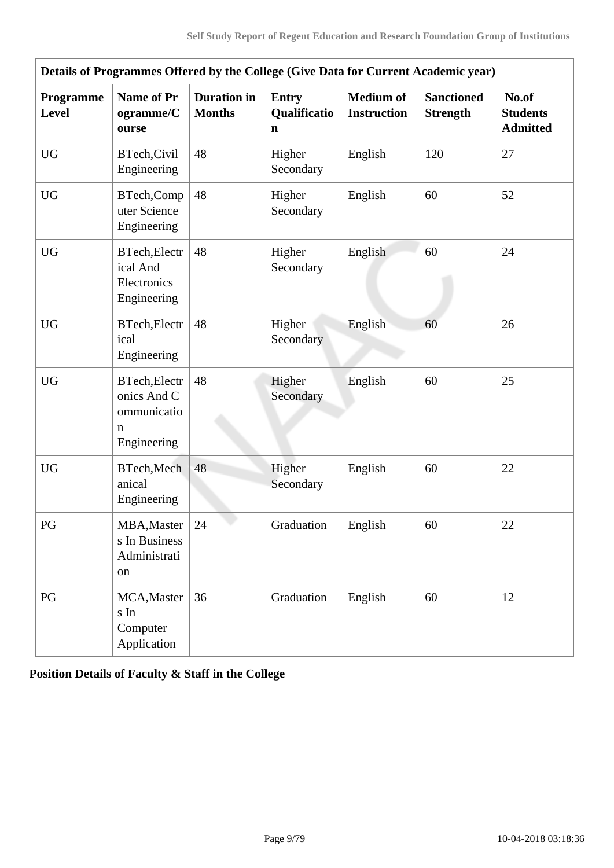| Details of Programmes Offered by the College (Give Data for Current Academic year) |                                                                        |                                     |                                             |                                        |                                      |                                             |  |  |  |
|------------------------------------------------------------------------------------|------------------------------------------------------------------------|-------------------------------------|---------------------------------------------|----------------------------------------|--------------------------------------|---------------------------------------------|--|--|--|
| Programme<br><b>Level</b>                                                          | <b>Name of Pr</b><br>ogramme/C<br>ourse                                | <b>Duration</b> in<br><b>Months</b> | <b>Entry</b><br>Qualificatio<br>$\mathbf n$ | <b>Medium</b> of<br><b>Instruction</b> | <b>Sanctioned</b><br><b>Strength</b> | No.of<br><b>Students</b><br><b>Admitted</b> |  |  |  |
| <b>UG</b>                                                                          | BTech, Civil<br>Engineering                                            | 48                                  | Higher<br>Secondary                         | English                                | 120                                  | 27                                          |  |  |  |
| <b>UG</b>                                                                          | BTech,Comp<br>uter Science<br>Engineering                              | 48                                  | Higher<br>Secondary                         | English                                | 60                                   | 52                                          |  |  |  |
| <b>UG</b>                                                                          | BTech, Electr<br>ical And<br>Electronics<br>Engineering                | 48                                  | Higher<br>Secondary                         | English                                | 60                                   | 24                                          |  |  |  |
| <b>UG</b>                                                                          | BTech, Electr<br>ical<br>Engineering                                   | 48                                  | Higher<br>Secondary                         | English                                | 60                                   | 26                                          |  |  |  |
| <b>UG</b>                                                                          | <b>BTech, Electr</b><br>onics And C<br>ommunicatio<br>n<br>Engineering | 48                                  | Higher<br>Secondary                         | English                                | 60                                   | 25                                          |  |  |  |
| <b>UG</b>                                                                          | BTech, Mech<br>anical<br>Engineering                                   | 48                                  | Higher<br>Secondary                         | English                                | 60                                   | 22                                          |  |  |  |
| PG                                                                                 | MBA, Master<br>s In Business<br>Administrati<br>on                     | 24                                  | Graduation                                  | English                                | 60                                   | 22                                          |  |  |  |
| PG                                                                                 | MCA, Master<br>s In<br>Computer<br>Application                         | 36                                  | Graduation                                  | English                                | 60                                   | 12                                          |  |  |  |

**Position Details of Faculty & Staff in the College**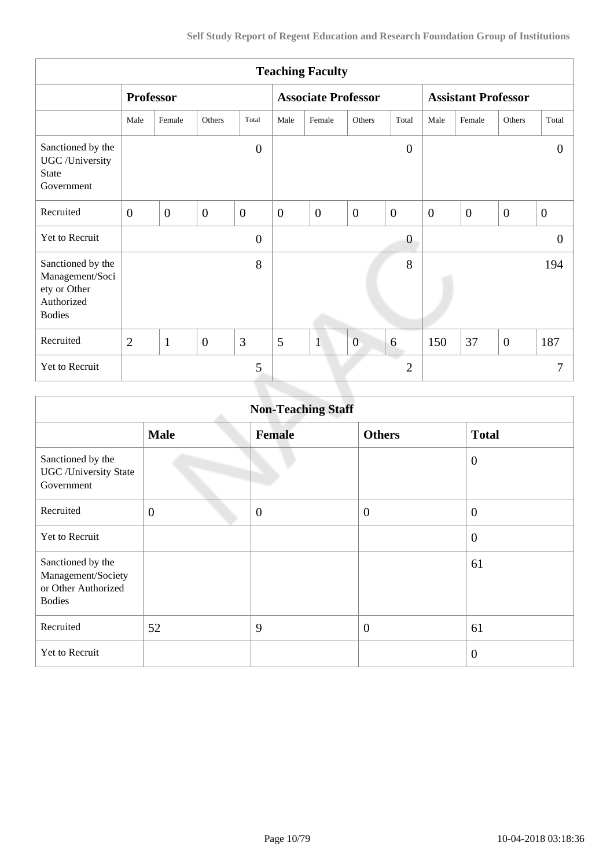| <b>Teaching Faculty</b>                                                             |                  |                |                |                |                  |                            |                |                  |                            |                  |                |                  |
|-------------------------------------------------------------------------------------|------------------|----------------|----------------|----------------|------------------|----------------------------|----------------|------------------|----------------------------|------------------|----------------|------------------|
|                                                                                     | <b>Professor</b> |                |                |                |                  | <b>Associate Professor</b> |                |                  | <b>Assistant Professor</b> |                  |                |                  |
|                                                                                     | Male             | Female         | Others         | Total          | Male             | Female                     | Others         | Total            | Male                       | Female           | Others         | Total            |
| Sanctioned by the<br>UGC /University<br><b>State</b><br>Government                  |                  |                |                | $\overline{0}$ |                  |                            |                | $\boldsymbol{0}$ |                            |                  |                | $\theta$         |
| Recruited                                                                           | $\overline{0}$   | $\overline{0}$ | $\overline{0}$ | $\overline{0}$ | $\boldsymbol{0}$ | $\mathbf{0}$               | $\overline{0}$ | $\overline{0}$   | $\boldsymbol{0}$           | $\boldsymbol{0}$ | $\overline{0}$ | $\boldsymbol{0}$ |
| Yet to Recruit                                                                      |                  |                |                | $\overline{0}$ |                  |                            |                | $\overline{0}$   |                            |                  |                | $\theta$         |
| Sanctioned by the<br>Management/Soci<br>ety or Other<br>Authorized<br><b>Bodies</b> |                  |                |                | 8              |                  |                            |                | 8                |                            |                  |                | 194              |
| Recruited                                                                           | $\overline{2}$   | $\mathbf{1}$   | $\overline{0}$ | 3              | 5                | $\mathbf{1}$               | $\overline{0}$ | 6                | 150                        | 37               | $\overline{0}$ | 187              |
| Yet to Recruit                                                                      |                  |                |                | 5              |                  |                            |                | $\overline{2}$   |                            |                  |                | 7                |
|                                                                                     |                  |                |                |                |                  |                            |                |                  |                            |                  |                |                  |

| <b>Non-Teaching Staff</b>                                                       |                |               |                  |                  |  |  |  |
|---------------------------------------------------------------------------------|----------------|---------------|------------------|------------------|--|--|--|
|                                                                                 | <b>Male</b>    | <b>Female</b> | <b>Others</b>    | <b>Total</b>     |  |  |  |
| Sanctioned by the<br><b>UGC</b> / University State<br>Government                |                |               |                  | $\overline{0}$   |  |  |  |
| Recruited                                                                       | $\overline{0}$ | $\mathbf{0}$  | $\boldsymbol{0}$ | $\mathbf{0}$     |  |  |  |
| <b>Yet to Recruit</b>                                                           |                |               |                  | $\boldsymbol{0}$ |  |  |  |
| Sanctioned by the<br>Management/Society<br>or Other Authorized<br><b>Bodies</b> |                |               |                  | 61               |  |  |  |
| Recruited                                                                       | 52             | 9             | $\overline{0}$   | 61               |  |  |  |
| Yet to Recruit                                                                  |                |               |                  | $\overline{0}$   |  |  |  |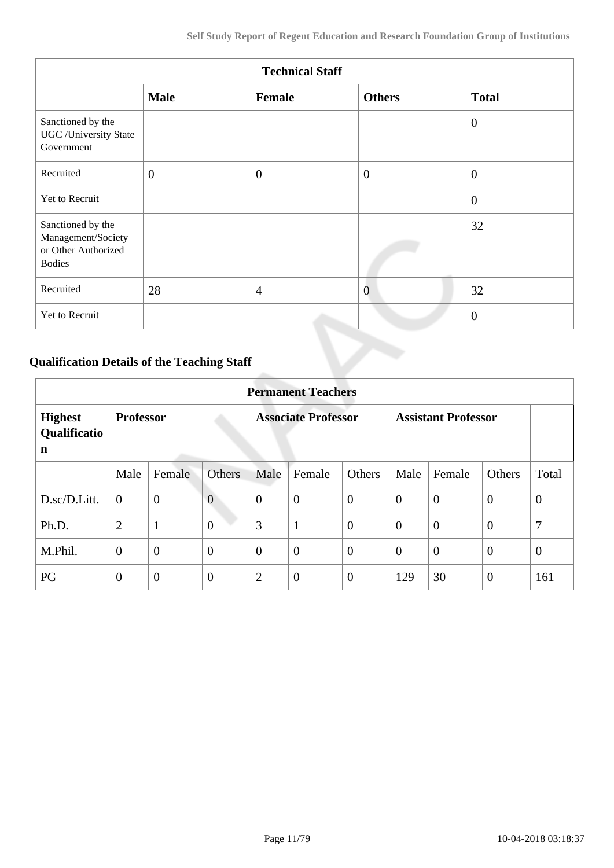| <b>Technical Staff</b>                                                          |                |                |                |                |  |  |
|---------------------------------------------------------------------------------|----------------|----------------|----------------|----------------|--|--|
|                                                                                 | <b>Male</b>    | Female         | <b>Others</b>  | <b>Total</b>   |  |  |
| Sanctioned by the<br><b>UGC</b> / University State<br>Government                |                |                |                | $\overline{0}$ |  |  |
| Recruited                                                                       | $\overline{0}$ | $\overline{0}$ | $\overline{0}$ | $\overline{0}$ |  |  |
| Yet to Recruit                                                                  |                |                |                | $\overline{0}$ |  |  |
| Sanctioned by the<br>Management/Society<br>or Other Authorized<br><b>Bodies</b> |                |                |                | 32             |  |  |
| Recruited                                                                       | 28             | $\overline{4}$ | $\overline{0}$ | 32             |  |  |
| Yet to Recruit                                                                  |                |                |                | $\theta$       |  |  |

# **Qualification Details of the Teaching Staff**

|                                     | <b>Permanent Teachers</b> |                |                            |                |                            |                |                |                |                |                |
|-------------------------------------|---------------------------|----------------|----------------------------|----------------|----------------------------|----------------|----------------|----------------|----------------|----------------|
| <b>Highest</b><br>Qualificatio<br>n | <b>Professor</b>          |                | <b>Associate Professor</b> |                | <b>Assistant Professor</b> |                |                |                |                |                |
|                                     | Male                      | Female         | <b>Others</b>              | Male           | Female                     | Others         | Male           | Female         | Others         | Total          |
| D.sc/D.Litt.                        | $\overline{0}$            | $\mathbf{0}$   | $\overline{0}$             | $\theta$       | $\overline{0}$             | $\mathbf{0}$   | $\overline{0}$ | $\theta$       | $\overline{0}$ | $\overline{0}$ |
| Ph.D.                               | $\overline{2}$            | $\mathbf{1}$   | $\overline{0}$             | 3              | $\mathbf{1}$               | $\overline{0}$ | $\overline{0}$ | $\overline{0}$ | $\overline{0}$ | 7              |
| M.Phil.                             | $\overline{0}$            | $\overline{0}$ | $\overline{0}$             | $\theta$       | $\overline{0}$             | $\overline{0}$ | $\overline{0}$ | $\overline{0}$ | $\overline{0}$ | $\theta$       |
| PG                                  | $\theta$                  | $\theta$       | $\overline{0}$             | $\overline{2}$ | $\overline{0}$             | $\overline{0}$ | 129            | 30             | $\theta$       | 161            |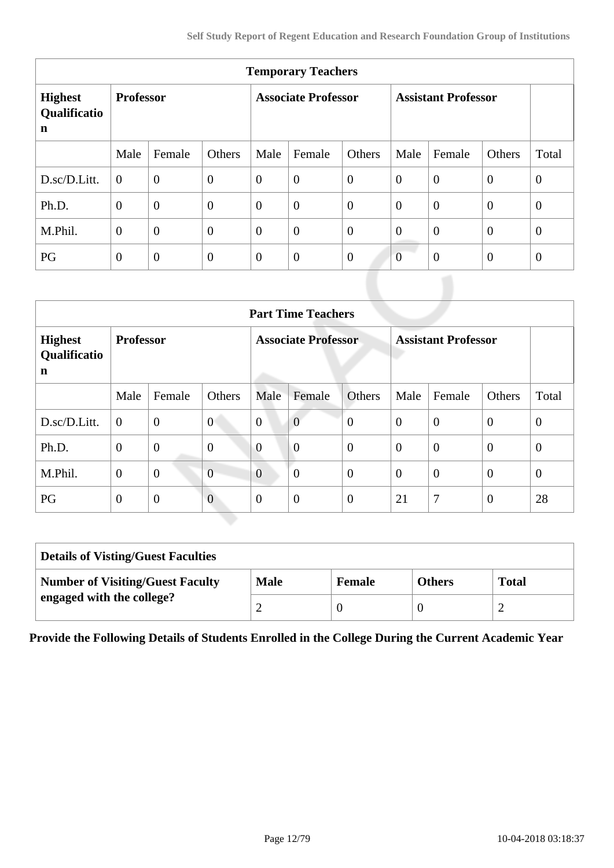| <b>Temporary Teachers</b>           |                  |                  |                            |                |                            |                |                |                |                |                |
|-------------------------------------|------------------|------------------|----------------------------|----------------|----------------------------|----------------|----------------|----------------|----------------|----------------|
| <b>Highest</b><br>Qualificatio<br>n | <b>Professor</b> |                  | <b>Associate Professor</b> |                | <b>Assistant Professor</b> |                |                |                |                |                |
|                                     | Male             | Female           | Others                     | Male           | Female                     | Others         | Male           | Female         | Others         | Total          |
| D.sc/D.Litt.                        | $\theta$         | $\overline{0}$   | $\boldsymbol{0}$           | $\overline{0}$ | $\overline{0}$             | $\overline{0}$ | $\overline{0}$ | $\overline{0}$ | $\overline{0}$ | $\overline{0}$ |
| Ph.D.                               | $\overline{0}$   | $\boldsymbol{0}$ | $\boldsymbol{0}$           | $\overline{0}$ | $\overline{0}$             | $\overline{0}$ | $\overline{0}$ | $\overline{0}$ | $\theta$       | $\overline{0}$ |
| M.Phil.                             | $\overline{0}$   | $\overline{0}$   | $\overline{0}$             | $\overline{0}$ | $\overline{0}$             | $\overline{0}$ | $\overline{0}$ | $\overline{0}$ | $\theta$       | $\overline{0}$ |
| PG                                  | $\overline{0}$   | $\boldsymbol{0}$ | $\mathbf{0}$               | $\overline{0}$ | $\overline{0}$             | $\overline{0}$ | $\overline{0}$ | $\overline{0}$ | $\overline{0}$ | $\theta$       |

|                                     | <b>Part Time Teachers</b> |                |                |                            |                  |                            |          |                |                  |                |
|-------------------------------------|---------------------------|----------------|----------------|----------------------------|------------------|----------------------------|----------|----------------|------------------|----------------|
| <b>Highest</b><br>Qualificatio<br>n | <b>Professor</b>          |                |                | <b>Associate Professor</b> |                  | <b>Assistant Professor</b> |          |                |                  |                |
|                                     | Male                      | Female         | Others         | Male                       | Female           | <b>Others</b>              | Male     | Female         | Others           | Total          |
| D.sc/D.Litt.                        | $\boldsymbol{0}$          | $\mathbf{0}$   | $\overline{0}$ | $\overline{0}$             | $\overline{0}$   | $\overline{0}$             | $\theta$ | $\overline{0}$ | $\boldsymbol{0}$ | $\overline{0}$ |
| Ph.D.                               | $\theta$                  | $\overline{0}$ | $\overline{0}$ | $\overline{0}$             | $\overline{0}$   | $\overline{0}$             | $\Omega$ | $\theta$       | $\overline{0}$   | $\theta$       |
| M.Phil.                             | $\theta$                  | $\mathbf{0}$   | $\overline{0}$ | $\overline{0}$             | $\boldsymbol{0}$ | $\overline{0}$             | $\theta$ | $\overline{0}$ | $\overline{0}$   | $\overline{0}$ |
| PG                                  | $\overline{0}$            | $\overline{0}$ | $\overline{0}$ | $\theta$                   | $\overline{0}$   | $\boldsymbol{0}$           | 21       | 7              | $\overline{0}$   | 28             |

| <b>Details of Visting/Guest Faculties</b> |             |               |               |              |  |  |
|-------------------------------------------|-------------|---------------|---------------|--------------|--|--|
| <b>Number of Visiting/Guest Faculty</b>   | <b>Male</b> | <b>Female</b> | <b>Others</b> | <b>Total</b> |  |  |
| engaged with the college?                 |             |               |               |              |  |  |

**Provide the Following Details of Students Enrolled in the College During the Current Academic Year**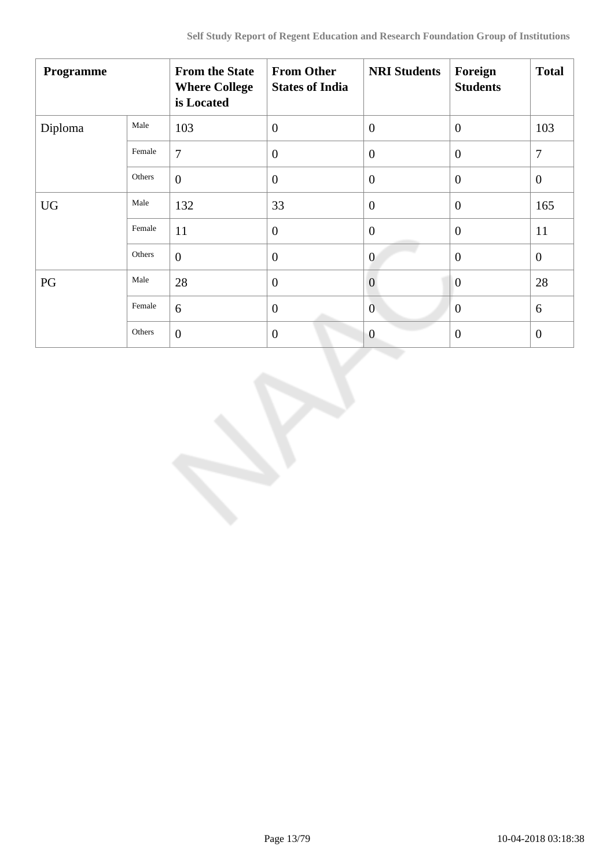| Programme |        | <b>From the State</b><br><b>Where College</b><br>is Located | <b>From Other</b><br><b>States of India</b> | <b>NRI Students</b> | Foreign<br><b>Students</b> | <b>Total</b>     |
|-----------|--------|-------------------------------------------------------------|---------------------------------------------|---------------------|----------------------------|------------------|
| Diploma   | Male   | 103                                                         | $\overline{0}$                              | $\overline{0}$      | $\theta$                   | 103              |
|           | Female | $\overline{7}$                                              | $\overline{0}$                              | $\overline{0}$      | $\overline{0}$             | $\boldsymbol{7}$ |
|           | Others | $\overline{0}$                                              | $\boldsymbol{0}$                            | $\overline{0}$      | $\overline{0}$             | $\mathbf{0}$     |
| <b>UG</b> | Male   | 132                                                         | 33                                          | $\overline{0}$      | $\overline{0}$             | 165              |
|           | Female | 11                                                          | $\overline{0}$                              | $\overline{0}$      | $\theta$                   | 11               |
|           | Others | $\overline{0}$                                              | $\overline{0}$                              | $\overline{0}$      | $\overline{0}$             | $\overline{0}$   |
| PG        | Male   | 28                                                          | $\boldsymbol{0}$                            | $\overline{0}$      | $\overline{0}$             | 28               |
|           | Female | 6                                                           | $\overline{0}$                              | $\mathbf{0}$        | $\theta$                   | 6                |
|           | Others | $\overline{0}$                                              | $\theta$                                    | $\overline{0}$      | $\boldsymbol{0}$           | $\overline{0}$   |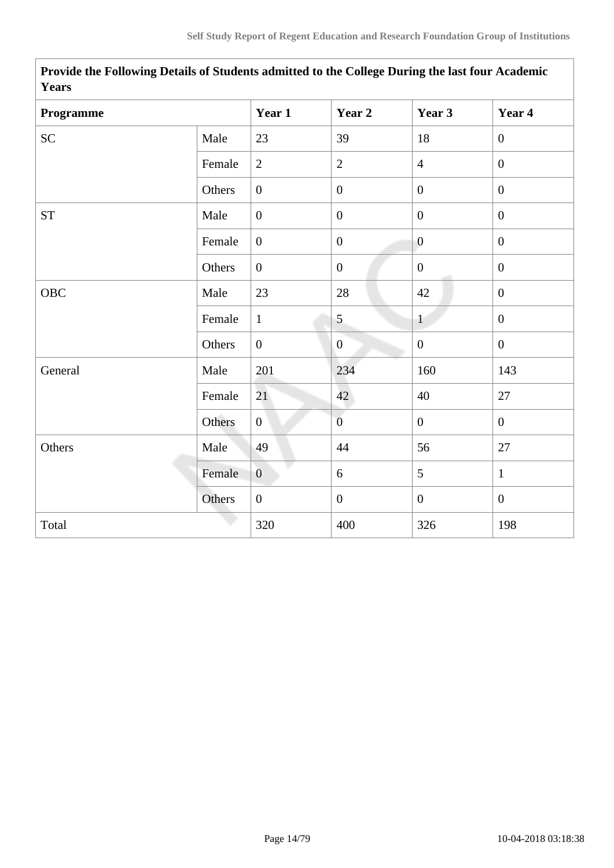| 1 yal 5            |        |                  |                  |                  |                  |
|--------------------|--------|------------------|------------------|------------------|------------------|
| Programme          |        | Year 1           | Year 2           | Year 3           | Year 4           |
| ${\rm SC}$         | Male   | 23               | 39               | 18               | $\boldsymbol{0}$ |
|                    | Female | $\overline{2}$   | $\overline{2}$   | $\overline{4}$   | $\boldsymbol{0}$ |
|                    | Others | $\overline{0}$   | $\boldsymbol{0}$ | $\overline{0}$   | $\overline{0}$   |
| ${\cal S}{\cal T}$ | Male   | $\boldsymbol{0}$ | $\boldsymbol{0}$ | $\boldsymbol{0}$ | $\boldsymbol{0}$ |
|                    | Female | $\overline{0}$   | $\boldsymbol{0}$ | $\overline{0}$   | $\overline{0}$   |
|                    | Others | $\overline{0}$   | $\boldsymbol{0}$ | $\mathbf{0}$     | $\boldsymbol{0}$ |
| OBC                | Male   | 23               | $28\,$           | 42               | $\boldsymbol{0}$ |
|                    | Female | $\mathbf{1}$     | 5                | $\mathbf{1}$     | $\boldsymbol{0}$ |
|                    | Others | $\boldsymbol{0}$ | $\overline{0}$   | $\boldsymbol{0}$ | $\boldsymbol{0}$ |
| General            | Male   | 201              | 234              | 160              | 143              |
|                    | Female | 21               | 42               | 40               | $27\,$           |
|                    | Others | $\overline{0}$   | $\overline{0}$   | $\mathbf{0}$     | $\boldsymbol{0}$ |
| Others             | Male   | 49               | 44               | 56               | 27               |
|                    | Female | $\overline{0}$   | 6                | 5                | $\mathbf{1}$     |
|                    | Others | $\overline{0}$   | $\overline{0}$   | $\mathbf{0}$     | $\overline{0}$   |
| Total              |        | 320              | 400              | 326              | 198              |

**Provide the Following Details of Students admitted to the College During the last four Academic Years**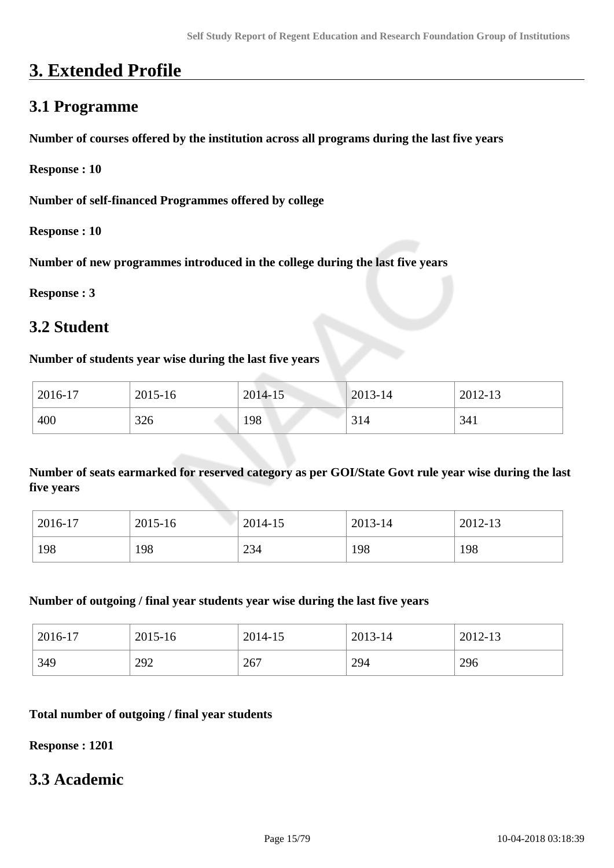# **3. Extended Profile**

# **3.1 Programme**

**Number of courses offered by the institution across all programs during the last five years**

**Response : 10**

**Number of self-financed Programmes offered by college**

**Response : 10**

**Number of new programmes introduced in the college during the last five years**

**Response : 3**

### **3.2 Student**

#### **Number of students year wise during the last five years**

| 2016-17 | 2015-16 | 2014-15 | 2013-14 | 2012-13 |
|---------|---------|---------|---------|---------|
| 400     | 326     | 198     | 314     | 341     |

**Number of seats earmarked for reserved category as per GOI/State Govt rule year wise during the last five years**

| 2016-17 | 2015-16 | 2014-15 | 2013-14 | 2012-13 |
|---------|---------|---------|---------|---------|
| 198     | 198     | 234     | 198     | 198     |

#### **Number of outgoing / final year students year wise during the last five years**

| 2016-17 | 2015-16 | 2014-15 | 2013-14 | 2012-13 |
|---------|---------|---------|---------|---------|
| 349     | 292     | 267     | 294     | 296     |

#### **Total number of outgoing / final year students**

**Response : 1201**

### **3.3 Academic**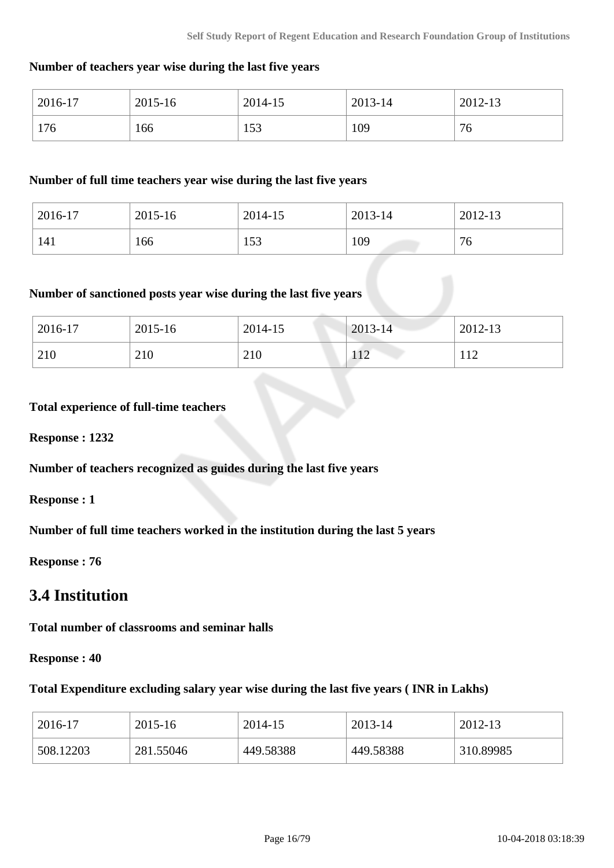#### **Number of teachers year wise during the last five years**

| 2016-17 | 2015-16 | 2014-15   | 2013-14 | 2012-13 |
|---------|---------|-----------|---------|---------|
| 176     | 166     | 52<br>199 | 109     | 76      |

#### **Number of full time teachers year wise during the last five years**

| 2016-17 | 2015-16 | 2014-15 | 2013-14 | 2012-13 |
|---------|---------|---------|---------|---------|
| 141     | 166     | 153     | 109     | 76      |

## **Number of sanctioned posts year wise during the last five years**

| 2016-17 | 2015-16 | 2014-15 | $2013 - 14$ | 2012-13 |
|---------|---------|---------|-------------|---------|
| 210     | 210     | 210     | 112         | 1 1 O   |

#### **Total experience of full-time teachers**

**Response : 1232**

**Number of teachers recognized as guides during the last five years**

**Response : 1**

**Number of full time teachers worked in the institution during the last 5 years**

**Response : 76**

# **3.4 Institution**

**Total number of classrooms and seminar halls**

**Response : 40**

#### **Total Expenditure excluding salary year wise during the last five years ( INR in Lakhs)**

| 2016-17   | 2015-16   | 2014-15   | 2013-14   | 2012-13   |
|-----------|-----------|-----------|-----------|-----------|
| 508.12203 | 281.55046 | 449.58388 | 449.58388 | 310.89985 |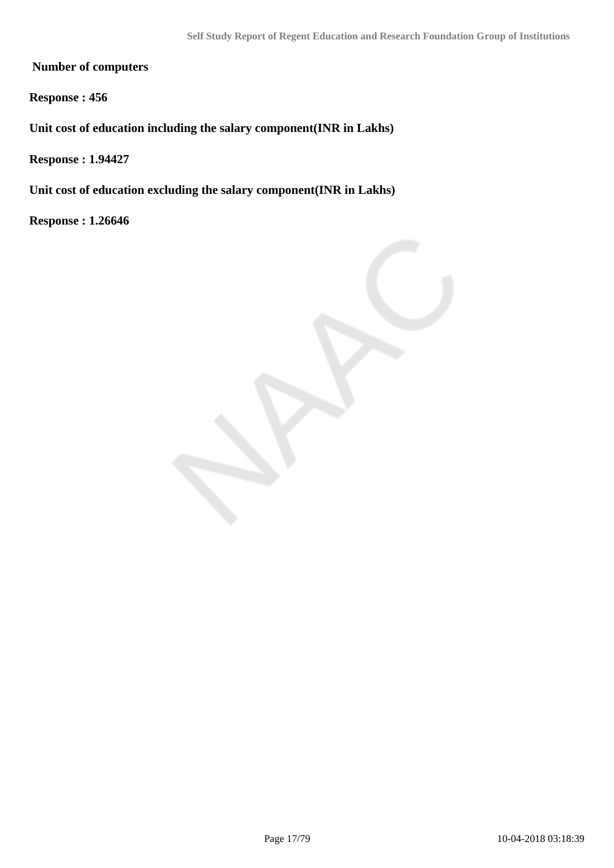**Number of computers**

**Response : 456**

**Unit cost of education including the salary component(INR in Lakhs)**

**Response : 1.94427**

**Unit cost of education excluding the salary component(INR in Lakhs)**

**Response : 1.26646**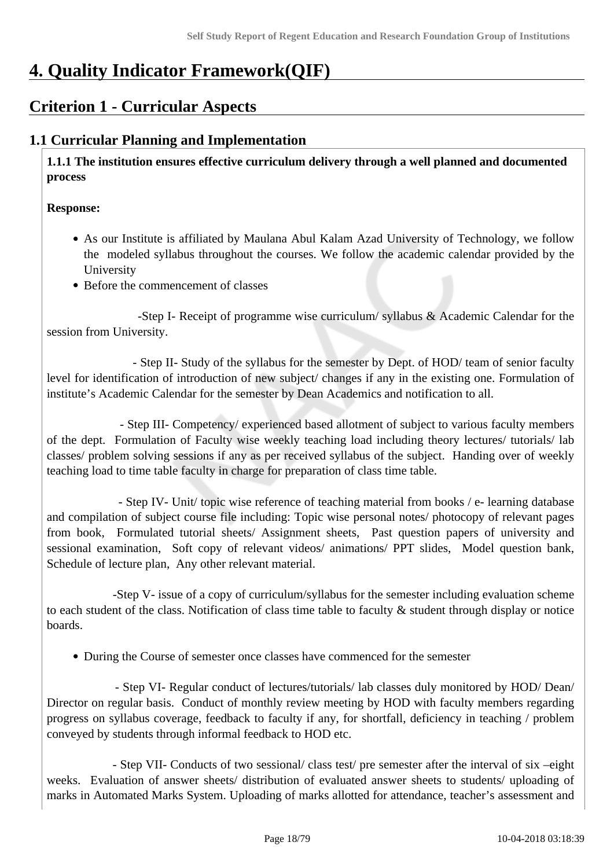# **4. Quality Indicator Framework(QIF)**

# **Criterion 1 - Curricular Aspects**

## **1.1 Curricular Planning and Implementation**

 **1.1.1 The institution ensures effective curriculum delivery through a well planned and documented process** 

#### **Response:**

- As our Institute is affiliated by Maulana Abul Kalam Azad University of Technology, we follow the modeled syllabus throughout the courses. We follow the academic calendar provided by the University
- Before the commencement of classes

 -Step I- Receipt of programme wise curriculum/ syllabus & Academic Calendar for the session from University.

 - Step II- Study of the syllabus for the semester by Dept. of HOD/ team of senior faculty level for identification of introduction of new subject/ changes if any in the existing one. Formulation of institute's Academic Calendar for the semester by Dean Academics and notification to all.

 - Step III- Competency/ experienced based allotment of subject to various faculty members of the dept. Formulation of Faculty wise weekly teaching load including theory lectures/ tutorials/ lab classes/ problem solving sessions if any as per received syllabus of the subject. Handing over of weekly teaching load to time table faculty in charge for preparation of class time table.

 - Step IV- Unit/ topic wise reference of teaching material from books / e- learning database and compilation of subject course file including: Topic wise personal notes/ photocopy of relevant pages from book, Formulated tutorial sheets/ Assignment sheets, Past question papers of university and sessional examination, Soft copy of relevant videos/ animations/ PPT slides, Model question bank, Schedule of lecture plan, Any other relevant material.

 -Step V- issue of a copy of curriculum/syllabus for the semester including evaluation scheme to each student of the class. Notification of class time table to faculty  $\&$  student through display or notice boards.

During the Course of semester once classes have commenced for the semester

 - Step VI- Regular conduct of lectures/tutorials/ lab classes duly monitored by HOD/ Dean/ Director on regular basis. Conduct of monthly review meeting by HOD with faculty members regarding progress on syllabus coverage, feedback to faculty if any, for shortfall, deficiency in teaching / problem conveyed by students through informal feedback to HOD etc.

 - Step VII- Conducts of two sessional/ class test/ pre semester after the interval of six –eight weeks. Evaluation of answer sheets/ distribution of evaluated answer sheets to students/ uploading of marks in Automated Marks System. Uploading of marks allotted for attendance, teacher's assessment and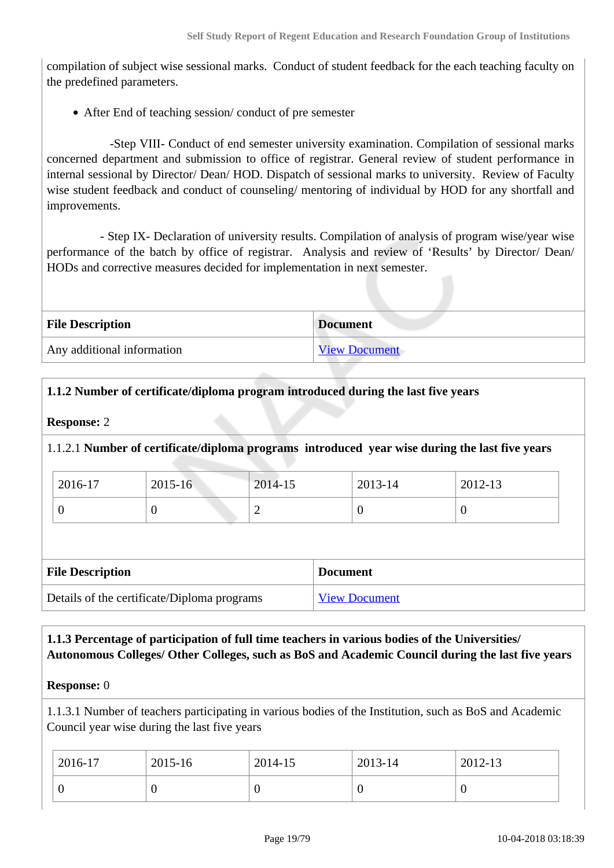compilation of subject wise sessional marks. Conduct of student feedback for the each teaching faculty on the predefined parameters.

After End of teaching session/ conduct of pre semester

 -Step VIII- Conduct of end semester university examination. Compilation of sessional marks concerned department and submission to office of registrar. General review of student performance in internal sessional by Director/ Dean/ HOD. Dispatch of sessional marks to university. Review of Faculty wise student feedback and conduct of counseling/ mentoring of individual by HOD for any shortfall and improvements.

 - Step IX- Declaration of university results. Compilation of analysis of program wise/year wise performance of the batch by office of registrar. Analysis and review of 'Results' by Director/ Dean/ HODs and corrective measures decided for implementation in next semester.

| <b>File Description</b>    | <b>Document</b>      |
|----------------------------|----------------------|
| Any additional information | <b>View Document</b> |

#### **1.1.2 Number of certificate/diploma program introduced during the last five years**

#### **Response:** 2

#### 1.1.2.1 **Number of certificate/diploma programs introduced year wise during the last five years**

| 2016-17 | 2015-16 | $2014 - 15$ | 2013-14 | 2012-13 |
|---------|---------|-------------|---------|---------|
|         | ν       | ∽           | ◡       | ິ       |

| <b>File Description</b>                     | <b>Document</b>      |
|---------------------------------------------|----------------------|
| Details of the certificate/Diploma programs | <b>View Document</b> |

#### **1.1.3 Percentage of participation of full time teachers in various bodies of the Universities/ Autonomous Colleges/ Other Colleges, such as BoS and Academic Council during the last five years**

#### **Response:** 0

1.1.3.1 Number of teachers participating in various bodies of the Institution, such as BoS and Academic Council year wise during the last five years

| 2016-17 | $2015 - 16$ | 2014-15 | 2013-14 | $2012 - 13$ |
|---------|-------------|---------|---------|-------------|
|         |             | U       |         | ν           |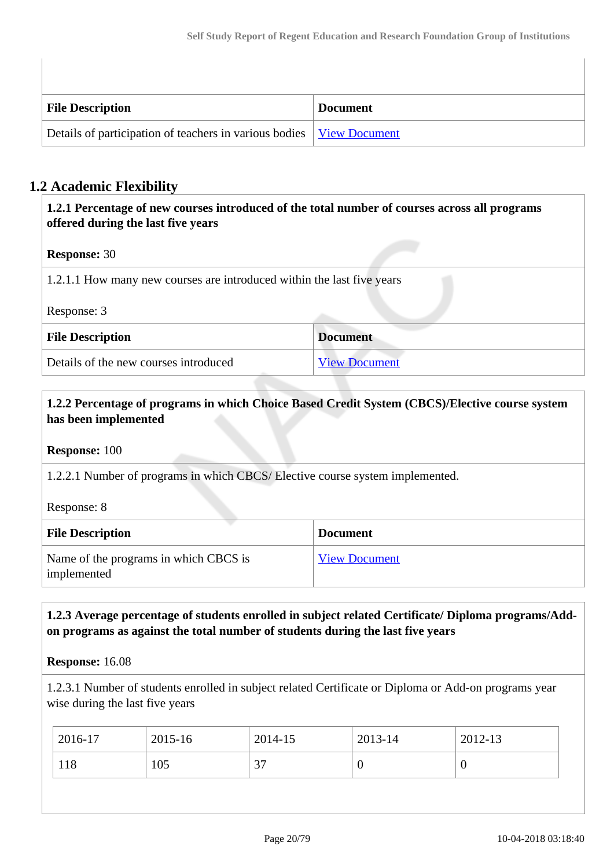| <b>File Description</b>                                                       | <b>Document</b> |
|-------------------------------------------------------------------------------|-----------------|
| Details of participation of teachers in various bodies   <u>View Document</u> |                 |

### **1.2 Academic Flexibility**

| 1.2.1 Percentage of new courses introduced of the total number of courses across all programs<br>offered during the last five years |                      |
|-------------------------------------------------------------------------------------------------------------------------------------|----------------------|
| <b>Response: 30</b>                                                                                                                 |                      |
| 1.2.1.1 How many new courses are introduced within the last five years                                                              |                      |
| Response: 3                                                                                                                         |                      |
| <b>File Description</b>                                                                                                             | <b>Document</b>      |
| Details of the new courses introduced                                                                                               | <b>View Document</b> |

#### **1.2.2 Percentage of programs in which Choice Based Credit System (CBCS)/Elective course system has been implemented**

**Response:** 100

1.2.2.1 Number of programs in which CBCS/ Elective course system implemented.

Response: 8

| <b>File Description</b>                              | <b>Document</b>      |
|------------------------------------------------------|----------------------|
| Name of the programs in which CBCS is<br>implemented | <b>View Document</b> |

#### **1.2.3 Average percentage of students enrolled in subject related Certificate/ Diploma programs/Addon programs as against the total number of students during the last five years**

**Response:** 16.08

1.2.3.1 Number of students enrolled in subject related Certificate or Diploma or Add-on programs year wise during the last five years

| 2016-17 | 2015-16 | 2014-15 | 2013-14 | 2012-13 |
|---------|---------|---------|---------|---------|
| 118     | 105     | 37      | ν       | 0       |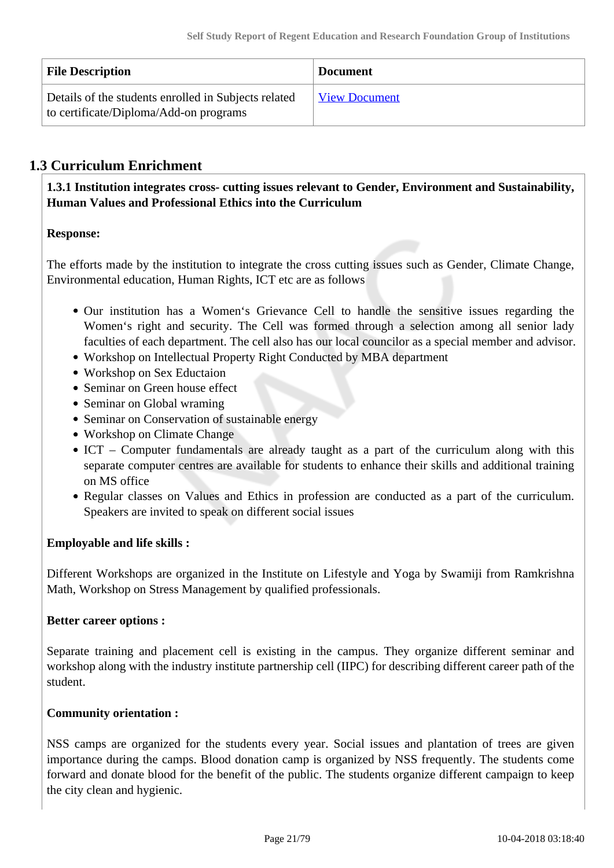| <b>File Description</b>                                                                        | <b>Document</b>      |
|------------------------------------------------------------------------------------------------|----------------------|
| Details of the students enrolled in Subjects related<br>to certificate/Diploma/Add-on programs | <b>View Document</b> |

### **1.3 Curriculum Enrichment**

 **1.3.1 Institution integrates cross- cutting issues relevant to Gender, Environment and Sustainability, Human Values and Professional Ethics into the Curriculum**

#### **Response:**

The efforts made by the institution to integrate the cross cutting issues such as Gender, Climate Change, Environmental education, Human Rights, ICT etc are as follows

- Our institution has a Women's Grievance Cell to handle the sensitive issues regarding the Women's right and security. The Cell was formed through a selection among all senior lady faculties of each department. The cell also has our local councilor as a special member and advisor.
- Workshop on Intellectual Property Right Conducted by MBA department
- Workshop on Sex Eductaion
- Seminar on Green house effect
- Seminar on Global wraming
- Seminar on Conservation of sustainable energy
- Workshop on Climate Change
- ICT Computer fundamentals are already taught as a part of the curriculum along with this separate computer centres are available for students to enhance their skills and additional training on MS office
- Regular classes on Values and Ethics in profession are conducted as a part of the curriculum. Speakers are invited to speak on different social issues

#### **Employable and life skills :**

Different Workshops are organized in the Institute on Lifestyle and Yoga by Swamiji from Ramkrishna Math, Workshop on Stress Management by qualified professionals.

#### **Better career options :**

Separate training and placement cell is existing in the campus. They organize different seminar and workshop along with the industry institute partnership cell (IIPC) for describing different career path of the student.

#### **Community orientation :**

NSS camps are organized for the students every year. Social issues and plantation of trees are given importance during the camps. Blood donation camp is organized by NSS frequently. The students come forward and donate blood for the benefit of the public. The students organize different campaign to keep the city clean and hygienic.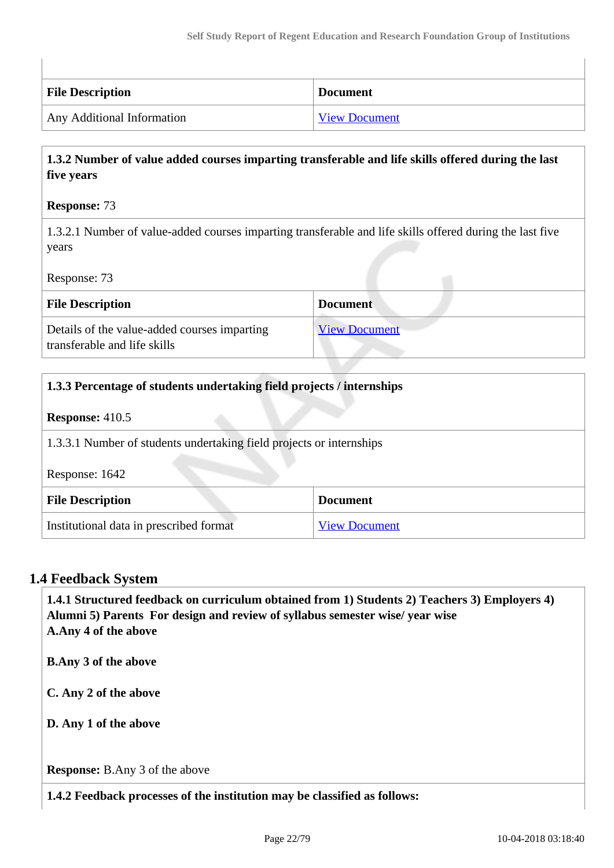| <b>File Description</b>    | <b>Document</b>      |
|----------------------------|----------------------|
| Any Additional Information | <b>View Document</b> |

#### **1.3.2 Number of value added courses imparting transferable and life skills offered during the last five years**

#### **Response:** 73

1.3.2.1 Number of value-added courses imparting transferable and life skills offered during the last five years

Response: 73

| <b>File Description</b>                                                      | <b>Document</b>      |
|------------------------------------------------------------------------------|----------------------|
| Details of the value-added courses imparting<br>transferable and life skills | <b>View Document</b> |

| 1.3.3 Percentage of students undertaking field projects / internships |                      |  |
|-----------------------------------------------------------------------|----------------------|--|
| <b>Response:</b> $410.5$                                              |                      |  |
| 1.3.3.1 Number of students undertaking field projects or internships  |                      |  |
| Response: 1642                                                        |                      |  |
| <b>File Description</b>                                               | <b>Document</b>      |  |
| Institutional data in prescribed format                               | <b>View Document</b> |  |

#### **1.4 Feedback System**

 **1.4.1 Structured feedback on curriculum obtained from 1) Students 2) Teachers 3) Employers 4) Alumni 5) Parents For design and review of syllabus semester wise/ year wise A.Any 4 of the above B.Any 3 of the above C. Any 2 of the above D. Any 1 of the above Response:** B.Any 3 of the above **1.4.2 Feedback processes of the institution may be classified as follows:**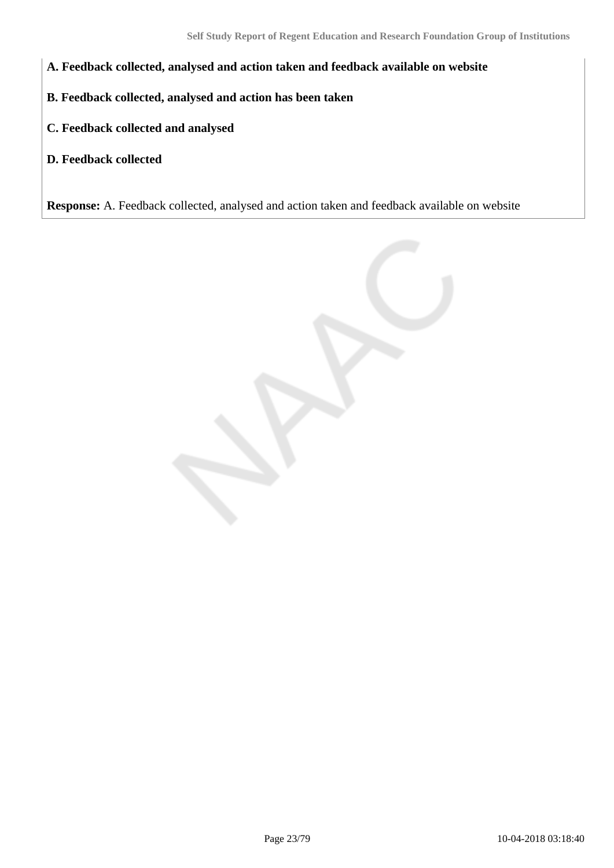- **A. Feedback collected, analysed and action taken and feedback available on website**
- **B. Feedback collected, analysed and action has been taken**
- **C. Feedback collected and analysed**
- **D. Feedback collected**

**Response:** A. Feedback collected, analysed and action taken and feedback available on website

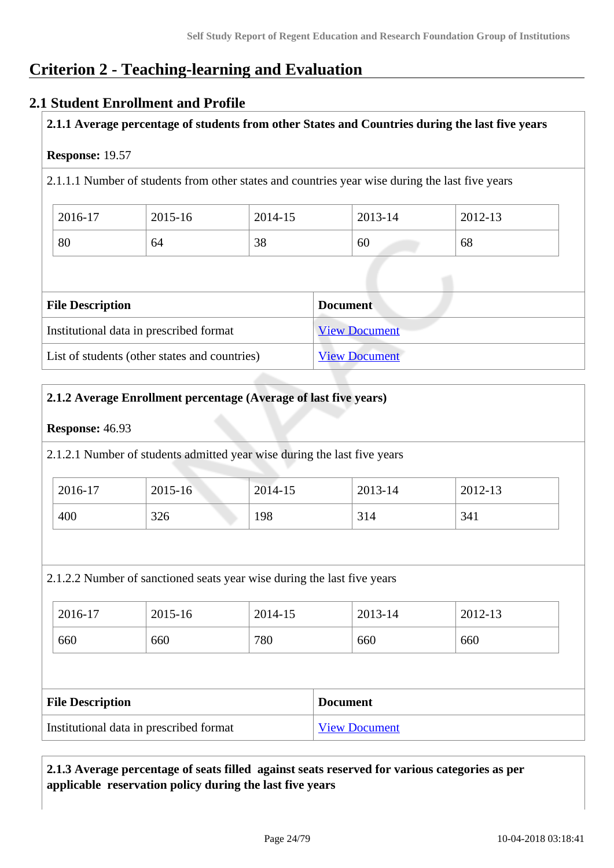# **Criterion 2 - Teaching-learning and Evaluation**

#### **2.1 Student Enrollment and Profile**

#### **2.1.1 Average percentage of students from other States and Countries during the last five years**

#### **Response:** 19.57

2.1.1.1 Number of students from other states and countries year wise during the last five years

| 2016-17 | 2015-16 | 2014-15 | 2013-14 | 2012-13 |
|---------|---------|---------|---------|---------|
| 80      | 64      | 38      | 60      | 68      |

| <b>File Description</b>                       | <b>Document</b>      |
|-----------------------------------------------|----------------------|
| Institutional data in prescribed format       | <b>View Document</b> |
| List of students (other states and countries) | <b>View Document</b> |

#### **2.1.2 Average Enrollment percentage (Average of last five years)**

#### **Response:** 46.93

2.1.2.1 Number of students admitted year wise during the last five years

| 2016-17 | 2015-16 | 2014-15 | 2013-14 | 2012-13 |
|---------|---------|---------|---------|---------|
| 400     | 326     | 198     | 314     | 341     |

2.1.2.2 Number of sanctioned seats year wise during the last five years

| 2016-17 | 2015-16 | 2014-15 | 2013-14 | 2012-13 |
|---------|---------|---------|---------|---------|
| 660     | 660     | 780     | 660     | 660     |

| <b>File Description</b>                 | <b>Document</b>      |
|-----------------------------------------|----------------------|
| Institutional data in prescribed format | <b>View Document</b> |

#### **2.1.3 Average percentage of seats filled against seats reserved for various categories as per applicable reservation policy during the last five years**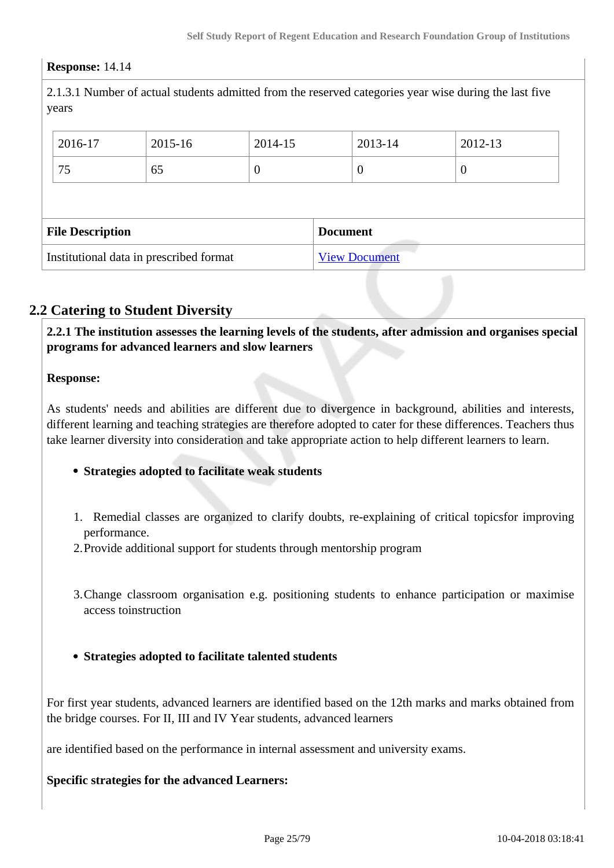#### **Response:** 14.14

2.1.3.1 Number of actual students admitted from the reserved categories year wise during the last five years

|                         | 2016-17                                 | 2015-16 | 2014-15         |  | 2013-14              | 2012-13  |
|-------------------------|-----------------------------------------|---------|-----------------|--|----------------------|----------|
|                         | 75                                      | 65      | $\theta$        |  | v                    | $\theta$ |
|                         |                                         |         |                 |  |                      |          |
| <b>File Description</b> |                                         |         | <b>Document</b> |  |                      |          |
|                         | Institutional data in prescribed format |         |                 |  | <b>View Document</b> |          |

### **2.2 Catering to Student Diversity**

 **2.2.1 The institution assesses the learning levels of the students, after admission and organises special programs for advanced learners and slow learners**

#### **Response:**

As students' needs and abilities are different due to divergence in background, abilities and interests, different learning and teaching strategies are therefore adopted to cater for these differences. Teachers thus take learner diversity into consideration and take appropriate action to help different learners to learn.

#### **Strategies adopted to facilitate weak students**

- 1. Remedial classes are organized to clarify doubts, re-explaining of critical topicsfor improving performance.
- 2.Provide additional support for students through mentorship program
- 3.Change classroom organisation e.g. positioning students to enhance participation or maximise access toinstruction
- **Strategies adopted to facilitate talented students**

For first year students, advanced learners are identified based on the 12th marks and marks obtained from the bridge courses. For II, III and IV Year students, advanced learners

are identified based on the performance in internal assessment and university exams.

**Specific strategies for the advanced Learners:**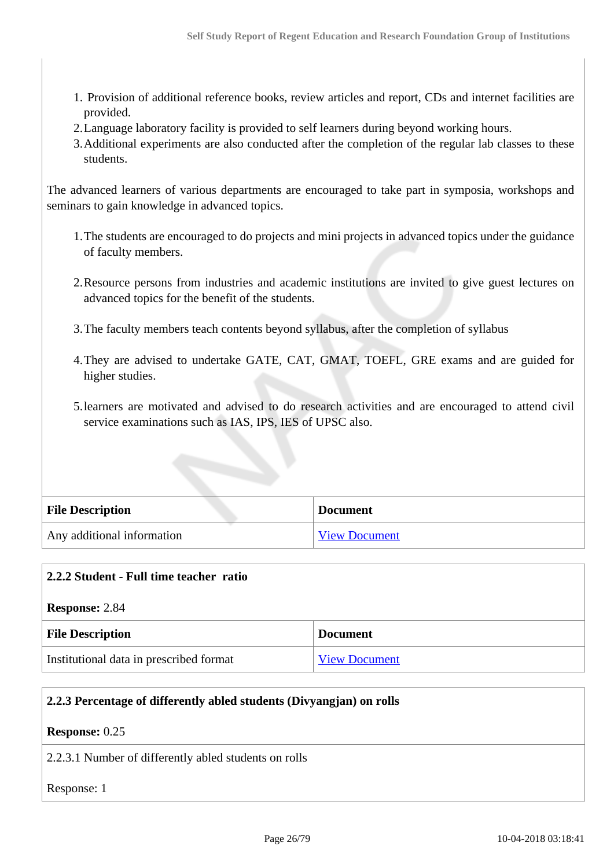- 1. Provision of additional reference books, review articles and report, CDs and internet facilities are provided.
- 2.Language laboratory facility is provided to self learners during beyond working hours.
- 3.Additional experiments are also conducted after the completion of the regular lab classes to these students.

The advanced learners of various departments are encouraged to take part in symposia, workshops and seminars to gain knowledge in advanced topics.

- 1.The students are encouraged to do projects and mini projects in advanced topics under the guidance of faculty members.
- 2.Resource persons from industries and academic institutions are invited to give guest lectures on advanced topics for the benefit of the students.
- 3.The faculty members teach contents beyond syllabus, after the completion of syllabus
- 4.They are advised to undertake GATE, CAT, GMAT, TOEFL, GRE exams and are guided for higher studies.
- 5.learners are motivated and advised to do research activities and are encouraged to attend civil service examinations such as IAS, IPS, IES of UPSC also.

| <b>File Description</b>    | <b>Document</b>      |
|----------------------------|----------------------|
| Any additional information | <b>View Document</b> |

|                       | 2.2.2 Student - Full time teacher ratio |                      |
|-----------------------|-----------------------------------------|----------------------|
| <b>Response: 2.84</b> |                                         |                      |
|                       | <b>File Description</b>                 | <b>Document</b>      |
|                       | Institutional data in prescribed format | <b>View Document</b> |

#### **2.2.3 Percentage of differently abled students (Divyangjan) on rolls**

#### **Response:** 0.25

2.2.3.1 Number of differently abled students on rolls

Response: 1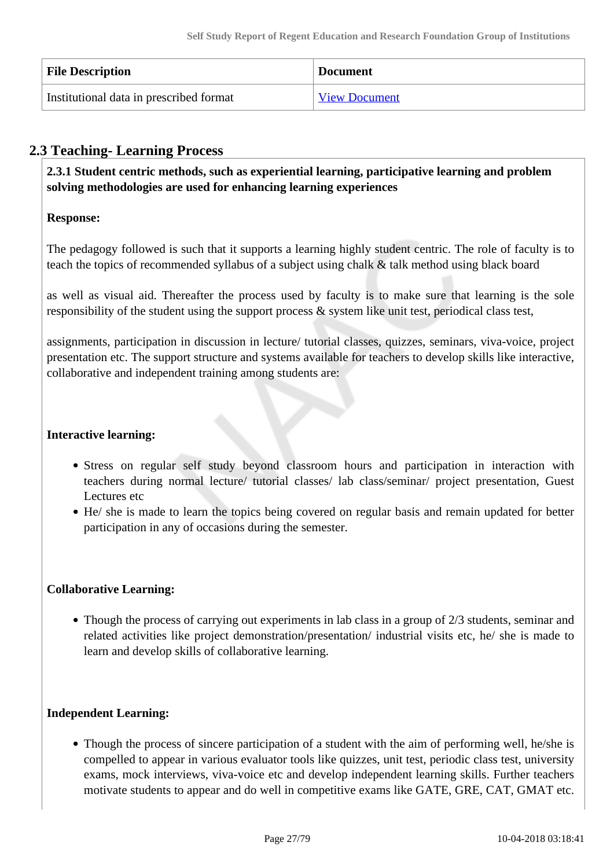| <b>File Description</b>                 | <b>Document</b>      |
|-----------------------------------------|----------------------|
| Institutional data in prescribed format | <b>View Document</b> |

### **2.3 Teaching- Learning Process**

 **2.3.1 Student centric methods, such as experiential learning, participative learning and problem solving methodologies are used for enhancing learning experiences**

#### **Response:**

The pedagogy followed is such that it supports a learning highly student centric. The role of faculty is to teach the topics of recommended syllabus of a subject using chalk & talk method using black board

as well as visual aid. Thereafter the process used by faculty is to make sure that learning is the sole responsibility of the student using the support process & system like unit test, periodical class test,

assignments, participation in discussion in lecture/ tutorial classes, quizzes, seminars, viva-voice, project presentation etc. The support structure and systems available for teachers to develop skills like interactive, collaborative and independent training among students are:

#### **Interactive learning:**

- Stress on regular self study beyond classroom hours and participation in interaction with teachers during normal lecture/ tutorial classes/ lab class/seminar/ project presentation, Guest Lectures etc
- He/ she is made to learn the topics being covered on regular basis and remain updated for better participation in any of occasions during the semester.

#### **Collaborative Learning:**

• Though the process of carrying out experiments in lab class in a group of 2/3 students, seminar and related activities like project demonstration/presentation/ industrial visits etc, he/ she is made to learn and develop skills of collaborative learning.

#### **Independent Learning:**

Though the process of sincere participation of a student with the aim of performing well, he/she is compelled to appear in various evaluator tools like quizzes, unit test, periodic class test, university exams, mock interviews, viva-voice etc and develop independent learning skills. Further teachers motivate students to appear and do well in competitive exams like GATE, GRE, CAT, GMAT etc.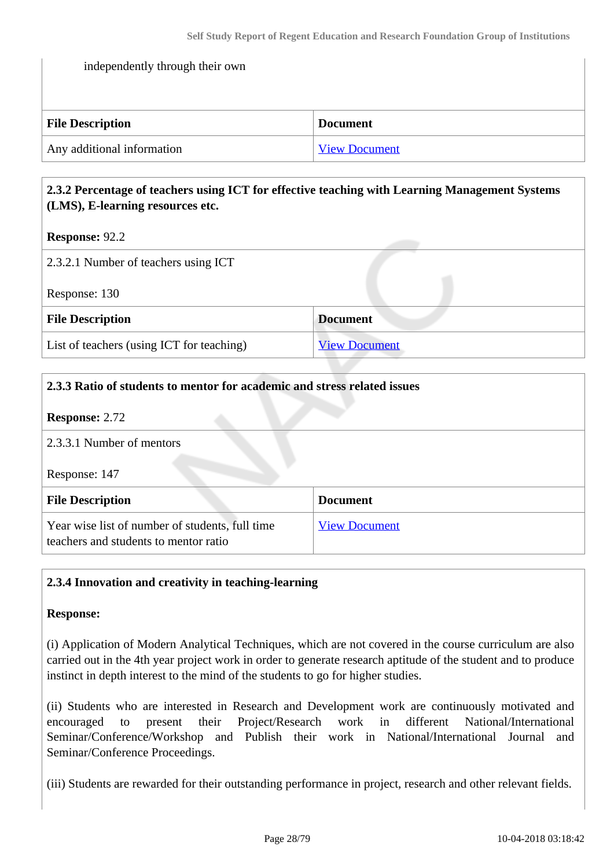| independently through their own |                      |  |
|---------------------------------|----------------------|--|
|                                 |                      |  |
| <b>File Description</b>         | <b>Document</b>      |  |
| Any additional information      | <b>View Document</b> |  |

#### **2.3.2 Percentage of teachers using ICT for effective teaching with Learning Management Systems (LMS), E-learning resources etc.**

#### **Response:** 92.2

| 2.3.2.1 Number of teachers using ICT      |                      |
|-------------------------------------------|----------------------|
| Response: 130                             |                      |
| <b>File Description</b>                   | <b>Document</b>      |
| List of teachers (using ICT for teaching) | <b>View Document</b> |

| 2.3.3 Ratio of students to mentor for academic and stress related issues                 |                      |  |
|------------------------------------------------------------------------------------------|----------------------|--|
| <b>Response: 2.72</b>                                                                    |                      |  |
| 2.3.3.1 Number of mentors                                                                |                      |  |
| Response: 147                                                                            |                      |  |
| <b>File Description</b>                                                                  | <b>Document</b>      |  |
| Year wise list of number of students, full time<br>teachers and students to mentor ratio | <b>View Document</b> |  |

#### **2.3.4 Innovation and creativity in teaching-learning**

#### **Response:**

(i) Application of Modern Analytical Techniques, which are not covered in the course curriculum are also carried out in the 4th year project work in order to generate research aptitude of the student and to produce instinct in depth interest to the mind of the students to go for higher studies.

(ii) Students who are interested in Research and Development work are continuously motivated and encouraged to present their Project/Research work in different National/International Seminar/Conference/Workshop and Publish their work in National/International Journal and Seminar/Conference Proceedings.

(iii) Students are rewarded for their outstanding performance in project, research and other relevant fields.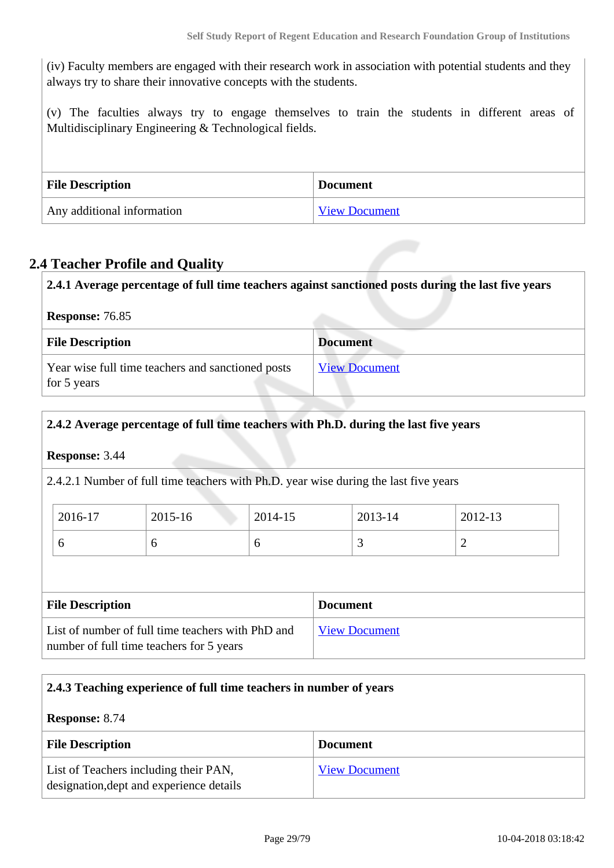(iv) Faculty members are engaged with their research work in association with potential students and they always try to share their innovative concepts with the students.

(v) The faculties always try to engage themselves to train the students in different areas of Multidisciplinary Engineering & Technological fields.

| <b>File Description</b>    | <b>Document</b>      |
|----------------------------|----------------------|
| Any additional information | <b>View Document</b> |

### **2.4 Teacher Profile and Quality**

| 2.4.1 Average percentage of full time teachers against sanctioned posts during the last five years |                      |  |
|----------------------------------------------------------------------------------------------------|----------------------|--|
| <b>Response: 76.85</b>                                                                             |                      |  |
| <b>File Description</b>                                                                            | <b>Document</b>      |  |
| Year wise full time teachers and sanctioned posts<br>for 5 years                                   | <b>View Document</b> |  |

#### **2.4.2 Average percentage of full time teachers with Ph.D. during the last five years**

**Response:** 3.44

2.4.2.1 Number of full time teachers with Ph.D. year wise during the last five years

| 2016-17 | 2015-16 | 2014-15 | 2013-14 | 2012-13 |
|---------|---------|---------|---------|---------|
|         | ິ       |         | ັ       |         |

| <b>File Description</b>                                                                       | <b>Document</b>      |
|-----------------------------------------------------------------------------------------------|----------------------|
| List of number of full time teachers with PhD and<br>number of full time teachers for 5 years | <b>View Document</b> |

#### **2.4.3 Teaching experience of full time teachers in number of years**

**Response:** 8.74

| <b>File Description</b>                                                           | <b>Document</b>      |
|-----------------------------------------------------------------------------------|----------------------|
| List of Teachers including their PAN,<br>designation, dept and experience details | <b>View Document</b> |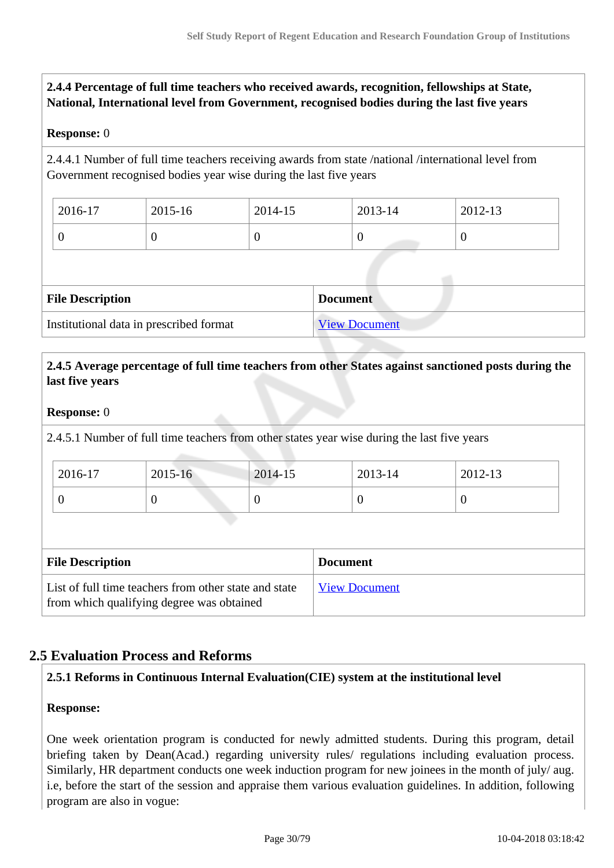#### **2.4.4 Percentage of full time teachers who received awards, recognition, fellowships at State, National, International level from Government, recognised bodies during the last five years**

#### **Response:** 0

2.4.4.1 Number of full time teachers receiving awards from state /national /international level from Government recognised bodies year wise during the last five years

| 2016-17 | 2015-16 | 2014-15 | 2013-14 | 2012-13 |
|---------|---------|---------|---------|---------|
|         | ν       |         | ◡       | v       |

| <b>File Description</b>                 | <b>Document</b>      |
|-----------------------------------------|----------------------|
| Institutional data in prescribed format | <b>View Document</b> |

#### **2.4.5 Average percentage of full time teachers from other States against sanctioned posts during the last five years**

#### **Response:** 0

2.4.5.1 Number of full time teachers from other states year wise during the last five years

| 2016-17 | 2015-16 | 2014-15 | 2013-14 | 2012-13 |
|---------|---------|---------|---------|---------|
|         |         |         | ν       |         |

| <b>File Description</b>                                                                            | <b>Document</b>      |
|----------------------------------------------------------------------------------------------------|----------------------|
| List of full time teachers from other state and state<br>from which qualifying degree was obtained | <b>View Document</b> |

### **2.5 Evaluation Process and Reforms**

#### **2.5.1 Reforms in Continuous Internal Evaluation(CIE) system at the institutional level**

#### **Response:**

One week orientation program is conducted for newly admitted students. During this program, detail briefing taken by Dean(Acad.) regarding university rules/ regulations including evaluation process. Similarly, HR department conducts one week induction program for new joinees in the month of july/ aug. i.e, before the start of the session and appraise them various evaluation guidelines. In addition, following program are also in vogue: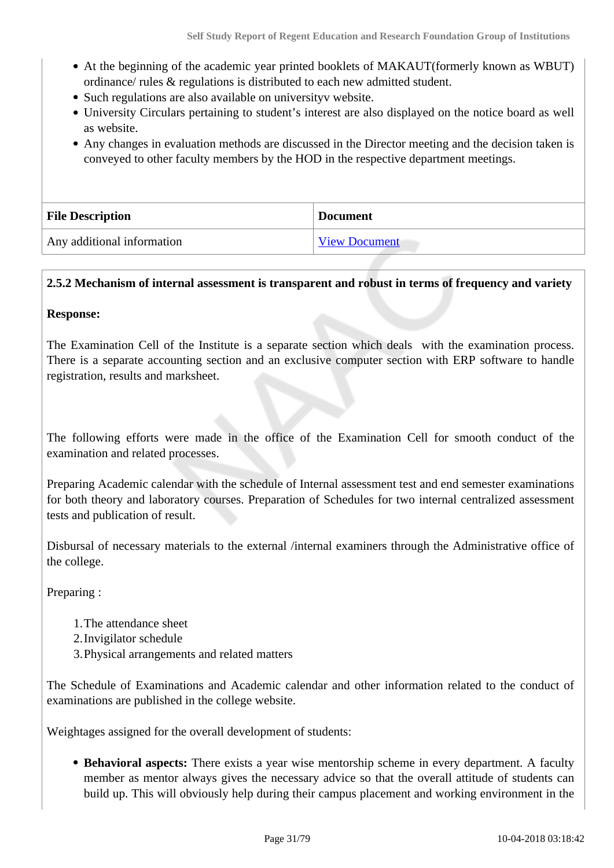- At the beginning of the academic year printed booklets of MAKAUT(formerly known as WBUT) ordinance/ rules & regulations is distributed to each new admitted student.
- Such regulations are also available on universityv website.
- University Circulars pertaining to student's interest are also displayed on the notice board as well as website.
- Any changes in evaluation methods are discussed in the Director meeting and the decision taken is conveyed to other faculty members by the HOD in the respective department meetings.

| <b>File Description</b>    | <b>Document</b>      |  |
|----------------------------|----------------------|--|
| Any additional information | <b>View Document</b> |  |

#### **2.5.2 Mechanism of internal assessment is transparent and robust in terms of frequency and variety**

#### **Response:**

The Examination Cell of the Institute is a separate section which deals with the examination process. There is a separate accounting section and an exclusive computer section with ERP software to handle registration, results and marksheet.

The following efforts were made in the office of the Examination Cell for smooth conduct of the examination and related processes.

Preparing Academic calendar with the schedule of Internal assessment test and end semester examinations for both theory and laboratory courses. Preparation of Schedules for two internal centralized assessment tests and publication of result.

Disbursal of necessary materials to the external /internal examiners through the Administrative office of the college.

Preparing :

- 1.The attendance sheet
- 2.Invigilator schedule
- 3.Physical arrangements and related matters

The Schedule of Examinations and Academic calendar and other information related to the conduct of examinations are published in the college website.

Weightages assigned for the overall development of students:

**Behavioral aspects:** There exists a year wise mentorship scheme in every department. A faculty member as mentor always gives the necessary advice so that the overall attitude of students can build up. This will obviously help during their campus placement and working environment in the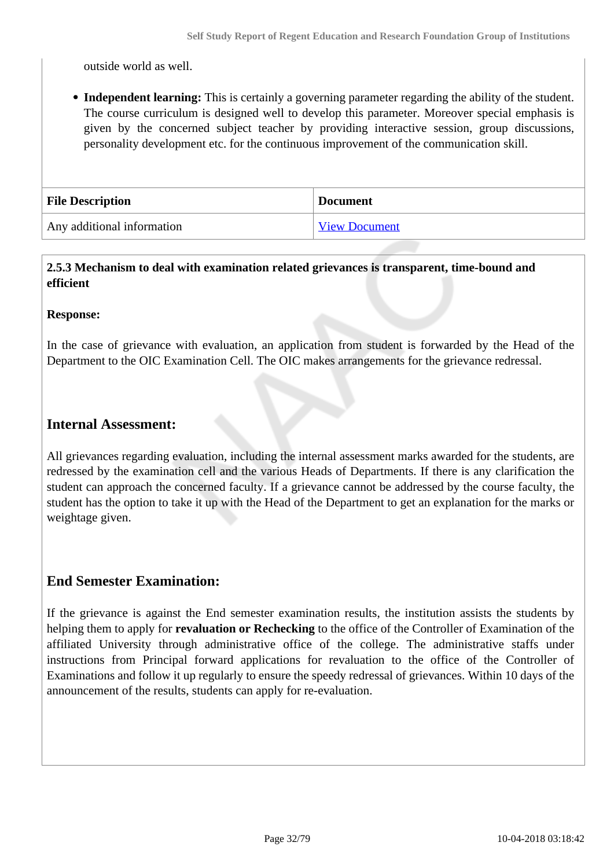outside world as well.

**Independent learning:** This is certainly a governing parameter regarding the ability of the student. The course curriculum is designed well to develop this parameter. Moreover special emphasis is given by the concerned subject teacher by providing interactive session, group discussions, personality development etc. for the continuous improvement of the communication skill.

| <b>File Description</b>    | <b>Document</b> |
|----------------------------|-----------------|
| Any additional information | View Document   |

#### **2.5.3 Mechanism to deal with examination related grievances is transparent, time-bound and efficient**

#### **Response:**

In the case of grievance with evaluation, an application from student is forwarded by the Head of the Department to the OIC Examination Cell. The OIC makes arrangements for the grievance redressal.

#### **Internal Assessment:**

All grievances regarding evaluation, including the internal assessment marks awarded for the students, are redressed by the examination cell and the various Heads of Departments. If there is any clarification the student can approach the concerned faculty. If a grievance cannot be addressed by the course faculty, the student has the option to take it up with the Head of the Department to get an explanation for the marks or weightage given.

#### **End Semester Examination:**

If the grievance is against the End semester examination results, the institution assists the students by helping them to apply for **revaluation or Rechecking** to the office of the Controller of Examination of the affiliated University through administrative office of the college. The administrative staffs under instructions from Principal forward applications for revaluation to the office of the Controller of Examinations and follow it up regularly to ensure the speedy redressal of grievances. Within 10 days of the announcement of the results, students can apply for re-evaluation.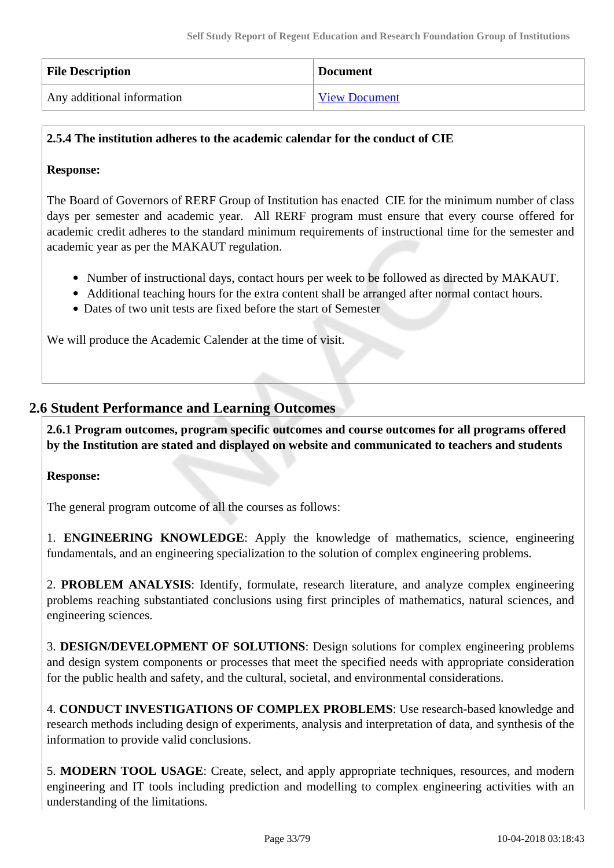| <b>File Description</b>    | <b>Document</b>      |
|----------------------------|----------------------|
| Any additional information | <b>View Document</b> |

#### **2.5.4 The institution adheres to the academic calendar for the conduct of CIE**

#### **Response:**

The Board of Governors of RERF Group of Institution has enacted CIE for the minimum number of class days per semester and academic year. All RERF program must ensure that every course offered for academic credit adheres to the standard minimum requirements of instructional time for the semester and academic year as per the MAKAUT regulation.

- Number of instructional days, contact hours per week to be followed as directed by MAKAUT.
- Additional teaching hours for the extra content shall be arranged after normal contact hours.
- Dates of two unit tests are fixed before the start of Semester

We will produce the Academic Calender at the time of visit.

### **2.6 Student Performance and Learning Outcomes**

 **2.6.1 Program outcomes, program specific outcomes and course outcomes for all programs offered by the Institution are stated and displayed on website and communicated to teachers and students**

#### **Response:**

The general program outcome of all the courses as follows:

1. **ENGINEERING KNOWLEDGE**: Apply the knowledge of mathematics, science, engineering fundamentals, and an engineering specialization to the solution of complex engineering problems.

2. **PROBLEM ANALYSIS**: Identify, formulate, research literature, and analyze complex engineering problems reaching substantiated conclusions using first principles of mathematics, natural sciences, and engineering sciences.

3. **DESIGN/DEVELOPMENT OF SOLUTIONS**: Design solutions for complex engineering problems and design system components or processes that meet the specified needs with appropriate consideration for the public health and safety, and the cultural, societal, and environmental considerations.

4. **CONDUCT INVESTIGATIONS OF COMPLEX PROBLEMS**: Use research-based knowledge and research methods including design of experiments, analysis and interpretation of data, and synthesis of the information to provide valid conclusions.

5. **MODERN TOOL USAGE**: Create, select, and apply appropriate techniques, resources, and modern engineering and IT tools including prediction and modelling to complex engineering activities with an understanding of the limitations.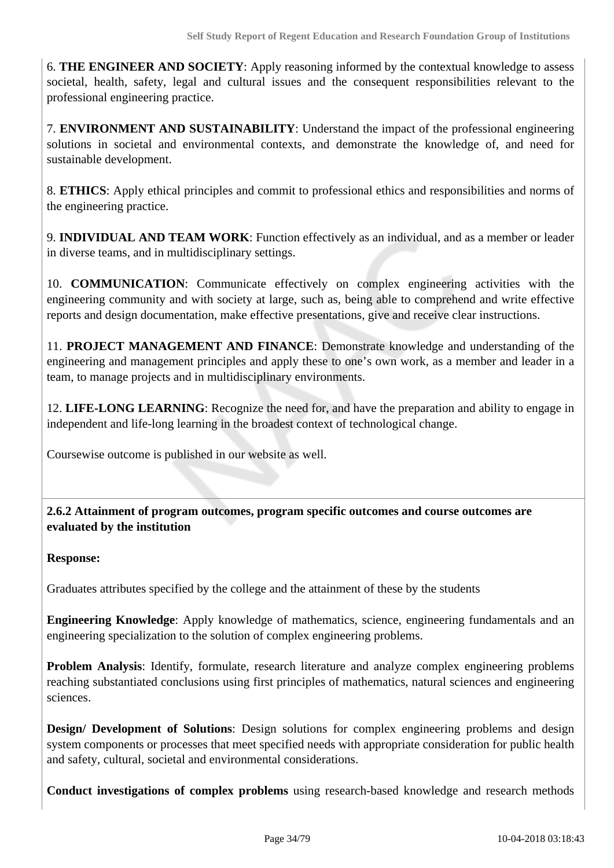6. **THE ENGINEER AND SOCIETY**: Apply reasoning informed by the contextual knowledge to assess societal, health, safety, legal and cultural issues and the consequent responsibilities relevant to the professional engineering practice.

7. **ENVIRONMENT AND SUSTAINABILITY**: Understand the impact of the professional engineering solutions in societal and environmental contexts, and demonstrate the knowledge of, and need for sustainable development.

8. **ETHICS**: Apply ethical principles and commit to professional ethics and responsibilities and norms of the engineering practice.

9. **INDIVIDUAL AND TEAM WORK**: Function effectively as an individual, and as a member or leader in diverse teams, and in multidisciplinary settings.

10. **COMMUNICATION**: Communicate effectively on complex engineering activities with the engineering community and with society at large, such as, being able to comprehend and write effective reports and design documentation, make effective presentations, give and receive clear instructions.

11. **PROJECT MANAGEMENT AND FINANCE**: Demonstrate knowledge and understanding of the engineering and management principles and apply these to one's own work, as a member and leader in a team, to manage projects and in multidisciplinary environments.

12. **LIFE-LONG LEARNING**: Recognize the need for, and have the preparation and ability to engage in independent and life-long learning in the broadest context of technological change.

Coursewise outcome is published in our website as well.

 **2.6.2 Attainment of program outcomes, program specific outcomes and course outcomes are evaluated by the institution**

**Response:** 

Graduates attributes specified by the college and the attainment of these by the students

**Engineering Knowledge**: Apply knowledge of mathematics, science, engineering fundamentals and an engineering specialization to the solution of complex engineering problems.

**Problem Analysis**: Identify, formulate, research literature and analyze complex engineering problems reaching substantiated conclusions using first principles of mathematics, natural sciences and engineering sciences.

**Design/ Development of Solutions**: Design solutions for complex engineering problems and design system components or processes that meet specified needs with appropriate consideration for public health and safety, cultural, societal and environmental considerations.

**Conduct investigations of complex problems** using research-based knowledge and research methods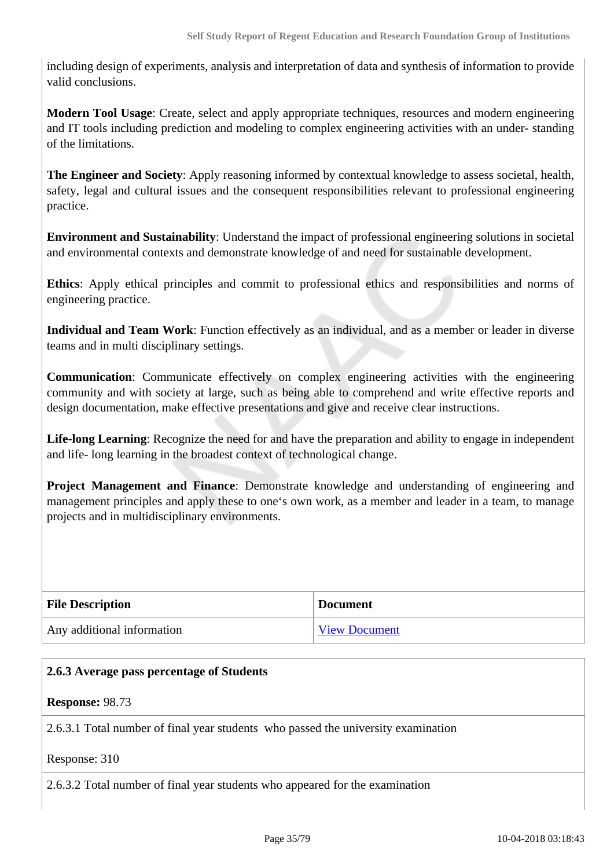including design of experiments, analysis and interpretation of data and synthesis of information to provide valid conclusions.

**Modern Tool Usage**: Create, select and apply appropriate techniques, resources and modern engineering and IT tools including prediction and modeling to complex engineering activities with an under- standing of the limitations.

**The Engineer and Society**: Apply reasoning informed by contextual knowledge to assess societal, health, safety, legal and cultural issues and the consequent responsibilities relevant to professional engineering practice.

**Environment and Sustainability**: Understand the impact of professional engineering solutions in societal and environmental contexts and demonstrate knowledge of and need for sustainable development.

**Ethics**: Apply ethical principles and commit to professional ethics and responsibilities and norms of engineering practice.

**Individual and Team Work**: Function effectively as an individual, and as a member or leader in diverse teams and in multi disciplinary settings.

**Communication**: Communicate effectively on complex engineering activities with the engineering community and with society at large, such as being able to comprehend and write effective reports and design documentation, make effective presentations and give and receive clear instructions.

Life-long Learning: Recognize the need for and have the preparation and ability to engage in independent and life- long learning in the broadest context of technological change.

**Project Management and Finance**: Demonstrate knowledge and understanding of engineering and management principles and apply these to one's own work, as a member and leader in a team, to manage projects and in multidisciplinary environments.

| <b>File Description</b>    | <b>Document</b>      |
|----------------------------|----------------------|
| Any additional information | <b>View Document</b> |

| 2.6.3 Average pass percentage of Students                                         |  |
|-----------------------------------------------------------------------------------|--|
| <b>Response: 98.73</b>                                                            |  |
| 2.6.3.1 Total number of final year students who passed the university examination |  |
| Response: 310                                                                     |  |
| 2.6.3.2 Total number of final year students who appeared for the examination      |  |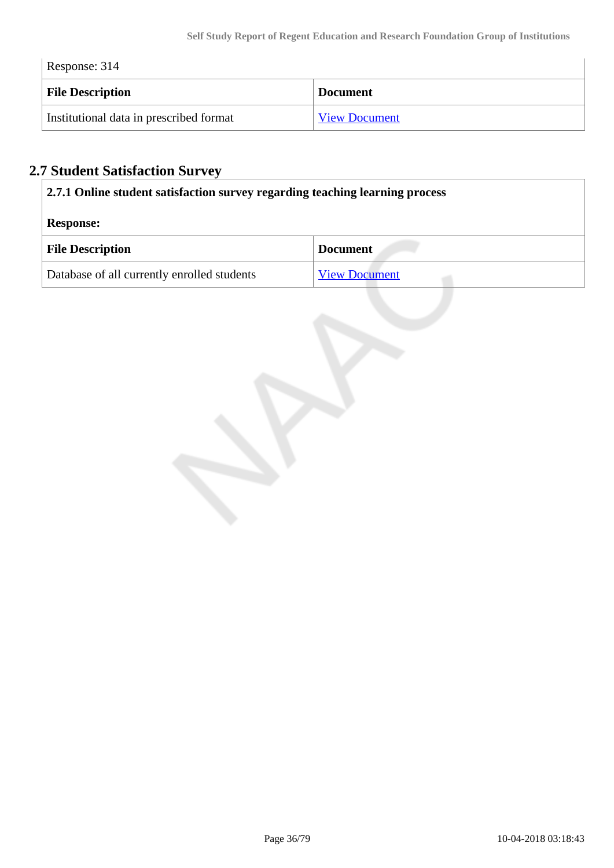| Response: 314                           |                      |  |  |
|-----------------------------------------|----------------------|--|--|
| <b>File Description</b>                 | <b>Document</b>      |  |  |
| Institutional data in prescribed format | <b>View Document</b> |  |  |

# **2.7 Student Satisfaction Survey**

| 2.7.1 Online student satisfaction survey regarding teaching learning process |                      |
|------------------------------------------------------------------------------|----------------------|
| <b>Response:</b>                                                             |                      |
| <b>File Description</b>                                                      | <b>Document</b>      |
| Database of all currently enrolled students                                  | <b>View Document</b> |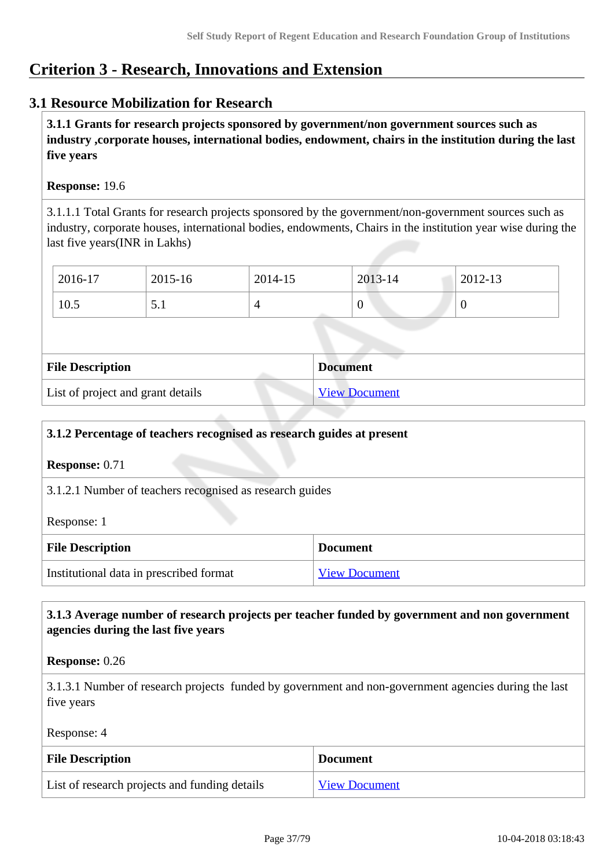# **Criterion 3 - Research, Innovations and Extension**

## **3.1 Resource Mobilization for Research**

 **3.1.1 Grants for research projects sponsored by government/non government sources such as industry ,corporate houses, international bodies, endowment, chairs in the institution during the last five years**

#### **Response:** 19.6

3.1.1.1 Total Grants for research projects sponsored by the government/non-government sources such as industry, corporate houses, international bodies, endowments, Chairs in the institution year wise during the last five years(INR in Lakhs)

| 2016-17 | 2015-16                                       | 2014-15 | 2013-14 | 2012-13 |
|---------|-----------------------------------------------|---------|---------|---------|
| 10.5    | $\boldsymbol{\mathsf{\omega}}\cdot\mathbf{1}$ |         | v       | ◡       |

| <b>File Description</b>           | <b>Document</b>      |
|-----------------------------------|----------------------|
| List of project and grant details | <b>View Document</b> |

| 3.1.2 Percentage of teachers recognised as research guides at present |                      |  |
|-----------------------------------------------------------------------|----------------------|--|
| <b>Response:</b> $0.71$                                               |                      |  |
| 3.1.2.1 Number of teachers recognised as research guides              |                      |  |
| Response: 1                                                           |                      |  |
| <b>File Description</b><br><b>Document</b>                            |                      |  |
| Institutional data in prescribed format                               | <b>View Document</b> |  |

## **3.1.3 Average number of research projects per teacher funded by government and non government agencies during the last five years**

**Response:** 0.26

3.1.3.1 Number of research projects funded by government and non-government agencies during the last five years

Response: 4

| <b>File Description</b>                       | ⊩ Document           |
|-----------------------------------------------|----------------------|
| List of research projects and funding details | <b>View Document</b> |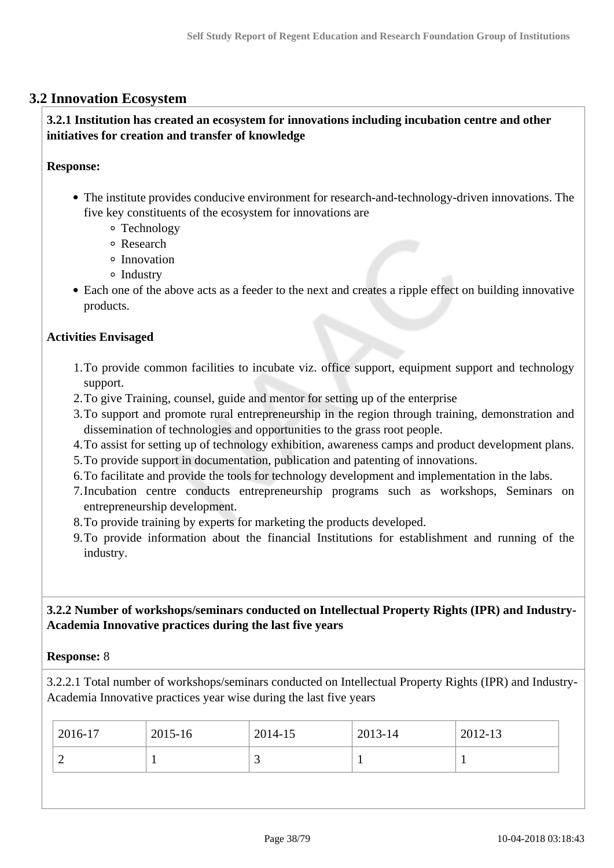## **3.2 Innovation Ecosystem**

## **3.2.1 Institution has created an ecosystem for innovations including incubation centre and other initiatives for creation and transfer of knowledge**

#### **Response:**

- The institute provides conducive environment for research-and-technology-driven innovations. The five key constituents of the ecosystem for innovations are
	- Technology
	- Research
	- <sup>o</sup> Innovation
	- $\circ$  Industry
- Each one of the above acts as a feeder to the next and creates a ripple effect on building innovative products.

## **Activities Envisaged**

- 1.To provide common facilities to incubate viz. office support, equipment support and technology support.
- 2.To give Training, counsel, guide and mentor for setting up of the enterprise
- 3.To support and promote rural entrepreneurship in the region through training, demonstration and dissemination of technologies and opportunities to the grass root people.
- 4.To assist for setting up of technology exhibition, awareness camps and product development plans.
- 5.To provide support in documentation, publication and patenting of innovations.
- 6.To facilitate and provide the tools for technology development and implementation in the labs.
- 7.Incubation centre conducts entrepreneurship programs such as workshops, Seminars on entrepreneurship development.
- 8.To provide training by experts for marketing the products developed.
- 9.To provide information about the financial Institutions for establishment and running of the industry.

## **3.2.2 Number of workshops/seminars conducted on Intellectual Property Rights (IPR) and Industry-Academia Innovative practices during the last five years**

#### **Response:** 8

3.2.2.1 Total number of workshops/seminars conducted on Intellectual Property Rights (IPR) and Industry-Academia Innovative practices year wise during the last five years

| 2016-17                  | 2015-16 | 2014-15 | 2013-14 | 2012-13 |
|--------------------------|---------|---------|---------|---------|
| $\overline{\phantom{0}}$ |         | ັ       |         |         |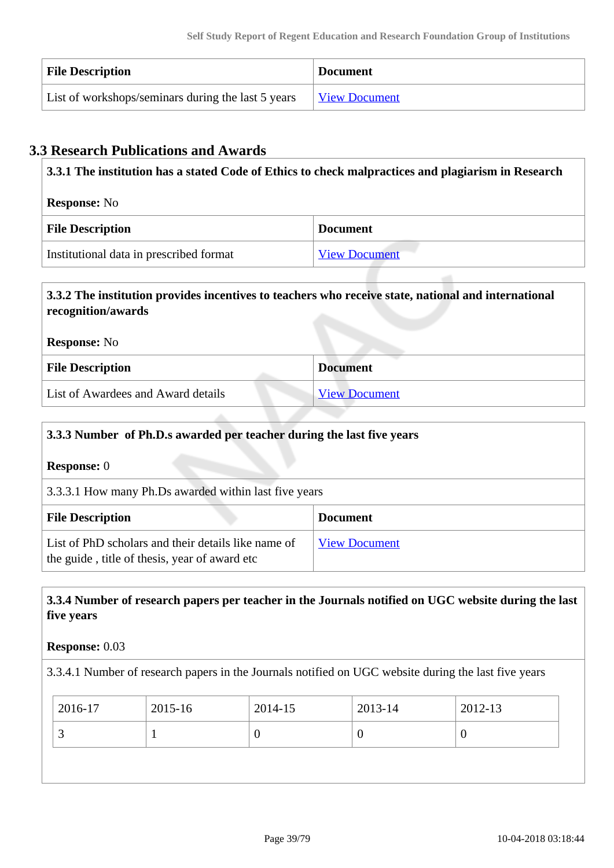| <b>File Description</b>                            | <b>Document</b>      |
|----------------------------------------------------|----------------------|
| List of workshops/seminars during the last 5 years | <u>View Document</u> |

# **3.3 Research Publications and Awards**

| 3.3.1 The institution has a stated Code of Ethics to check malpractices and plagiarism in Research |                      |  |
|----------------------------------------------------------------------------------------------------|----------------------|--|
| <b>Response:</b> No                                                                                |                      |  |
| <b>File Description</b>                                                                            | <b>Document</b>      |  |
| Institutional data in prescribed format                                                            | <b>View Document</b> |  |

# **3.3.2 The institution provides incentives to teachers who receive state, national and international recognition/awards Response:** No **File Description Document**

| <b>FIIE DESCRIPLION</b>            | <i><b>Document</b></i> |
|------------------------------------|------------------------|
| List of Awardees and Award details | <b>View Document</b>   |
|                                    |                        |

# **3.3.3 Number of Ph.D.s awarded per teacher during the last five years Response:** 0 3.3.3.1 How many Ph.Ds awarded within last five years **File Description Document** List of PhD scholars and their details like name of the guide , title of thesis, year of award etc [View Document](https://assessmentonline.naac.gov.in/storage/app/hei/SSR/100830/3.3.3_1519821992_819.xlsx)

# **3.3.4 Number of research papers per teacher in the Journals notified on UGC website during the last five years**

## **Response:** 0.03

3.3.4.1 Number of research papers in the Journals notified on UGC website during the last five years

| 2016-17 | 2015-16 | 2014-15 | 2013-14  | 2012-13 |
|---------|---------|---------|----------|---------|
|         |         |         | $\theta$ |         |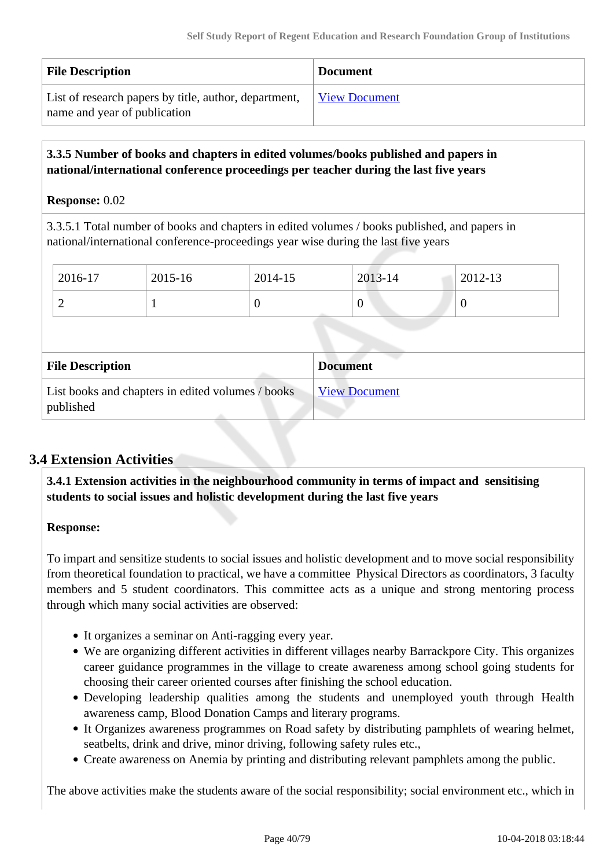| <b>File Description</b>                               | <b>Document</b>      |
|-------------------------------------------------------|----------------------|
| List of research papers by title, author, department, | <b>View Document</b> |
| name and year of publication                          |                      |

## **3.3.5 Number of books and chapters in edited volumes/books published and papers in national/international conference proceedings per teacher during the last five years**

## **Response:** 0.02

3.3.5.1 Total number of books and chapters in edited volumes / books published, and papers in national/international conference-proceedings year wise during the last five years

| 2016-17 | 2015-16 | 2014-15 | 2013-14 | 2012-13 |
|---------|---------|---------|---------|---------|
| ∼       |         | ິ       | ິ       | ν       |

| <b>File Description</b>                                        | <b>Document</b>      |
|----------------------------------------------------------------|----------------------|
| List books and chapters in edited volumes / books<br>published | <b>View Document</b> |

# **3.4 Extension Activities**

 **3.4.1 Extension activities in the neighbourhood community in terms of impact and sensitising students to social issues and holistic development during the last five years**

## **Response:**

To impart and sensitize students to social issues and holistic development and to move social responsibility from theoretical foundation to practical, we have a committee Physical Directors as coordinators, 3 faculty members and 5 student coordinators. This committee acts as a unique and strong mentoring process through which many social activities are observed:

- It organizes a seminar on Anti-ragging every year.
- We are organizing different activities in different villages nearby Barrackpore City. This organizes career guidance programmes in the village to create awareness among school going students for choosing their career oriented courses after finishing the school education.
- Developing leadership qualities among the students and unemployed youth through Health awareness camp, Blood Donation Camps and literary programs.
- It Organizes awareness programmes on Road safety by distributing pamphlets of wearing helmet, seatbelts, drink and drive, minor driving, following safety rules etc.,
- Create awareness on Anemia by printing and distributing relevant pamphlets among the public.

The above activities make the students aware of the social responsibility; social environment etc., which in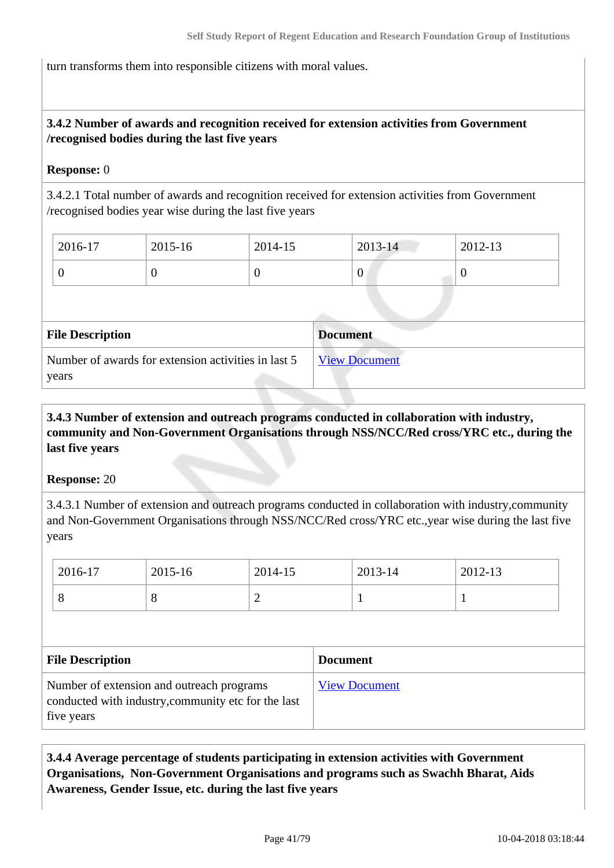turn transforms them into responsible citizens with moral values.

# **3.4.2 Number of awards and recognition received for extension activities from Government /recognised bodies during the last five years**

## **Response:** 0

3.4.2.1 Total number of awards and recognition received for extension activities from Government /recognised bodies year wise during the last five years

| 2016-17 | 2015-16 | 2014-15 | $2013 - 14$ | 2012-13 |
|---------|---------|---------|-------------|---------|
| ν       | ν       |         | v           |         |

| <b>File Description</b>                                      | <b>Document</b>      |
|--------------------------------------------------------------|----------------------|
| Number of awards for extension activities in last 5<br>years | <b>View Document</b> |

# **3.4.3 Number of extension and outreach programs conducted in collaboration with industry, community and Non-Government Organisations through NSS/NCC/Red cross/YRC etc., during the last five years**

**Response:** 20

3.4.3.1 Number of extension and outreach programs conducted in collaboration with industry,community and Non-Government Organisations through NSS/NCC/Red cross/YRC etc.,year wise during the last five years

| 2016-17 | 2015-16 | 2014-15 | 2013-14 | 2012-13 |
|---------|---------|---------|---------|---------|
| O       | $\circ$ | -       |         |         |

| <b>File Description</b>                                                                                        | <b>Document</b>      |
|----------------------------------------------------------------------------------------------------------------|----------------------|
| Number of extension and outreach programs<br>conducted with industry, community etc for the last<br>five years | <b>View Document</b> |

 **3.4.4 Average percentage of students participating in extension activities with Government Organisations, Non-Government Organisations and programs such as Swachh Bharat, Aids Awareness, Gender Issue, etc. during the last five years**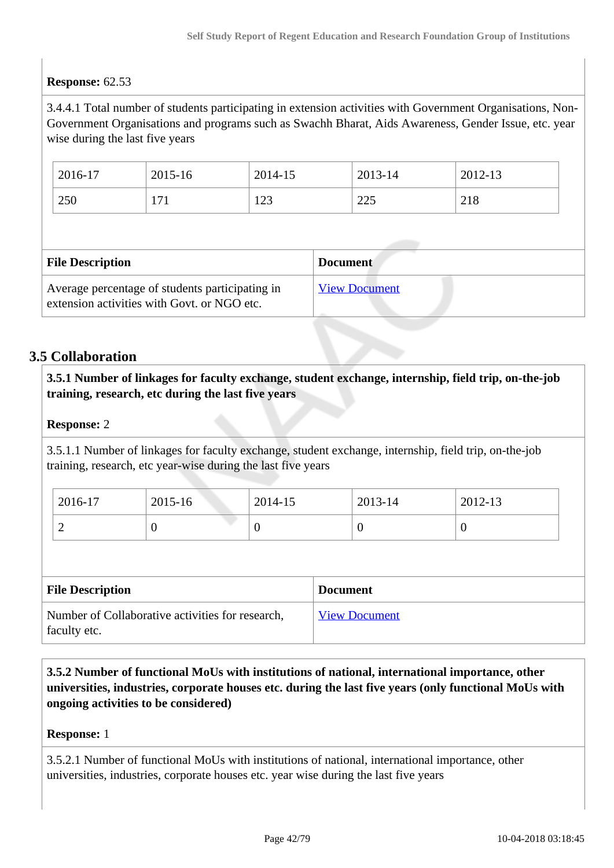# **Response:** 62.53

3.4.4.1 Total number of students participating in extension activities with Government Organisations, Non-Government Organisations and programs such as Swachh Bharat, Aids Awareness, Gender Issue, etc. year wise during the last five years

| 2016-17 | 2015-16 | 2014-15        | 2013-14                         | 2012-13    |
|---------|---------|----------------|---------------------------------|------------|
| 250     | 171     | 1 ລາ<br>ل که 1 | $\bigcap_{\mathcal{L}}$<br>لەكك | 210<br>210 |

| <b>File Description</b>                                                                        | <b>Document</b>      |
|------------------------------------------------------------------------------------------------|----------------------|
| Average percentage of students participating in<br>extension activities with Govt. or NGO etc. | <b>View Document</b> |

# **3.5 Collaboration**

 **3.5.1 Number of linkages for faculty exchange, student exchange, internship, field trip, on-the-job training, research, etc during the last five years**

## **Response:** 2

3.5.1.1 Number of linkages for faculty exchange, student exchange, internship, field trip, on-the-job training, research, etc year-wise during the last five years

| 2016-17 | 2015-16 | 2014-15 | 2013-14 | 2012-13 |
|---------|---------|---------|---------|---------|
| ∼       | ν       | ν       |         |         |

| <b>File Description</b>                                          | <b>Document</b>      |
|------------------------------------------------------------------|----------------------|
| Number of Collaborative activities for research,<br>faculty etc. | <b>View Document</b> |

 **3.5.2 Number of functional MoUs with institutions of national, international importance, other universities, industries, corporate houses etc. during the last five years (only functional MoUs with ongoing activities to be considered)**

#### **Response:** 1

3.5.2.1 Number of functional MoUs with institutions of national, international importance, other universities, industries, corporate houses etc. year wise during the last five years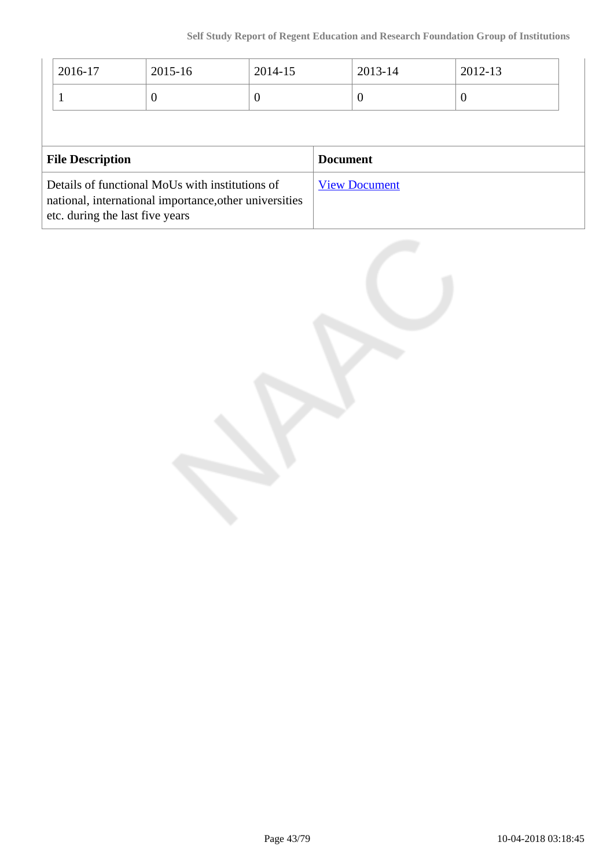|                         | 2016-17 | 2015-16  | 2014-15         |  | 2013-14  | 2012-13  |
|-------------------------|---------|----------|-----------------|--|----------|----------|
|                         |         | $\theta$ | O               |  | $\theta$ | $\theta$ |
|                         |         |          |                 |  |          |          |
| <b>File Description</b> |         |          | <b>Document</b> |  |          |          |
|                         |         |          |                 |  |          |          |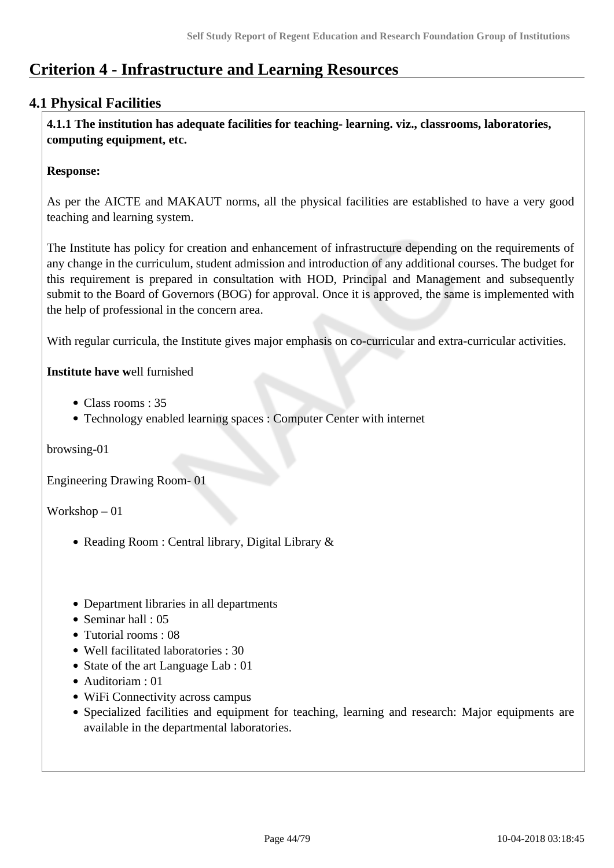# **Criterion 4 - Infrastructure and Learning Resources**

# **4.1 Physical Facilities**

 **4.1.1 The institution has adequate facilities for teaching- learning. viz., classrooms, laboratories, computing equipment, etc.**

## **Response:**

As per the AICTE and MAKAUT norms, all the physical facilities are established to have a very good teaching and learning system.

The Institute has policy for creation and enhancement of infrastructure depending on the requirements of any change in the curriculum, student admission and introduction of any additional courses. The budget for this requirement is prepared in consultation with HOD, Principal and Management and subsequently submit to the Board of Governors (BOG) for approval. Once it is approved, the same is implemented with the help of professional in the concern area.

With regular curricula, the Institute gives major emphasis on co-curricular and extra-curricular activities.

## **Institute have w**ell furnished

- Class rooms : 35
- Technology enabled learning spaces : Computer Center with internet

browsing-01

Engineering Drawing Room- 01

Workshop – 01

- Reading Room : Central library, Digital Library &
- Department libraries in all departments
- Seminar hall : 05
- Tutorial rooms : 08
- Well facilitated laboratories : 30
- State of the art Language Lab : 01
- Auditoriam : 01
- WiFi Connectivity across campus
- Specialized facilities and equipment for teaching, learning and research: Major equipments are available in the departmental laboratories.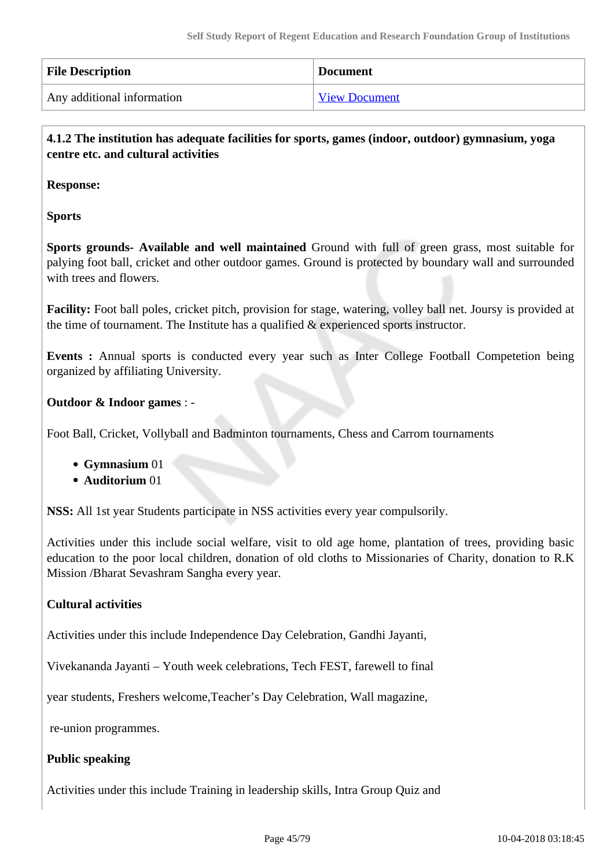| <b>File Description</b>    | <b>Document</b>      |
|----------------------------|----------------------|
| Any additional information | <b>View Document</b> |

 **4.1.2 The institution has adequate facilities for sports, games (indoor, outdoor) gymnasium, yoga centre etc. and cultural activities**

**Response:** 

**Sports** 

**Sports grounds- Available and well maintained** Ground with full of green grass, most suitable for palying foot ball, cricket and other outdoor games. Ground is protected by boundary wall and surrounded with trees and flowers.

**Facility:** Foot ball poles, cricket pitch, provision for stage, watering, volley ball net. Joursy is provided at the time of tournament. The Institute has a qualified  $\&$  experienced sports instructor.

**Events :** Annual sports is conducted every year such as Inter College Football Competetion being organized by affiliating University.

## **Outdoor & Indoor games** : -

Foot Ball, Cricket, Vollyball and Badminton tournaments, Chess and Carrom tournaments

- **Gymnasium** 01
- **Auditorium** 01

**NSS:** All 1st year Students participate in NSS activities every year compulsorily.

Activities under this include social welfare, visit to old age home, plantation of trees, providing basic education to the poor local children, donation of old cloths to Missionaries of Charity, donation to R.K Mission /Bharat Sevashram Sangha every year.

## **Cultural activities**

Activities under this include Independence Day Celebration, Gandhi Jayanti,

Vivekananda Jayanti – Youth week celebrations, Tech FEST, farewell to final

year students, Freshers welcome,Teacher's Day Celebration, Wall magazine,

re-union programmes.

## **Public speaking**

Activities under this include Training in leadership skills, Intra Group Quiz and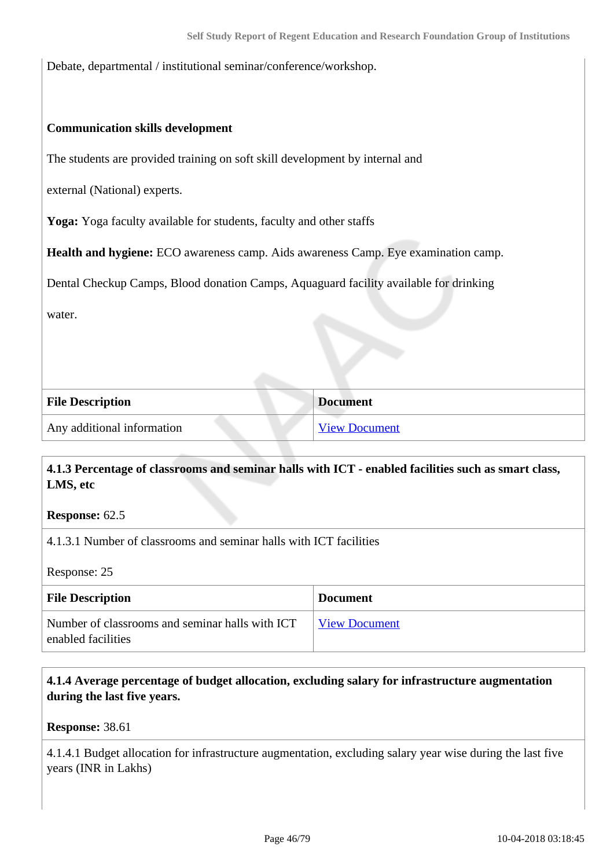Debate, departmental / institutional seminar/conference/workshop.

#### **Communication skills development**

The students are provided training on soft skill development by internal and

external (National) experts.

**Yoga:** Yoga faculty available for students, faculty and other staffs

**Health and hygiene:** ECO awareness camp. Aids awareness Camp. Eye examination camp.

Dental Checkup Camps, Blood donation Camps, Aquaguard facility available for drinking

water.

| <b>File Description</b>    | <b>Document</b>      |
|----------------------------|----------------------|
| Any additional information | <b>View Document</b> |

## **4.1.3 Percentage of classrooms and seminar halls with ICT - enabled facilities such as smart class, LMS, etc**

**Response:** 62.5

4.1.3.1 Number of classrooms and seminar halls with ICT facilities

Response: 25

| <b>File Description</b>                                               | <b>Document</b>      |
|-----------------------------------------------------------------------|----------------------|
| Number of classrooms and seminar halls with ICT<br>enabled facilities | <b>View Document</b> |

## **4.1.4 Average percentage of budget allocation, excluding salary for infrastructure augmentation during the last five years.**

**Response:** 38.61

4.1.4.1 Budget allocation for infrastructure augmentation, excluding salary year wise during the last five years (INR in Lakhs)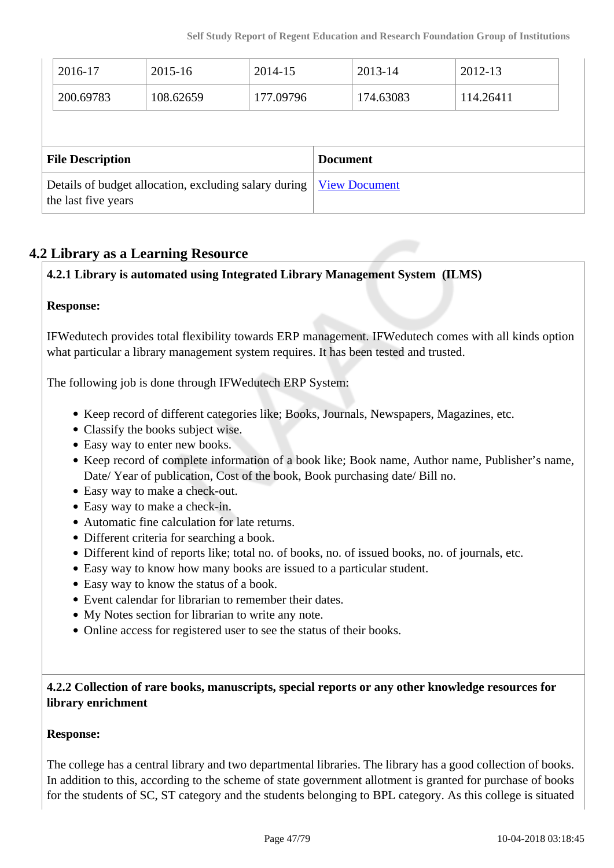|                                                                              | 2016-17<br>200.69783 | 2015-16<br>108.62659 | 2014-15<br>177.09796 |                      | 2013-14<br>174.63083 | 2012-13<br>114.26411 |
|------------------------------------------------------------------------------|----------------------|----------------------|----------------------|----------------------|----------------------|----------------------|
|                                                                              |                      |                      |                      |                      |                      |                      |
| <b>File Description</b>                                                      |                      |                      | <b>Document</b>      |                      |                      |                      |
| Details of budget allocation, excluding salary during<br>the last five years |                      |                      |                      | <b>View Document</b> |                      |                      |

# **4.2 Library as a Learning Resource**

# **4.2.1 Library is automated using Integrated Library Management System (ILMS)**

## **Response:**

IFWedutech provides total flexibility towards ERP management. IFWedutech comes with all kinds option what particular a library management system requires. It has been tested and trusted.

The following job is done through IFWedutech ERP System:

- Keep record of different categories like; Books, Journals, Newspapers, Magazines, etc.
- Classify the books subject wise.
- Easy way to enter new books.
- Keep record of complete information of a book like; Book name, Author name, Publisher's name, Date/ Year of publication, Cost of the book, Book purchasing date/ Bill no.
- Easy way to make a check-out.
- Easy way to make a check-in.
- Automatic fine calculation for late returns.
- Different criteria for searching a book.
- Different kind of reports like; total no. of books, no. of issued books, no. of journals, etc.
- Easy way to know how many books are issued to a particular student.
- Easy way to know the status of a book.
- Event calendar for librarian to remember their dates.
- My Notes section for librarian to write any note.
- Online access for registered user to see the status of their books.

## **4.2.2 Collection of rare books, manuscripts, special reports or any other knowledge resources for library enrichment**

## **Response:**

The college has a central library and two departmental libraries. The library has a good collection of books. In addition to this, according to the scheme of state government allotment is granted for purchase of books for the students of SC, ST category and the students belonging to BPL category. As this college is situated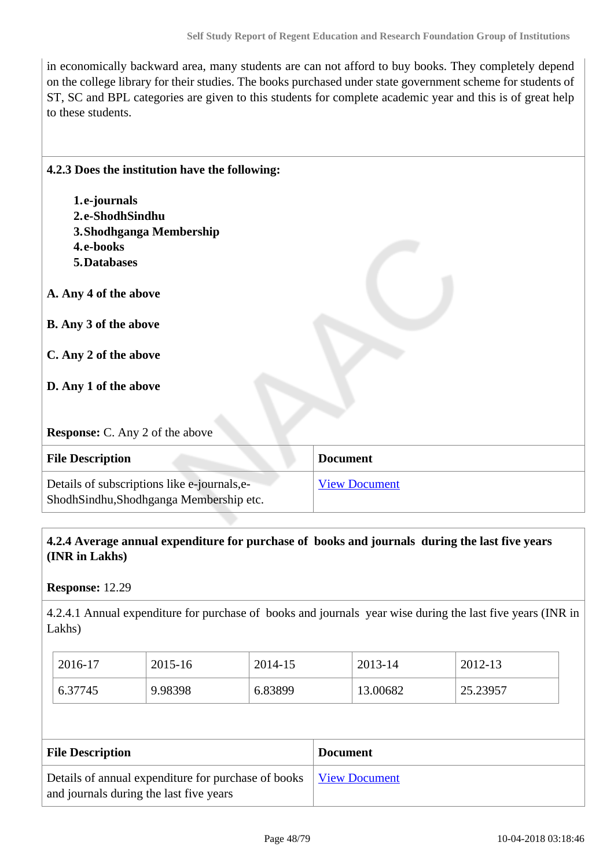in economically backward area, many students are can not afford to buy books. They completely depend on the college library for their studies. The books purchased under state government scheme for students of ST, SC and BPL categories are given to this students for complete academic year and this is of great help to these students.

| 4.2.3 Does the institution have the following:                                         |                      |
|----------------------------------------------------------------------------------------|----------------------|
| 1.e-journals                                                                           |                      |
| 2.e-ShodhSindhu                                                                        |                      |
| 3. Shodhganga Membership                                                               |                      |
| 4.e-books                                                                              |                      |
| 5. Databases                                                                           |                      |
| A. Any 4 of the above                                                                  |                      |
| B. Any 3 of the above                                                                  |                      |
| C. Any 2 of the above                                                                  |                      |
| D. Any 1 of the above                                                                  |                      |
| <b>Response:</b> C. Any 2 of the above                                                 |                      |
| <b>File Description</b>                                                                | <b>Document</b>      |
| Details of subscriptions like e-journals, e-<br>ShodhSindhu,Shodhganga Membership etc. | <b>View Document</b> |

 **4.2.4 Average annual expenditure for purchase of books and journals during the last five years (INR in Lakhs)**

#### **Response:** 12.29

4.2.4.1 Annual expenditure for purchase of books and journals year wise during the last five years (INR in Lakhs)

| 2016-17 | 2015-16 | 2014-15 | 2013-14  | 2012-13  |
|---------|---------|---------|----------|----------|
| 6.37745 | 9.98398 | 6.83899 | 13.00682 | 25.23957 |

| <b>File Description</b>                                                                                      | <b>Document</b> |
|--------------------------------------------------------------------------------------------------------------|-----------------|
| Details of annual expenditure for purchase of books View Document<br>and journals during the last five years |                 |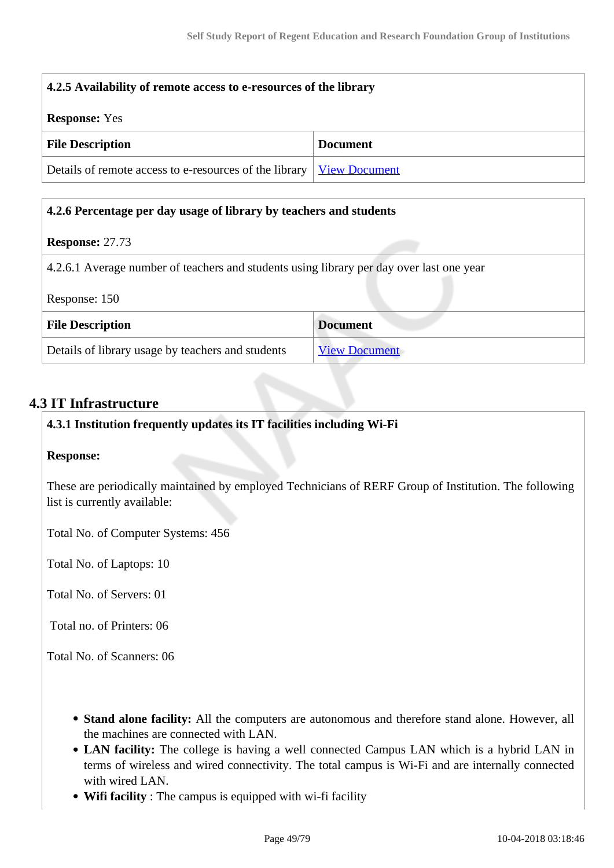| 4.2.5 Availability of remote access to e-resources of the library             |                 |  |  |
|-------------------------------------------------------------------------------|-----------------|--|--|
| <b>Response:</b> Yes                                                          |                 |  |  |
| <b>File Description</b>                                                       | <b>Document</b> |  |  |
| Details of remote access to e-resources of the library   <u>View Document</u> |                 |  |  |

## **4.2.6 Percentage per day usage of library by teachers and students**

#### **Response:** 27.73

4.2.6.1 Average number of teachers and students using library per day over last one year

| Response: 150 |  |
|---------------|--|
|---------------|--|

| <b>File Description</b>                           | <b>Document</b>      |  |  |
|---------------------------------------------------|----------------------|--|--|
| Details of library usage by teachers and students | <b>View Document</b> |  |  |

## **4.3 IT Infrastructure**

#### **4.3.1 Institution frequently updates its IT facilities including Wi-Fi**

#### **Response:**

These are periodically maintained by employed Technicians of RERF Group of Institution. The following list is currently available:

Total No. of Computer Systems: 456

Total No. of Laptops: 10

Total No. of Servers: 01

Total no. of Printers: 06

Total No. of Scanners: 06

- **Stand alone facility:** All the computers are autonomous and therefore stand alone. However, all the machines are connected with LAN.
- **LAN facility:** The college is having a well connected Campus LAN which is a hybrid LAN in terms of wireless and wired connectivity. The total campus is Wi-Fi and are internally connected with wired LAN.
- **Wifi facility** : The campus is equipped with wi-fi facility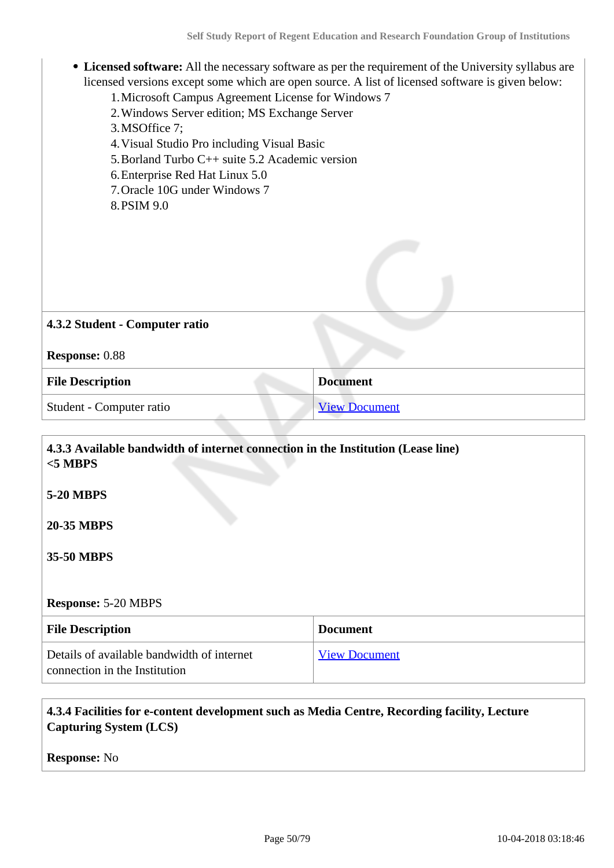- **Licensed software:** All the necessary software as per the requirement of the University syllabus are licensed versions except some which are open source. A list of licensed software is given below:
	- 1.Microsoft Campus Agreement License for Windows 7
	- 2.Windows Server edition; MS Exchange Server

3.MSOffice 7;

- 4.Visual Studio Pro including Visual Basic
- 5.Borland Turbo C++ suite 5.2 Academic version
- 6.Enterprise Red Hat Linux 5.0
- 7.Oracle 10G under Windows 7
- 8.PSIM 9.0

| 4.3.2 Student - Computer ratio |                      |
|--------------------------------|----------------------|
| <b>Response: 0.88</b>          |                      |
| <b>File Description</b>        | <b>Document</b>      |
| Student - Computer ratio       | <b>View Document</b> |

| 4.3.3 Available bandwidth of internet connection in the Institution (Lease line)<br>$<$ 5 MBPS |                      |
|------------------------------------------------------------------------------------------------|----------------------|
| <b>5-20 MBPS</b>                                                                               |                      |
| <b>20-35 MBPS</b>                                                                              |                      |
| 35-50 MBPS                                                                                     |                      |
|                                                                                                |                      |
| <b>Response: 5-20 MBPS</b>                                                                     |                      |
| <b>File Description</b>                                                                        | <b>Document</b>      |
| Details of available bandwidth of internet<br>connection in the Institution                    | <b>View Document</b> |

## **4.3.4 Facilities for e-content development such as Media Centre, Recording facility, Lecture Capturing System (LCS)**

**Response:** No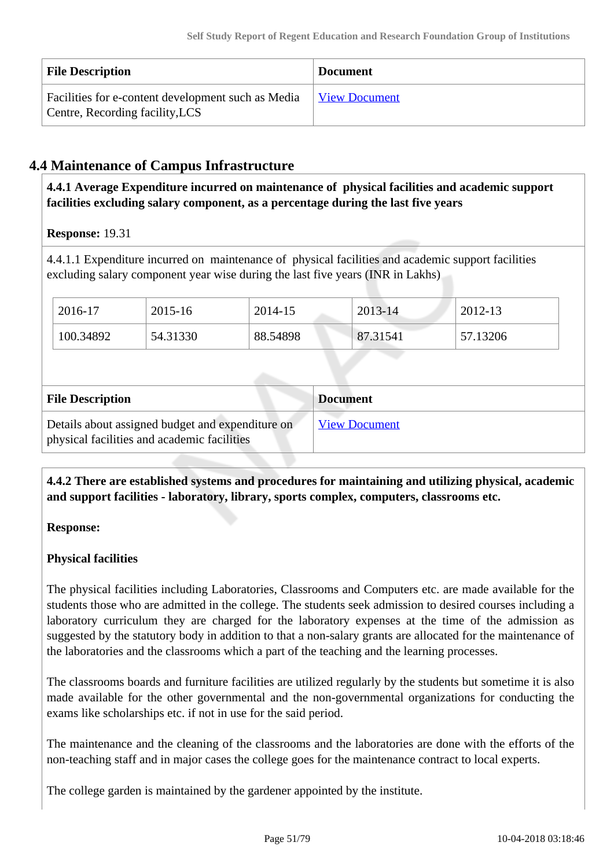| <b>File Description</b>                                                               | <b>Document</b>      |
|---------------------------------------------------------------------------------------|----------------------|
| Facilities for e-content development such as Media<br>Centre, Recording facility, LCS | <b>View Document</b> |

# **4.4 Maintenance of Campus Infrastructure**

 **4.4.1 Average Expenditure incurred on maintenance of physical facilities and academic support facilities excluding salary component, as a percentage during the last five years**

**Response:** 19.31

4.4.1.1 Expenditure incurred on maintenance of physical facilities and academic support facilities excluding salary component year wise during the last five years (INR in Lakhs)

| 2016-17   | 2015-16  | 2014-15  | $2013 - 14$ | 2012-13  |
|-----------|----------|----------|-------------|----------|
| 100.34892 | 54.31330 | 88.54898 | 87.31541    | 57.13206 |

| <b>File Description</b>                                                                         | <b>Document</b>      |
|-------------------------------------------------------------------------------------------------|----------------------|
| Details about assigned budget and expenditure on<br>physical facilities and academic facilities | <b>View Document</b> |

 **4.4.2 There are established systems and procedures for maintaining and utilizing physical, academic and support facilities - laboratory, library, sports complex, computers, classrooms etc.**

## **Response:**

## **Physical facilities**

The physical facilities including Laboratories, Classrooms and Computers etc. are made available for the students those who are admitted in the college. The students seek admission to desired courses including a laboratory curriculum they are charged for the laboratory expenses at the time of the admission as suggested by the statutory body in addition to that a non-salary grants are allocated for the maintenance of the laboratories and the classrooms which a part of the teaching and the learning processes.

The classrooms boards and furniture facilities are utilized regularly by the students but sometime it is also made available for the other governmental and the non-governmental organizations for conducting the exams like scholarships etc. if not in use for the said period.

The maintenance and the cleaning of the classrooms and the laboratories are done with the efforts of the non-teaching staff and in major cases the college goes for the maintenance contract to local experts.

The college garden is maintained by the gardener appointed by the institute.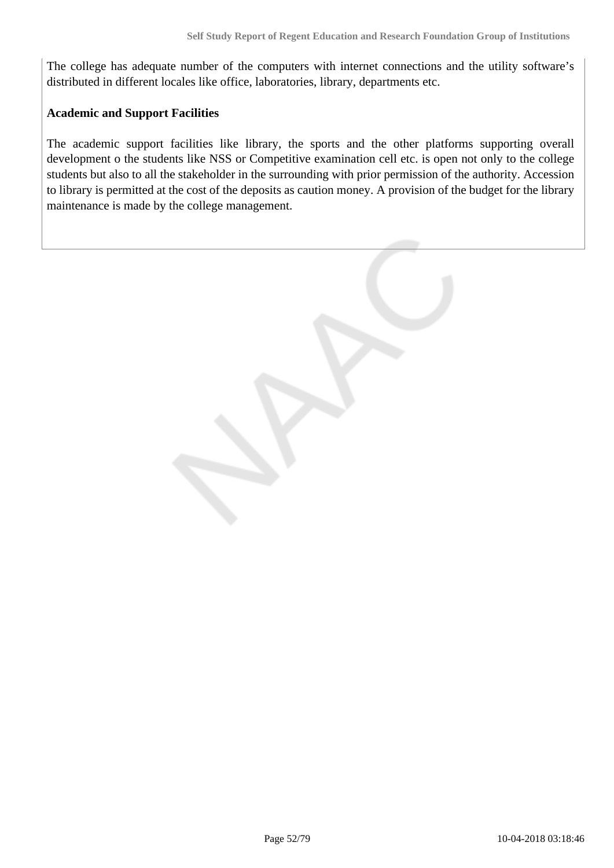The college has adequate number of the computers with internet connections and the utility software's distributed in different locales like office, laboratories, library, departments etc.

#### **Academic and Support Facilities**

The academic support facilities like library, the sports and the other platforms supporting overall development o the students like NSS or Competitive examination cell etc. is open not only to the college students but also to all the stakeholder in the surrounding with prior permission of the authority. Accession to library is permitted at the cost of the deposits as caution money. A provision of the budget for the library maintenance is made by the college management.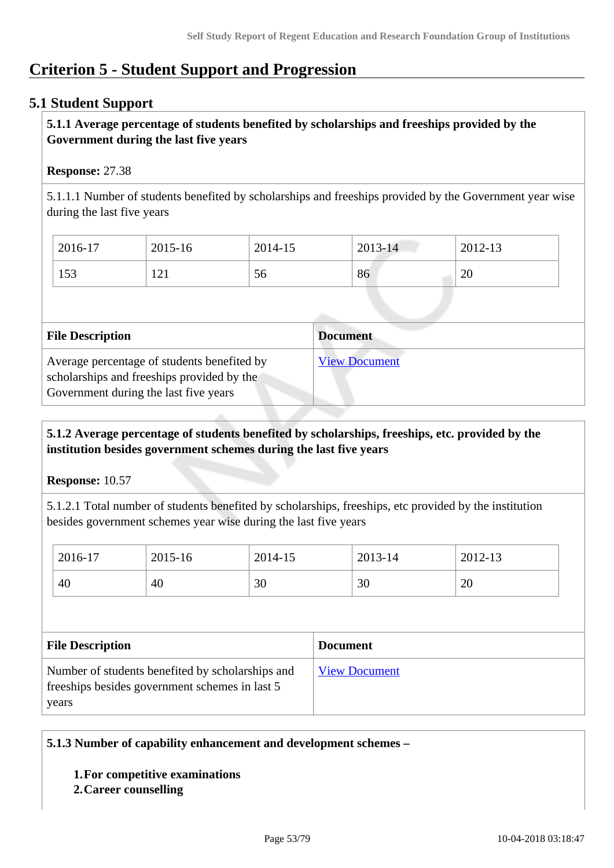# **Criterion 5 - Student Support and Progression**

# **5.1 Student Support**

## **5.1.1 Average percentage of students benefited by scholarships and freeships provided by the Government during the last five years**

## **Response:** 27.38

5.1.1.1 Number of students benefited by scholarships and freeships provided by the Government year wise during the last five years

| 2016-17 | 2015-16 | 2014-15 | $2013 - 14$ | 2012-13          |
|---------|---------|---------|-------------|------------------|
| 153     | 121     | 56      | 86          | $\Delta$ C<br>∠∪ |

| <b>File Description</b>                                                                                                            | <b>Document</b>      |
|------------------------------------------------------------------------------------------------------------------------------------|----------------------|
| Average percentage of students benefited by<br>scholarships and freeships provided by the<br>Government during the last five years | <b>View Document</b> |

## **5.1.2 Average percentage of students benefited by scholarships, freeships, etc. provided by the institution besides government schemes during the last five years**

**Response:** 10.57

5.1.2.1 Total number of students benefited by scholarships, freeships, etc provided by the institution besides government schemes year wise during the last five years

| 2016-17 | 2015-16 | 2014-15 | 2013-14 | 2012-13 |
|---------|---------|---------|---------|---------|
| 40      | 40      | 30      | 30      | 20      |

| <b>File Description</b>                                                                             | <b>Document</b>      |
|-----------------------------------------------------------------------------------------------------|----------------------|
| Number of students benefited by scholarships and<br>free ships besides government schemes in last 5 | <b>View Document</b> |
| years                                                                                               |                      |

## **5.1.3 Number of capability enhancement and development schemes –**

## **1.For competitive examinations**

#### **2.Career counselling**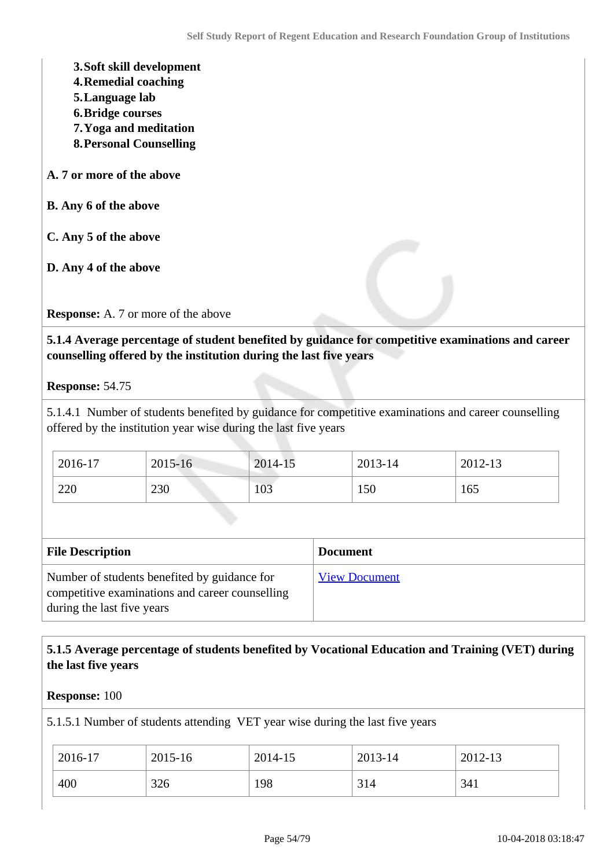- **3.Soft skill development**
- **4.Remedial coaching**
- **5.Language lab**
- **6.Bridge courses**
- **7.Yoga and meditation**
- **8.Personal Counselling**
- **A. 7 or more of the above**
- **B. Any 6 of the above**
- **C. Any 5 of the above**
- **D. Any 4 of the above**

**Response:** A. 7 or more of the above

 **5.1.4 Average percentage of student benefited by guidance for competitive examinations and career counselling offered by the institution during the last five years**

**Response:** 54.75

5.1.4.1 Number of students benefited by guidance for competitive examinations and career counselling offered by the institution year wise during the last five years

| 2016-17 | 2015-16 | 2014-15 | 2013-14 | 2012-13 |
|---------|---------|---------|---------|---------|
| 220     | 230     | 103     | 150     | 165     |

| <b>File Description</b>                                                                                                       | <b>Document</b>      |
|-------------------------------------------------------------------------------------------------------------------------------|----------------------|
| Number of students benefited by guidance for<br>competitive examinations and career counselling<br>during the last five years | <b>View Document</b> |

## **5.1.5 Average percentage of students benefited by Vocational Education and Training (VET) during the last five years**

#### **Response:** 100

5.1.5.1 Number of students attending VET year wise during the last five years

| 2016-17 | 2015-16 | 2014-15 | 2013-14 | 2012-13 |
|---------|---------|---------|---------|---------|
| 400     | 326     | 198     | 314     | 341     |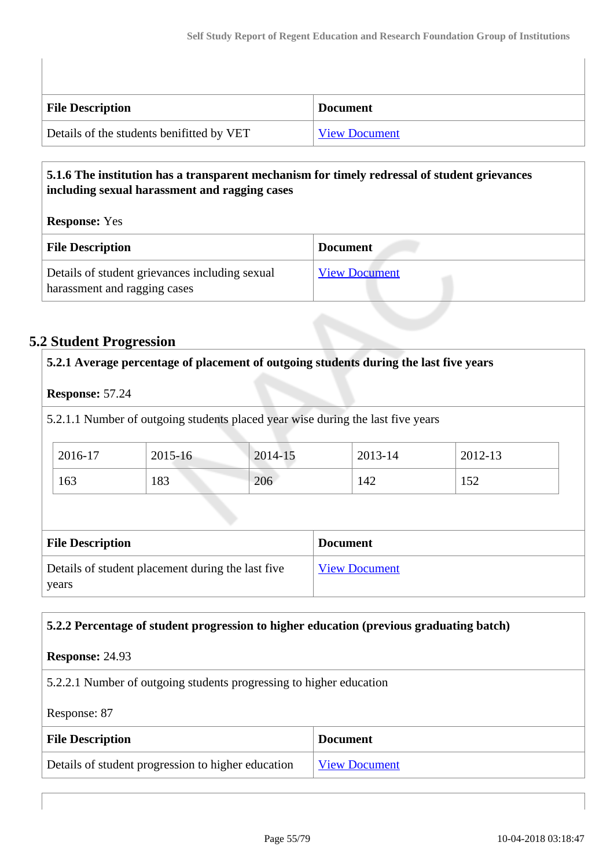| <b>File Description</b>                   | <b>Document</b>      |
|-------------------------------------------|----------------------|
| Details of the students benifitted by VET | <b>View Document</b> |

## **5.1.6 The institution has a transparent mechanism for timely redressal of student grievances including sexual harassment and ragging cases**

**Response:** Yes

| <b>File Description</b>                                                        | <b>Document</b>      |
|--------------------------------------------------------------------------------|----------------------|
| Details of student grievances including sexual<br>harassment and ragging cases | <b>View Document</b> |

# **5.2 Student Progression**

# **5.2.1 Average percentage of placement of outgoing students during the last five years**

## **Response:** 57.24

5.2.1.1 Number of outgoing students placed year wise during the last five years

| 2016-17 | 2015-16 | 2014-15 | 2013-14 | 2012-13 |
|---------|---------|---------|---------|---------|
| 163     | 183     | 206     | '42     | 1 J 4   |

| <b>File Description</b>                                    | <b>Document</b>      |
|------------------------------------------------------------|----------------------|
| Details of student placement during the last five<br>years | <b>View Document</b> |

## **5.2.2 Percentage of student progression to higher education (previous graduating batch)**

## **Response:** 24.93

5.2.2.1 Number of outgoing students progressing to higher education

## Response: 87

| <b>File Description</b>                            | <b>Document</b> |
|----------------------------------------------------|-----------------|
| Details of student progression to higher education | View Document   |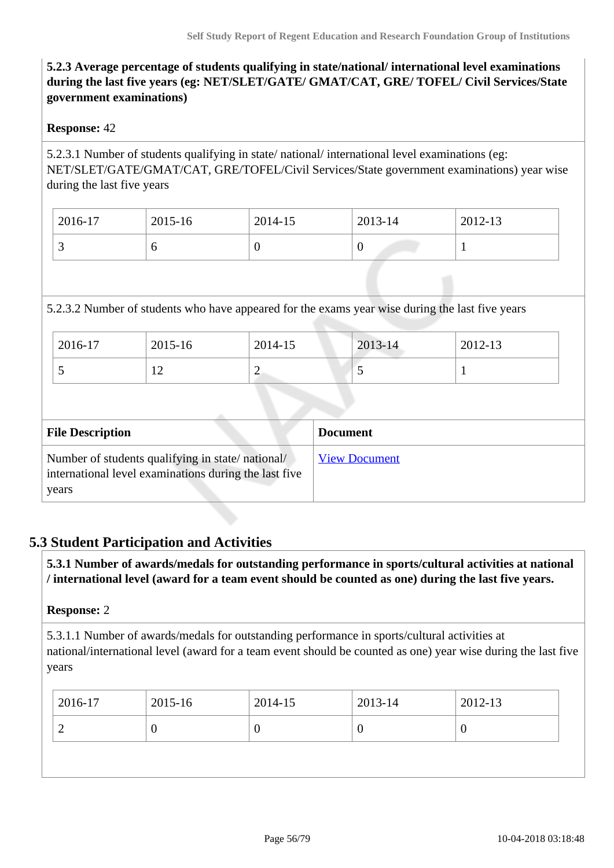## **5.2.3 Average percentage of students qualifying in state/national/ international level examinations during the last five years (eg: NET/SLET/GATE/ GMAT/CAT, GRE/ TOFEL/ Civil Services/State government examinations)**

## **Response:** 42

5.2.3.1 Number of students qualifying in state/ national/ international level examinations (eg: NET/SLET/GATE/GMAT/CAT, GRE/TOFEL/Civil Services/State government examinations) year wise during the last five years

| 2016-17  | 2015-16 | 2014-15 | 2013-14 | 2012-13 |
|----------|---------|---------|---------|---------|
| <u>ب</u> |         | ν       | ν       |         |

## 5.2.3.2 Number of students who have appeared for the exams year wise during the last five years

| 2016-17 | 2015-16                  | 2014-15 | 2013-14 | 2012-13 |
|---------|--------------------------|---------|---------|---------|
| . .     | $\overline{\phantom{0}}$ | ∼       | ີ       |         |

| <b>File Description</b>                                                                                            | <b>Document</b>      |
|--------------------------------------------------------------------------------------------------------------------|----------------------|
| Number of students qualifying in state/national/<br>international level examinations during the last five<br>years | <b>View Document</b> |

## **5.3 Student Participation and Activities**

 **5.3.1 Number of awards/medals for outstanding performance in sports/cultural activities at national / international level (award for a team event should be counted as one) during the last five years.**

#### **Response:** 2

5.3.1.1 Number of awards/medals for outstanding performance in sports/cultural activities at national/international level (award for a team event should be counted as one) year wise during the last five years

| -0<br>U |  |
|---------|--|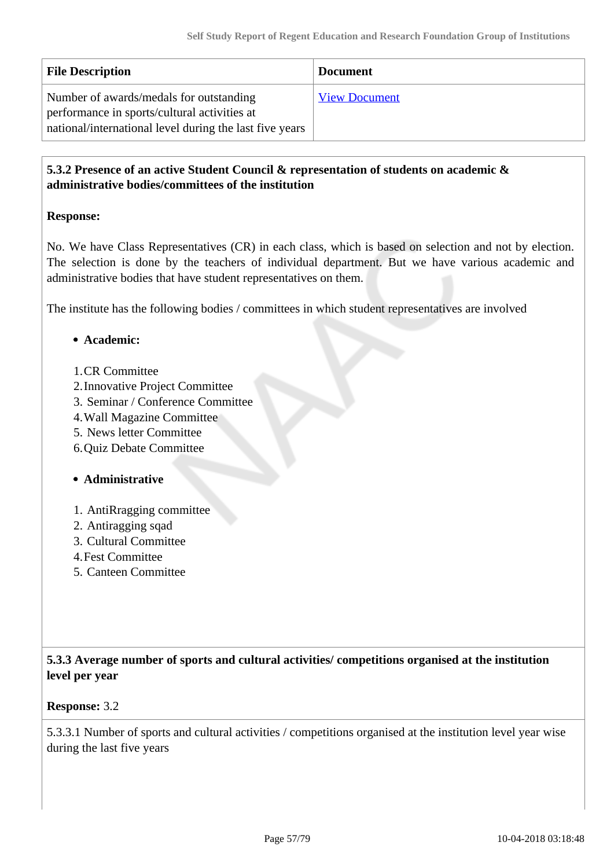| <b>File Description</b>                                                                                                                            | <b>Document</b>      |
|----------------------------------------------------------------------------------------------------------------------------------------------------|----------------------|
| Number of awards/medals for outstanding<br>performance in sports/cultural activities at<br>national/international level during the last five years | <b>View Document</b> |

## **5.3.2 Presence of an active Student Council & representation of students on academic & administrative bodies/committees of the institution**

## **Response:**

No. We have Class Representatives (CR) in each class, which is based on selection and not by election. The selection is done by the teachers of individual department. But we have various academic and administrative bodies that have student representatives on them.

The institute has the following bodies / committees in which student representatives are involved

## **Academic:**

- 1.CR Committee
- 2.Innovative Project Committee
- 3. Seminar / Conference Committee
- 4.Wall Magazine Committee
- 5. News letter Committee
- 6.Quiz Debate Committee

## **Administrative**

- 1. AntiRragging committee
- 2. Antiragging sqad
- 3. Cultural Committee
- 4.Fest Committee
- 5. Canteen Committee

 **5.3.3 Average number of sports and cultural activities/ competitions organised at the institution level per year**

## **Response:** 3.2

5.3.3.1 Number of sports and cultural activities / competitions organised at the institution level year wise during the last five years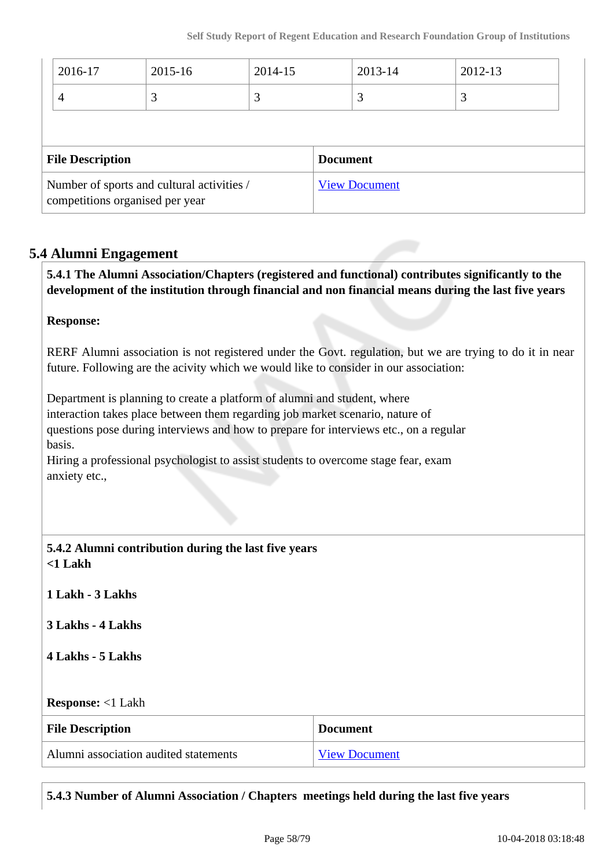| 2016-17                                                                       | 2015-16 | 2014-15 |                      | 2013-14 | 2012-13 |  |
|-------------------------------------------------------------------------------|---------|---------|----------------------|---------|---------|--|
| 4                                                                             | 3       | 3       |                      | 3       | 3       |  |
|                                                                               |         |         |                      |         |         |  |
| <b>File Description</b>                                                       |         |         | <b>Document</b>      |         |         |  |
| Number of sports and cultural activities /<br>competitions organised per year |         |         | <b>View Document</b> |         |         |  |

## **5.4 Alumni Engagement**

 **5.4.1 The Alumni Association/Chapters (registered and functional) contributes significantly to the development of the institution through financial and non financial means during the last five years**

## **Response:**

RERF Alumni association is not registered under the Govt. regulation, but we are trying to do it in near future. Following are the acivity which we would like to consider in our association:

Department is planning to create a platform of alumni and student, where interaction takes place between them regarding job market scenario, nature of questions pose during interviews and how to prepare for interviews etc., on a regular basis.

Hiring a professional psychologist to assist students to overcome stage fear, exam anxiety etc.,

| 5.4.2 Alumni contribution during the last five years |
|------------------------------------------------------|
| $\sim$ 1 Lakh                                        |

**1 Lakh - 3 Lakhs**

**3 Lakhs - 4 Lakhs**

**4 Lakhs - 5 Lakhs**

#### **Response:** <1 Lakh

| <b>File Description</b>               | <b>Document</b>      |
|---------------------------------------|----------------------|
| Alumni association audited statements | <b>View Document</b> |

**5.4.3 Number of Alumni Association / Chapters meetings held during the last five years**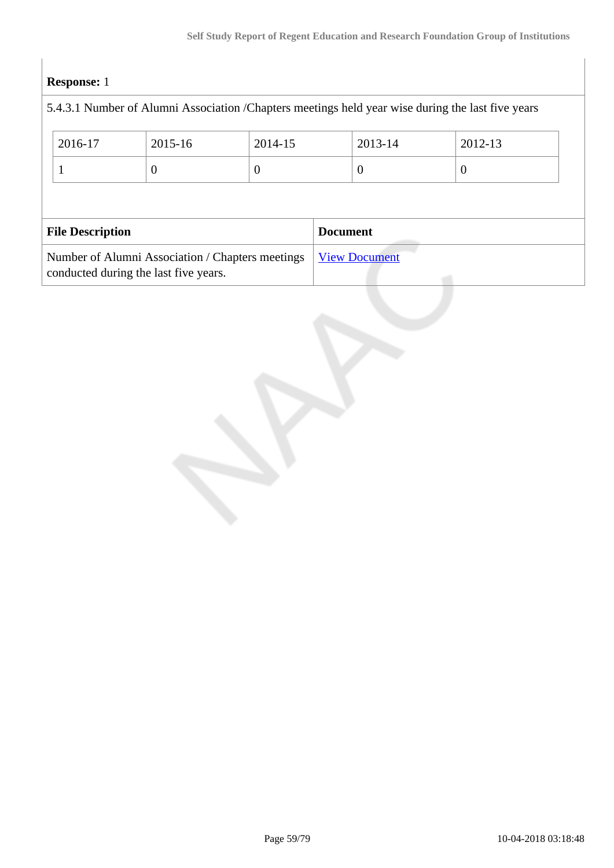# **Response:** 1

|                                                                                           | 5.4.3.1 Number of Alumni Association / Chapters meetings held year wise during the last five years |                  |          |                      |                 |          |  |
|-------------------------------------------------------------------------------------------|----------------------------------------------------------------------------------------------------|------------------|----------|----------------------|-----------------|----------|--|
|                                                                                           | 2016-17                                                                                            | $2015 - 16$      | 2014-15  |                      | 2013-14         | 2012-13  |  |
|                                                                                           |                                                                                                    | $\boldsymbol{0}$ | $\theta$ |                      | $\overline{0}$  | $\theta$ |  |
|                                                                                           |                                                                                                    |                  |          |                      |                 |          |  |
| <b>File Description</b>                                                                   |                                                                                                    |                  |          |                      | <b>Document</b> |          |  |
| Number of Alumni Association / Chapters meetings<br>conducted during the last five years. |                                                                                                    |                  |          | <b>View Document</b> |                 |          |  |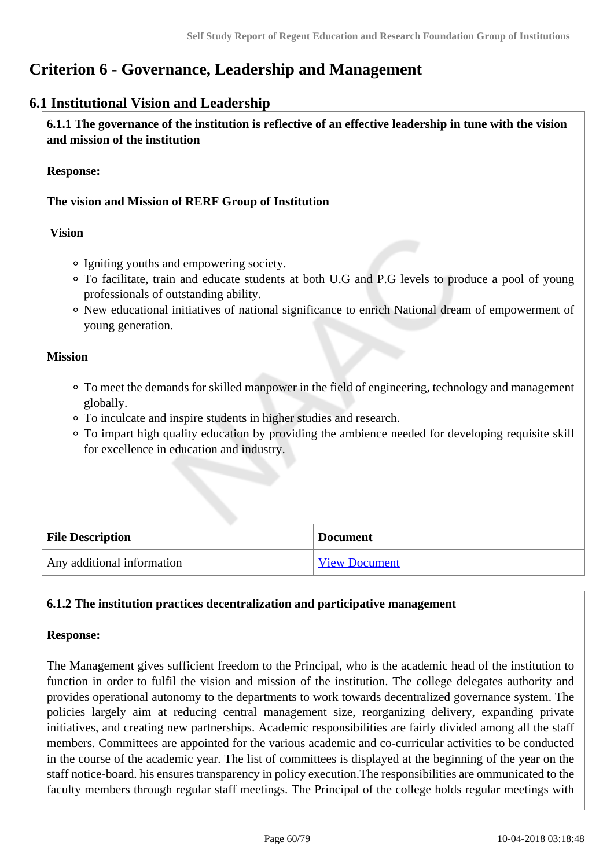# **Criterion 6 - Governance, Leadership and Management**

# **6.1 Institutional Vision and Leadership**

 **6.1.1 The governance of the institution is reflective of an effective leadership in tune with the vision and mission of the institution**

#### **Response:**

## **The vision and Mission of RERF Group of Institution**

#### **Vision**

- Igniting youths and empowering society.
- To facilitate, train and educate students at both U.G and P.G levels to produce a pool of young professionals of outstanding ability.
- New educational initiatives of national significance to enrich National dream of empowerment of young generation.

#### **Mission**

- To meet the demands for skilled manpower in the field of engineering, technology and management globally.
- To inculcate and inspire students in higher studies and research.
- To impart high quality education by providing the ambience needed for developing requisite skill for excellence in education and industry.

| <b>File Description</b>    | <b>Document</b> |
|----------------------------|-----------------|
| Any additional information | View Document   |

## **6.1.2 The institution practices decentralization and participative management**

## **Response:**

The Management gives sufficient freedom to the Principal, who is the academic head of the institution to function in order to fulfil the vision and mission of the institution. The college delegates authority and provides operational autonomy to the departments to work towards decentralized governance system. The policies largely aim at reducing central management size, reorganizing delivery, expanding private initiatives, and creating new partnerships. Academic responsibilities are fairly divided among all the staff members. Committees are appointed for the various academic and co-curricular activities to be conducted in the course of the academic year. The list of committees is displayed at the beginning of the year on the staff notice-board. his ensures transparency in policy execution.The responsibilities are ommunicated to the faculty members through regular staff meetings. The Principal of the college holds regular meetings with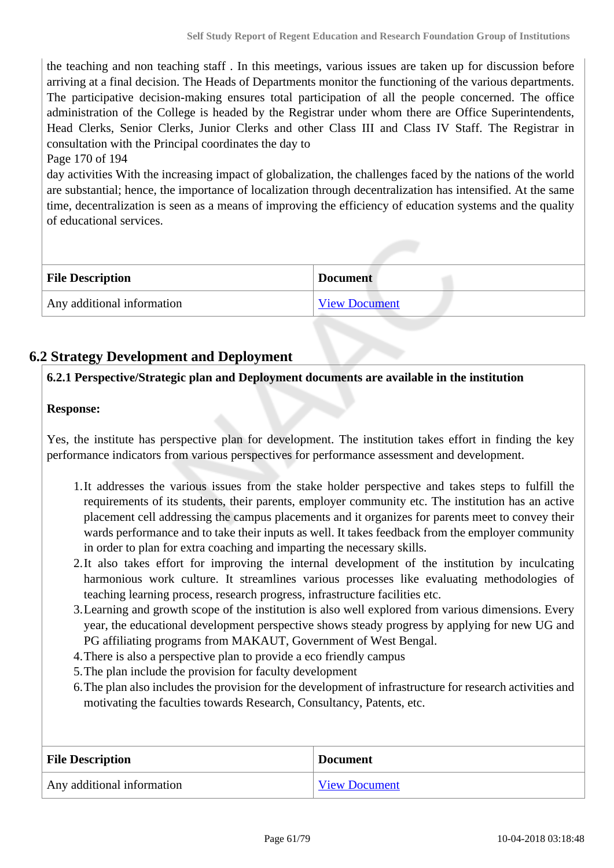the teaching and non teaching staff . In this meetings, various issues are taken up for discussion before arriving at a final decision. The Heads of Departments monitor the functioning of the various departments. The participative decision-making ensures total participation of all the people concerned. The office administration of the College is headed by the Registrar under whom there are Office Superintendents, Head Clerks, Senior Clerks, Junior Clerks and other Class III and Class IV Staff. The Registrar in consultation with the Principal coordinates the day to

## Page 170 of 194

day activities With the increasing impact of globalization, the challenges faced by the nations of the world are substantial; hence, the importance of localization through decentralization has intensified. At the same time, decentralization is seen as a means of improving the efficiency of education systems and the quality of educational services.

| <b>File Description</b>    | <b>Document</b> |
|----------------------------|-----------------|
| Any additional information | View Document   |

# **6.2 Strategy Development and Deployment**

## **6.2.1 Perspective/Strategic plan and Deployment documents are available in the institution**

## **Response:**

Yes, the institute has perspective plan for development. The institution takes effort in finding the key performance indicators from various perspectives for performance assessment and development.

- 1.It addresses the various issues from the stake holder perspective and takes steps to fulfill the requirements of its students, their parents, employer community etc. The institution has an active placement cell addressing the campus placements and it organizes for parents meet to convey their wards performance and to take their inputs as well. It takes feedback from the employer community in order to plan for extra coaching and imparting the necessary skills.
- 2.It also takes effort for improving the internal development of the institution by inculcating harmonious work culture. It streamlines various processes like evaluating methodologies of teaching learning process, research progress, infrastructure facilities etc.
- 3.Learning and growth scope of the institution is also well explored from various dimensions. Every year, the educational development perspective shows steady progress by applying for new UG and PG affiliating programs from MAKAUT, Government of West Bengal.
- 4.There is also a perspective plan to provide a eco friendly campus
- 5.The plan include the provision for faculty development
- 6.The plan also includes the provision for the development of infrastructure for research activities and motivating the faculties towards Research, Consultancy, Patents, etc.

| <b>File Description</b>    | <b>Document</b>      |
|----------------------------|----------------------|
| Any additional information | <b>View Document</b> |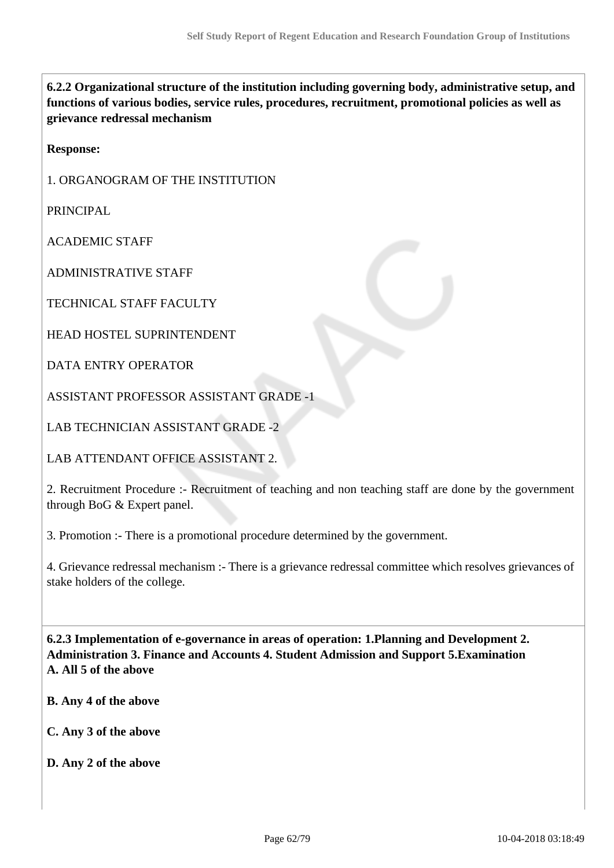**6.2.2 Organizational structure of the institution including governing body, administrative setup, and functions of various bodies, service rules, procedures, recruitment, promotional policies as well as grievance redressal mechanism**

**Response:** 

1. ORGANOGRAM OF THE INSTITUTION

PRINCIPAL

ACADEMIC STAFF

ADMINISTRATIVE STAFF

TECHNICAL STAFF FACULTY

HEAD HOSTEL SUPRINTENDENT

DATA ENTRY OPERATOR

ASSISTANT PROFESSOR ASSISTANT GRADE -1

LAB TECHNICIAN ASSISTANT GRADE -2

LAB ATTENDANT OFFICE ASSISTANT 2.

2. Recruitment Procedure :- Recruitment of teaching and non teaching staff are done by the government through BoG & Expert panel.

3. Promotion :- There is a promotional procedure determined by the government.

4. Grievance redressal mechanism :- There is a grievance redressal committee which resolves grievances of stake holders of the college.

 **6.2.3 Implementation of e-governance in areas of operation: 1.Planning and Development 2. Administration 3. Finance and Accounts 4. Student Admission and Support 5.Examination A. All 5 of the above**

**B. Any 4 of the above**

**C. Any 3 of the above**

**D. Any 2 of the above**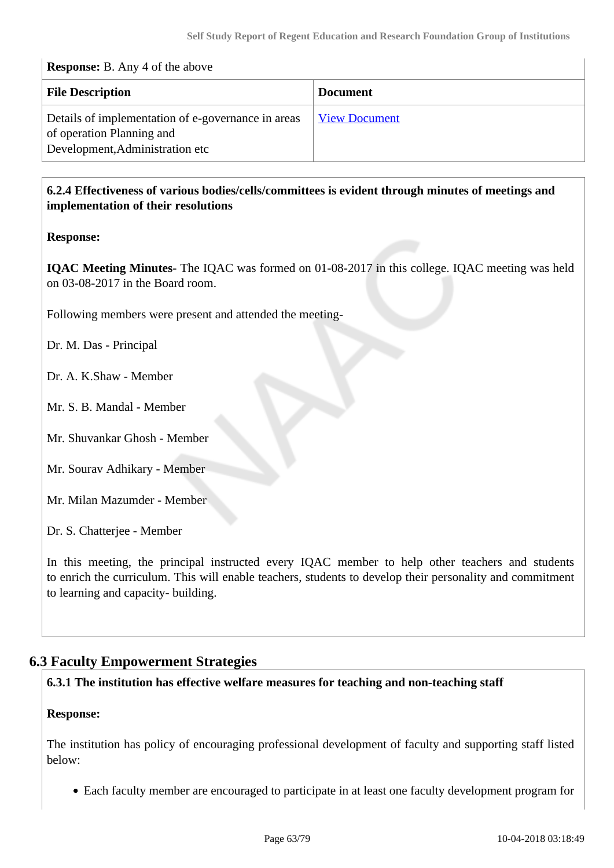| <b>Response:</b> B. Any 4 of the above                                                                             |                      |  |  |
|--------------------------------------------------------------------------------------------------------------------|----------------------|--|--|
| <b>File Description</b>                                                                                            | <b>Document</b>      |  |  |
| Details of implementation of e-governance in areas<br>of operation Planning and<br>Development, Administration etc | <b>View Document</b> |  |  |

## **6.2.4 Effectiveness of various bodies/cells/committees is evident through minutes of meetings and implementation of their resolutions**

## **Response:**

**IQAC Meeting Minutes**- The IQAC was formed on 01-08-2017 in this college. IQAC meeting was held on 03-08-2017 in the Board room.

Following members were present and attended the meeting-

Dr. M. Das - Principal

Dr. A. K.Shaw - Member

Mr. S. B. Mandal - Member

Mr. Shuvankar Ghosh - Member

Mr. Sourav Adhikary - Member

Mr. Milan Mazumder - Member

Dr. S. Chatterjee - Member

In this meeting, the principal instructed every IQAC member to help other teachers and students to enrich the curriculum. This will enable teachers, students to develop their personality and commitment to learning and capacity- building.

# **6.3 Faculty Empowerment Strategies**

## **6.3.1 The institution has effective welfare measures for teaching and non-teaching staff**

## **Response:**

The institution has policy of encouraging professional development of faculty and supporting staff listed below:

Each faculty member are encouraged to participate in at least one faculty development program for

 $\overline{1}$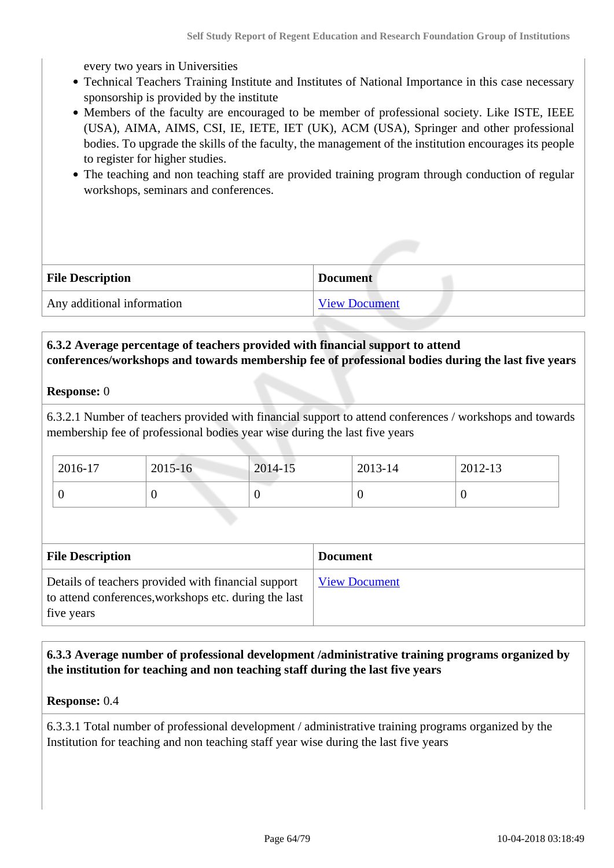every two years in Universities

- Technical Teachers Training Institute and Institutes of National Importance in this case necessary sponsorship is provided by the institute
- Members of the faculty are encouraged to be member of professional society. Like ISTE, IEEE (USA), AIMA, AIMS, CSI, IE, IETE, IET (UK), ACM (USA), Springer and other professional bodies. To upgrade the skills of the faculty, the management of the institution encourages its people to register for higher studies.
- The teaching and non teaching staff are provided training program through conduction of regular workshops, seminars and conferences.

| <b>File Description</b>    | <b>Document</b>      |
|----------------------------|----------------------|
| Any additional information | <b>View Document</b> |

## **6.3.2 Average percentage of teachers provided with financial support to attend conferences/workshops and towards membership fee of professional bodies during the last five years**

#### **Response:** 0

6.3.2.1 Number of teachers provided with financial support to attend conferences / workshops and towards membership fee of professional bodies year wise during the last five years

| 2016-17 | $2015 - 16$ | 2014-15 | $2013 - 14$ | 2012-13 |
|---------|-------------|---------|-------------|---------|
|         |             | ν       | ν           |         |

| <b>File Description</b>                                                                                                    | <b>Document</b>      |
|----------------------------------------------------------------------------------------------------------------------------|----------------------|
| Details of teachers provided with financial support<br>to attend conferences, workshops etc. during the last<br>five years | <b>View Document</b> |

 **6.3.3 Average number of professional development /administrative training programs organized by the institution for teaching and non teaching staff during the last five years**

#### **Response:** 0.4

6.3.3.1 Total number of professional development / administrative training programs organized by the Institution for teaching and non teaching staff year wise during the last five years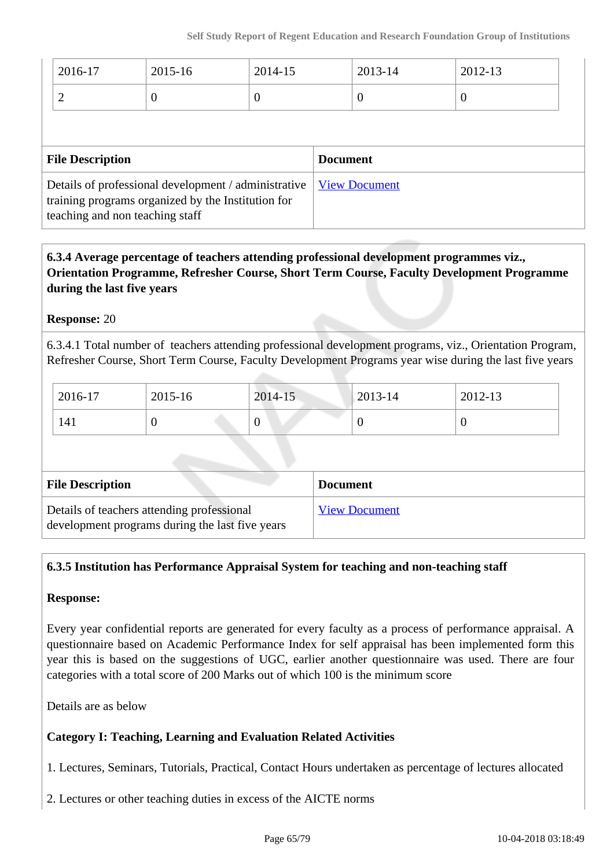| 2016-17 | 2015-16 | 2014-15 | 2013-14 | 2012-13 |
|---------|---------|---------|---------|---------|
| ∽       |         |         | ν       |         |

| <b>File Description</b>                                                                                                                                              | <b>Document</b> |
|----------------------------------------------------------------------------------------------------------------------------------------------------------------------|-----------------|
| Details of professional development / administrative   <u>View Document</u><br>training programs organized by the Institution for<br>teaching and non teaching staff |                 |

 **6.3.4 Average percentage of teachers attending professional development programmes viz., Orientation Programme, Refresher Course, Short Term Course, Faculty Development Programme during the last five years**

## **Response:** 20

6.3.4.1 Total number of teachers attending professional development programs, viz., Orientation Program, Refresher Course, Short Term Course, Faculty Development Programs year wise during the last five years

| 2016-17 | 2015-16 | 2014-15 | 2013-14 | 2012-13 |
|---------|---------|---------|---------|---------|
| 141     |         | ິ       | ν       | ν       |

| <b>File Description</b>                                                                       | <b>Document</b>      |
|-----------------------------------------------------------------------------------------------|----------------------|
| Details of teachers attending professional<br>development programs during the last five years | <b>View Document</b> |

## **6.3.5 Institution has Performance Appraisal System for teaching and non-teaching staff**

## **Response:**

Every year confidential reports are generated for every faculty as a process of performance appraisal. A questionnaire based on Academic Performance Index for self appraisal has been implemented form this year this is based on the suggestions of UGC, earlier another questionnaire was used. There are four categories with a total score of 200 Marks out of which 100 is the minimum score

Details are as below

## **Category I: Teaching, Learning and Evaluation Related Activities**

1. Lectures, Seminars, Tutorials, Practical, Contact Hours undertaken as percentage of lectures allocated

2. Lectures or other teaching duties in excess of the AICTE norms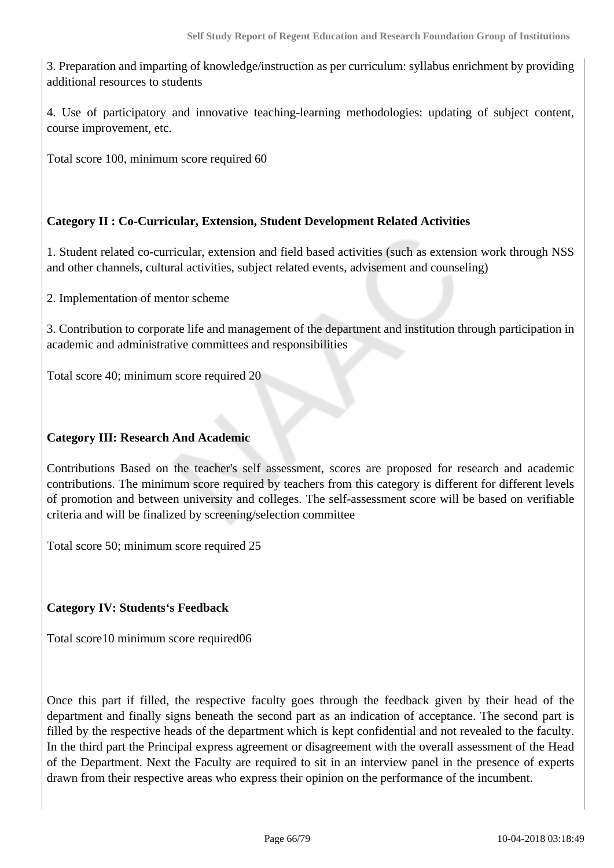3. Preparation and imparting of knowledge/instruction as per curriculum: syllabus enrichment by providing additional resources to students

4. Use of participatory and innovative teaching-learning methodologies: updating of subject content, course improvement, etc.

Total score 100, minimum score required 60

## **Category II : Co-Curricular, Extension, Student Development Related Activities**

1. Student related co-curricular, extension and field based activities (such as extension work through NSS and other channels, cultural activities, subject related events, advisement and counseling)

2. Implementation of mentor scheme

3. Contribution to corporate life and management of the department and institution through participation in academic and administrative committees and responsibilities

Total score 40; minimum score required 20

## **Category III: Research And Academic**

Contributions Based on the teacher's self assessment, scores are proposed for research and academic contributions. The minimum score required by teachers from this category is different for different levels of promotion and between university and colleges. The self-assessment score will be based on verifiable criteria and will be finalized by screening/selection committee

Total score 50; minimum score required 25

## **Category IV: Students's Feedback**

Total score10 minimum score required06

Once this part if filled, the respective faculty goes through the feedback given by their head of the department and finally signs beneath the second part as an indication of acceptance. The second part is filled by the respective heads of the department which is kept confidential and not revealed to the faculty. In the third part the Principal express agreement or disagreement with the overall assessment of the Head of the Department. Next the Faculty are required to sit in an interview panel in the presence of experts drawn from their respective areas who express their opinion on the performance of the incumbent.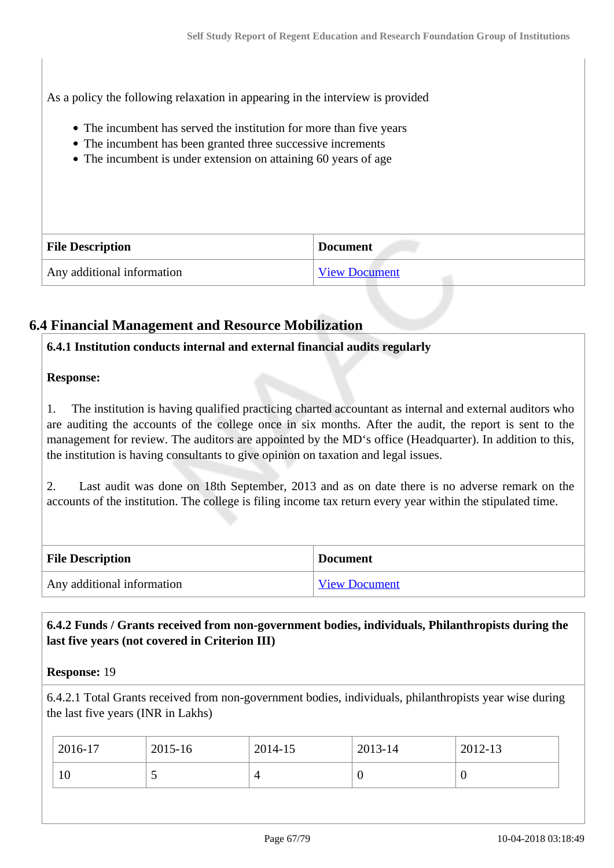As a policy the following relaxation in appearing in the interview is provided

- The incumbent has served the institution for more than five years
- The incumbent has been granted three successive increments
- The incumbent is under extension on attaining 60 years of age

| <b>File Description</b>    | <b>Document</b>      |  |
|----------------------------|----------------------|--|
| Any additional information | <b>View Document</b> |  |

# **6.4 Financial Management and Resource Mobilization**

## **6.4.1 Institution conducts internal and external financial audits regularly**

## **Response:**

1. The institution is having qualified practicing charted accountant as internal and external auditors who are auditing the accounts of the college once in six months. After the audit, the report is sent to the management for review. The auditors are appointed by the MD's office (Headquarter). In addition to this, the institution is having consultants to give opinion on taxation and legal issues.

2. Last audit was done on 18th September, 2013 and as on date there is no adverse remark on the accounts of the institution. The college is filing income tax return every year within the stipulated time.

| <b>File Description</b>    | <b>Document</b>      |
|----------------------------|----------------------|
| Any additional information | <b>View Document</b> |

## **6.4.2 Funds / Grants received from non-government bodies, individuals, Philanthropists during the last five years (not covered in Criterion III)**

## **Response:** 19

6.4.2.1 Total Grants received from non-government bodies, individuals, philanthropists year wise during the last five years (INR in Lakhs)

| 2016-17 | 2015-16 | 2014-15    | 2013-14 | 2012-13 |
|---------|---------|------------|---------|---------|
| 10      | ັ       | $\sqrt{ }$ | ν       | U       |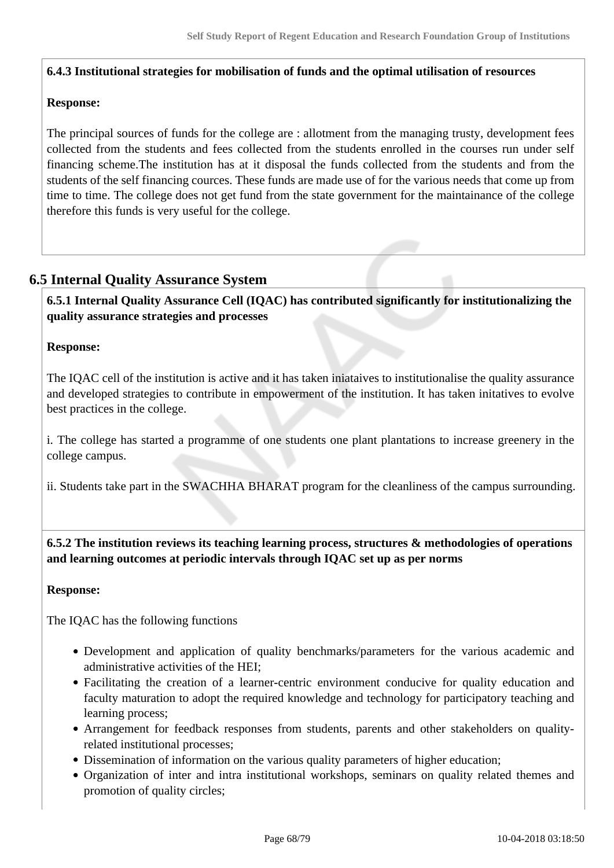#### **6.4.3 Institutional strategies for mobilisation of funds and the optimal utilisation of resources**

#### **Response:**

The principal sources of funds for the college are : allotment from the managing trusty, development fees collected from the students and fees collected from the students enrolled in the courses run under self financing scheme.The institution has at it disposal the funds collected from the students and from the students of the self financing cources. These funds are made use of for the various needs that come up from time to time. The college does not get fund from the state government for the maintainance of the college therefore this funds is very useful for the college.

## **6.5 Internal Quality Assurance System**

 **6.5.1 Internal Quality Assurance Cell (IQAC) has contributed significantly for institutionalizing the quality assurance strategies and processes**

#### **Response:**

The IQAC cell of the institution is active and it has taken iniataives to institutionalise the quality assurance and developed strategies to contribute in empowerment of the institution. It has taken initatives to evolve best practices in the college.

i. The college has started a programme of one students one plant plantations to increase greenery in the college campus.

ii. Students take part in the SWACHHA BHARAT program for the cleanliness of the campus surrounding.

 **6.5.2 The institution reviews its teaching learning process, structures & methodologies of operations and learning outcomes at periodic intervals through IQAC set up as per norms**

#### **Response:**

The IQAC has the following functions

- Development and application of quality benchmarks/parameters for the various academic and administrative activities of the HEI;
- Facilitating the creation of a learner-centric environment conducive for quality education and faculty maturation to adopt the required knowledge and technology for participatory teaching and learning process;
- Arrangement for feedback responses from students, parents and other stakeholders on qualityrelated institutional processes;
- Dissemination of information on the various quality parameters of higher education;
- Organization of inter and intra institutional workshops, seminars on quality related themes and promotion of quality circles;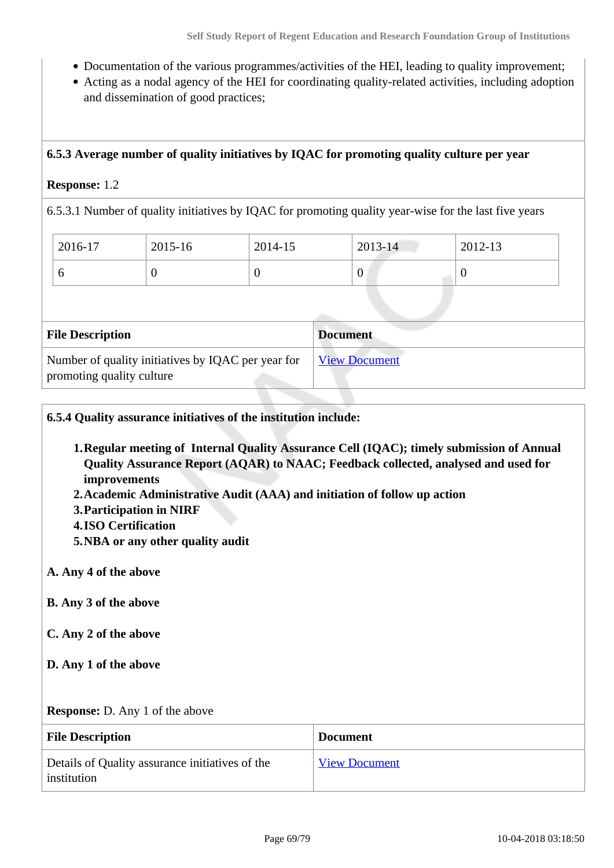- Documentation of the various programmes/activities of the HEI, leading to quality improvement;
- Acting as a nodal agency of the HEI for coordinating quality-related activities, including adoption and dissemination of good practices;

#### **6.5.3 Average number of quality initiatives by IQAC for promoting quality culture per year**

#### **Response:** 1.2

6.5.3.1 Number of quality initiatives by IQAC for promoting quality year-wise for the last five years

| 2016-17 | 2015-16 | 2014-15 | 2013-14          | 2012-13 |
|---------|---------|---------|------------------|---------|
| ◡       | U       |         | $\boldsymbol{0}$ |         |

| <b>File Description</b>                                                         | <b>Document</b>      |
|---------------------------------------------------------------------------------|----------------------|
| Number of quality initiatives by IQAC per year for<br>promoting quality culture | <b>View Document</b> |

**6.5.4 Quality assurance initiatives of the institution include:**

- **1.Regular meeting of Internal Quality Assurance Cell (IQAC); timely submission of Annual Quality Assurance Report (AQAR) to NAAC; Feedback collected, analysed and used for improvements**
- **2.Academic Administrative Audit (AAA) and initiation of follow up action**
- **3.Participation in NIRF**
- **4.ISO Certification**
- **5.NBA or any other quality audit**
- **A. Any 4 of the above**
- **B. Any 3 of the above**
- **C. Any 2 of the above**
- **D. Any 1 of the above**

**Response:** D. Any 1 of the above

| <b>File Description</b>                                        | <b>Document</b>      |
|----------------------------------------------------------------|----------------------|
| Details of Quality assurance initiatives of the<br>institution | <b>View Document</b> |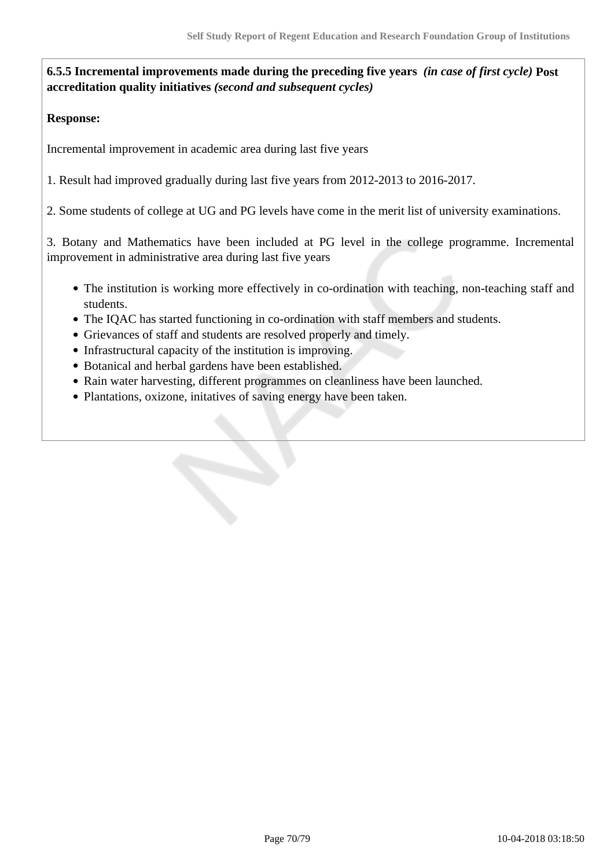**6.5.5 Incremental improvements made during the preceding five years** *(in case of first cycle)* **Post accreditation quality initiatives** *(second and subsequent cycles)*

## **Response:**

Incremental improvement in academic area during last five years

1. Result had improved gradually during last five years from 2012-2013 to 2016-2017.

2. Some students of college at UG and PG levels have come in the merit list of university examinations.

3. Botany and Mathematics have been included at PG level in the college programme. Incremental improvement in administrative area during last five years

- The institution is working more effectively in co-ordination with teaching, non-teaching staff and students.
- The IQAC has started functioning in co-ordination with staff members and students.
- Grievances of staff and students are resolved properly and timely.
- Infrastructural capacity of the institution is improving.
- Botanical and herbal gardens have been established.
- Rain water harvesting, different programmes on cleanliness have been launched.
- Plantations, oxizone, initatives of saving energy have been taken.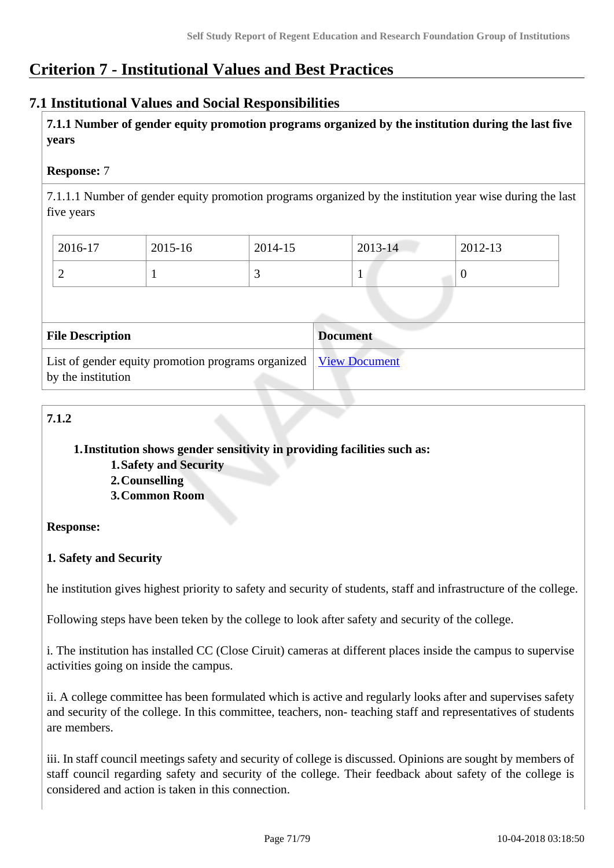# **Criterion 7 - Institutional Values and Best Practices**

# **7.1 Institutional Values and Social Responsibilities**

 **7.1.1 Number of gender equity promotion programs organized by the institution during the last five years** 

## **Response:** 7

7.1.1.1 Number of gender equity promotion programs organized by the institution year wise during the last five years

| 2016-17 | 2015-16 | 2014-15 | $2013 - 14$ | 2012-13 |
|---------|---------|---------|-------------|---------|
| ∽       |         |         |             | ν       |

| <b>File Description</b>                                                                  | <b>Document</b> |
|------------------------------------------------------------------------------------------|-----------------|
| List of gender equity promotion programs organized   View Document<br>by the institution |                 |

# **7.1.2**

## **1.Institution shows gender sensitivity in providing facilities such as:**

- **1.Safety and Security**
- **2.Counselling**
- **3.Common Room**

## **Response:**

## **1. Safety and Security**

he institution gives highest priority to safety and security of students, staff and infrastructure of the college.

Following steps have been teken by the college to look after safety and security of the college.

i. The institution has installed CC (Close Ciruit) cameras at different places inside the campus to supervise activities going on inside the campus.

ii. A college committee has been formulated which is active and regularly looks after and supervises safety and security of the college. In this committee, teachers, non- teaching staff and representatives of students are members.

iii. In staff council meetings safety and security of college is discussed. Opinions are sought by members of staff council regarding safety and security of the college. Their feedback about safety of the college is considered and action is taken in this connection.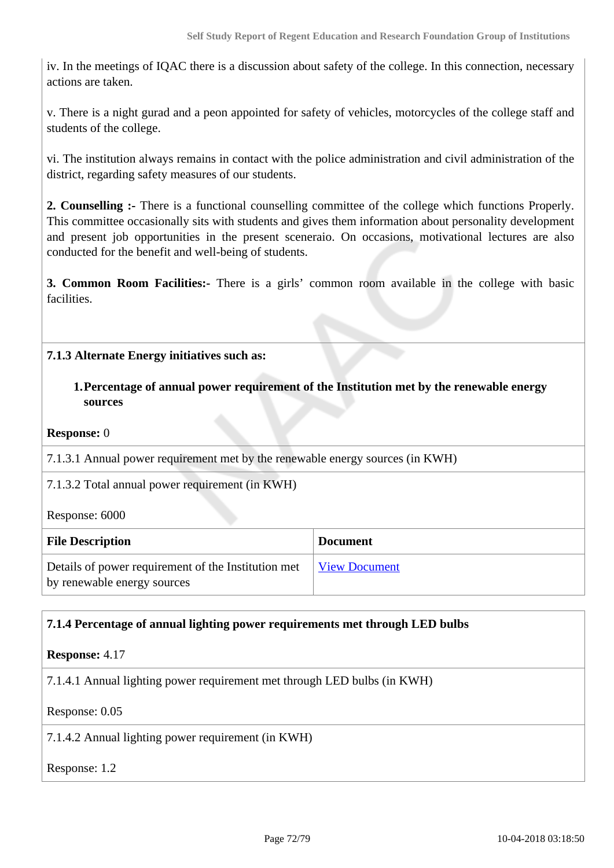iv. In the meetings of IQAC there is a discussion about safety of the college. In this connection, necessary actions are taken.

v. There is a night gurad and a peon appointed for safety of vehicles, motorcycles of the college staff and students of the college.

vi. The institution always remains in contact with the police administration and civil administration of the district, regarding safety measures of our students.

**2. Counselling :-** There is a functional counselling committee of the college which functions Properly. This committee occasionally sits with students and gives them information about personality development and present job opportunities in the present sceneraio. On occasions, motivational lectures are also conducted for the benefit and well-being of students.

**3. Common Room Facilities:-** There is a girls' common room available in the college with basic facilities.

## **7.1.3 Alternate Energy initiatives such as:**

**1.Percentage of annual power requirement of the Institution met by the renewable energy sources**

#### **Response:** 0

7.1.3.1 Annual power requirement met by the renewable energy sources (in KWH)

7.1.3.2 Total annual power requirement (in KWH)

Response: 6000

| <b>File Description</b>                                                            | <b>Document</b>      |
|------------------------------------------------------------------------------------|----------------------|
| Details of power requirement of the Institution met<br>by renewable energy sources | <b>View Document</b> |

## **7.1.4 Percentage of annual lighting power requirements met through LED bulbs**

#### **Response:** 4.17

7.1.4.1 Annual lighting power requirement met through LED bulbs (in KWH)

#### Response: 0.05

7.1.4.2 Annual lighting power requirement (in KWH)

#### Response: 1.2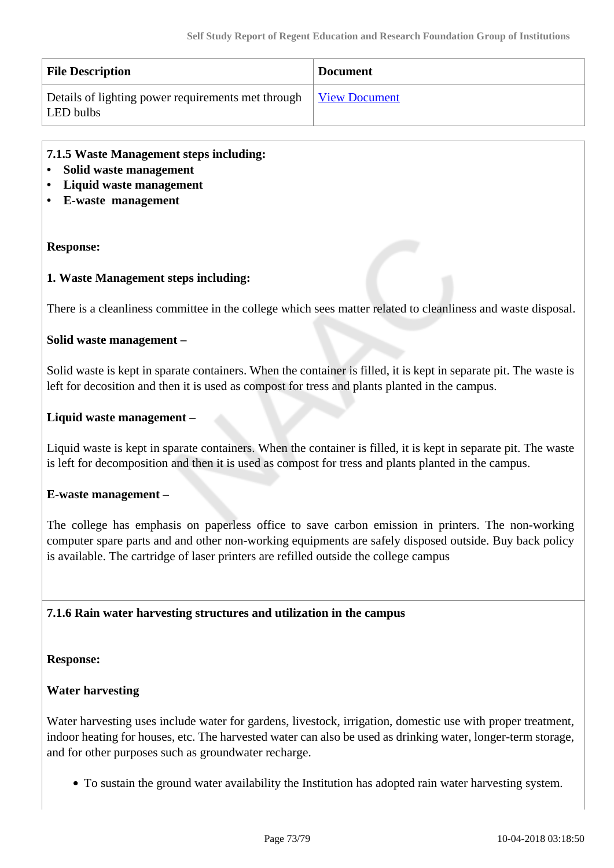| <b>File Description</b>                                                       | <b>Document</b> |
|-------------------------------------------------------------------------------|-----------------|
| Details of lighting power requirements met through View Document<br>LED bulbs |                 |

#### **7.1.5 Waste Management steps including:**

- **Solid waste management**
- **Liquid waste management**
- **E-waste management**

#### **Response:**

#### **1. Waste Management steps including:**

There is a cleanliness committee in the college which sees matter related to cleanliness and waste disposal.

#### **Solid waste management –**

Solid waste is kept in sparate containers. When the container is filled, it is kept in separate pit. The waste is left for decosition and then it is used as compost for tress and plants planted in the campus.

#### **Liquid waste management –**

Liquid waste is kept in sparate containers. When the container is filled, it is kept in separate pit. The waste is left for decomposition and then it is used as compost for tress and plants planted in the campus.

#### **E-waste management –**

The college has emphasis on paperless office to save carbon emission in printers. The non-working computer spare parts and and other non-working equipments are safely disposed outside. Buy back policy is available. The cartridge of laser printers are refilled outside the college campus

#### **7.1.6 Rain water harvesting structures and utilization in the campus**

#### **Response:**

#### **Water harvesting**

Water harvesting uses include water for gardens, livestock, irrigation, domestic use with proper treatment, indoor heating for houses, etc. The harvested water can also be used as drinking water, longer-term storage, and for other purposes such as groundwater recharge.

To sustain the ground water availability the Institution has adopted rain water harvesting system.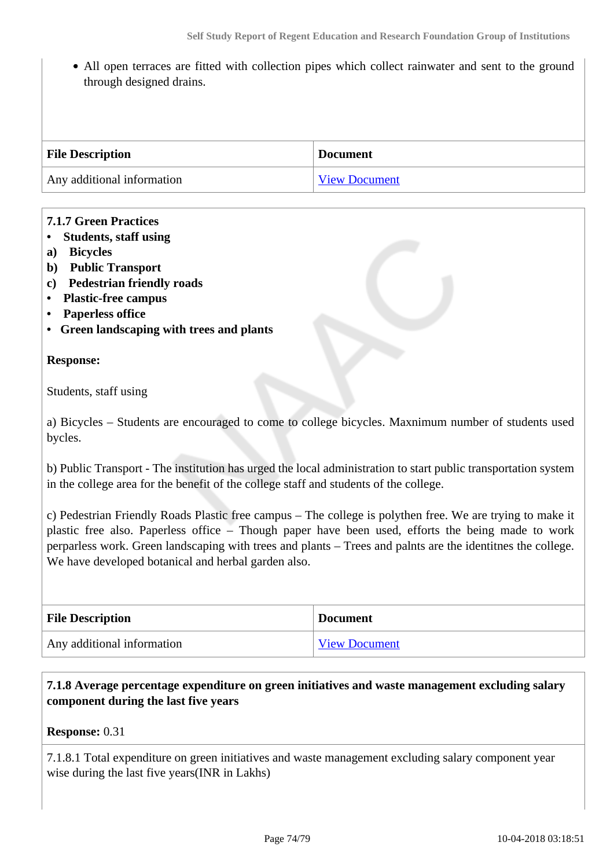• All open terraces are fitted with collection pipes which collect rainwater and sent to the ground through designed drains.

| <b>File Description</b>    | <b>Document</b>      |
|----------------------------|----------------------|
| Any additional information | <b>View Document</b> |

### **7.1.7 Green Practices**

- **Students, staff using**
- **a) Bicycles**
- **b) Public Transport**
- **c) Pedestrian friendly roads**
- **Plastic-free campus**
- **Paperless office**
- **Green landscaping with trees and plants**

#### **Response:**

Students, staff using

a) Bicycles – Students are encouraged to come to college bicycles. Maxnimum number of students used bycles.

b) Public Transport - The institution has urged the local administration to start public transportation system in the college area for the benefit of the college staff and students of the college.

c) Pedestrian Friendly Roads Plastic free campus – The college is polythen free. We are trying to make it plastic free also. Paperless office – Though paper have been used, efforts the being made to work perparless work. Green landscaping with trees and plants – Trees and palnts are the identitnes the college. We have developed botanical and herbal garden also.

| <b>File Description</b>    | <b>Document</b>      |
|----------------------------|----------------------|
| Any additional information | <b>View Document</b> |

# **7.1.8 Average percentage expenditure on green initiatives and waste management excluding salary component during the last five years**

#### **Response:** 0.31

7.1.8.1 Total expenditure on green initiatives and waste management excluding salary component year wise during the last five years(INR in Lakhs)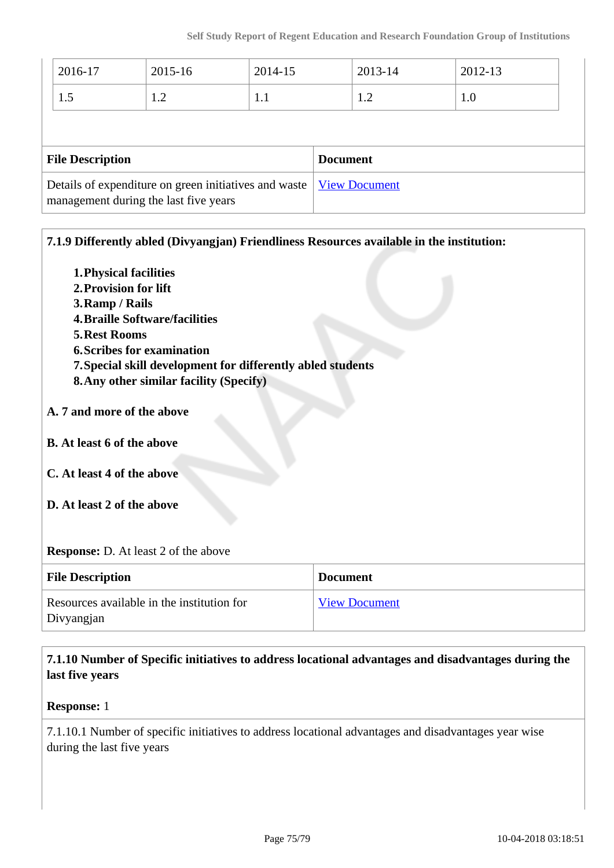| 2016-17                                                                                        | 2015-16 | 2014-15         |                      | 2013-14 | 2012-13 |  |
|------------------------------------------------------------------------------------------------|---------|-----------------|----------------------|---------|---------|--|
| 1.5                                                                                            | 1.2     | 1.1             |                      | 1.2     | 1.0     |  |
|                                                                                                |         |                 |                      |         |         |  |
| <b>File Description</b>                                                                        |         | <b>Document</b> |                      |         |         |  |
| Details of expenditure on green initiatives and waste<br>management during the last five years |         |                 | <b>View Document</b> |         |         |  |

| 7.1.9 Differently abled (Divyangjan) Friendliness Resources available in the institution: |                      |  |
|-------------------------------------------------------------------------------------------|----------------------|--|
| 1. Physical facilities                                                                    |                      |  |
| 2. Provision for lift                                                                     |                      |  |
| 3. Ramp / Rails                                                                           |                      |  |
| <b>4. Braille Software/facilities</b>                                                     |                      |  |
| <b>5. Rest Rooms</b>                                                                      |                      |  |
| <b>6. Scribes for examination</b>                                                         |                      |  |
| 7. Special skill development for differently abled students                               |                      |  |
| 8. Any other similar facility (Specify)                                                   |                      |  |
|                                                                                           |                      |  |
| A. 7 and more of the above                                                                |                      |  |
| <b>B.</b> At least 6 of the above                                                         |                      |  |
| C. At least 4 of the above                                                                |                      |  |
| D. At least 2 of the above                                                                |                      |  |
| <b>Response:</b> D. At least 2 of the above                                               |                      |  |
| <b>File Description</b>                                                                   | <b>Document</b>      |  |
| Resources available in the institution for<br>Divyangjan                                  | <b>View Document</b> |  |
|                                                                                           |                      |  |

 **7.1.10 Number of Specific initiatives to address locational advantages and disadvantages during the last five years**

## **Response:** 1

7.1.10.1 Number of specific initiatives to address locational advantages and disadvantages year wise during the last five years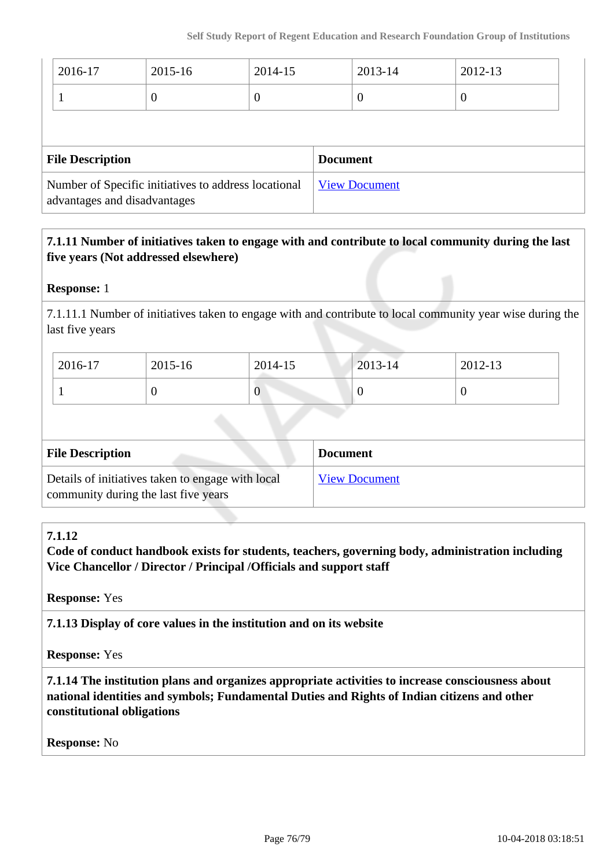| 2016-17                                                                              | 2015-16  | 2014-15              | 2013-14  | 2012-13          |  |
|--------------------------------------------------------------------------------------|----------|----------------------|----------|------------------|--|
|                                                                                      | $\theta$ | O                    | $\theta$ | $\boldsymbol{0}$ |  |
|                                                                                      |          |                      |          |                  |  |
| <b>File Description</b>                                                              |          | <b>Document</b>      |          |                  |  |
| Number of Specific initiatives to address locational<br>advantages and disadvantages |          | <b>View Document</b> |          |                  |  |

# **7.1.11 Number of initiatives taken to engage with and contribute to local community during the last five years (Not addressed elsewhere)**

# **Response:** 1

7.1.11.1 Number of initiatives taken to engage with and contribute to local community year wise during the last five years

| 2016-17 | 2015-16 | 2014-15 | $2013 - 14$ | 2012-13 |
|---------|---------|---------|-------------|---------|
|         | ν       | v       | ν           |         |

| <b>File Description</b>                                                                   | <b>Document</b>      |
|-------------------------------------------------------------------------------------------|----------------------|
| Details of initiatives taken to engage with local<br>community during the last five years | <b>View Document</b> |

# **7.1.12**

**Code of conduct handbook exists for students, teachers, governing body, administration including Vice Chancellor / Director / Principal /Officials and support staff**

**Response:** Yes

**7.1.13 Display of core values in the institution and on its website**

**Response:** Yes

 **7.1.14 The institution plans and organizes appropriate activities to increase consciousness about national identities and symbols; Fundamental Duties and Rights of Indian citizens and other constitutional obligations**

**Response:** No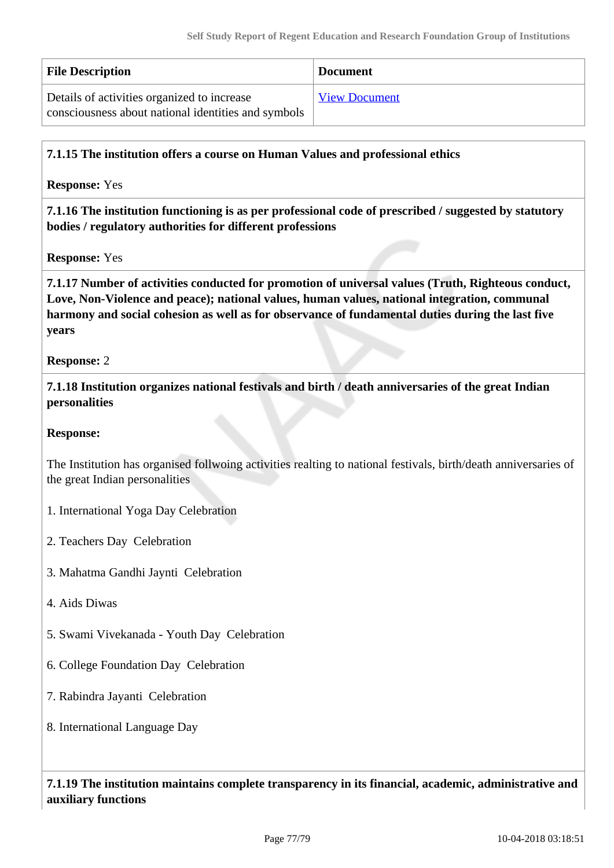| <b>File Description</b>                             | <b>Document</b>      |
|-----------------------------------------------------|----------------------|
| Details of activities organized to increase         | <b>View Document</b> |
| consciousness about national identities and symbols |                      |

### **7.1.15 The institution offers a course on Human Values and professional ethics**

**Response:** Yes

 **7.1.16 The institution functioning is as per professional code of prescribed / suggested by statutory bodies / regulatory authorities for different professions**

**Response:** Yes

 **7.1.17 Number of activities conducted for promotion of universal values (Truth, Righteous conduct, Love, Non-Violence and peace); national values, human values, national integration, communal harmony and social cohesion as well as for observance of fundamental duties during the last five years**

**Response:** 2

 **7.1.18 Institution organizes national festivals and birth / death anniversaries of the great Indian personalities**

**Response:** 

The Institution has organised follwoing activities realting to national festivals, birth/death anniversaries of the great Indian personalities

1. International Yoga Day Celebration

2. Teachers Day Celebration

3. Mahatma Gandhi Jaynti Celebration

4. Aids Diwas

5. Swami Vivekanada - Youth Day Celebration

6. College Foundation Day Celebration

7. Rabindra Jayanti Celebration

8. International Language Day

 **7.1.19 The institution maintains complete transparency in its financial, academic, administrative and auxiliary functions**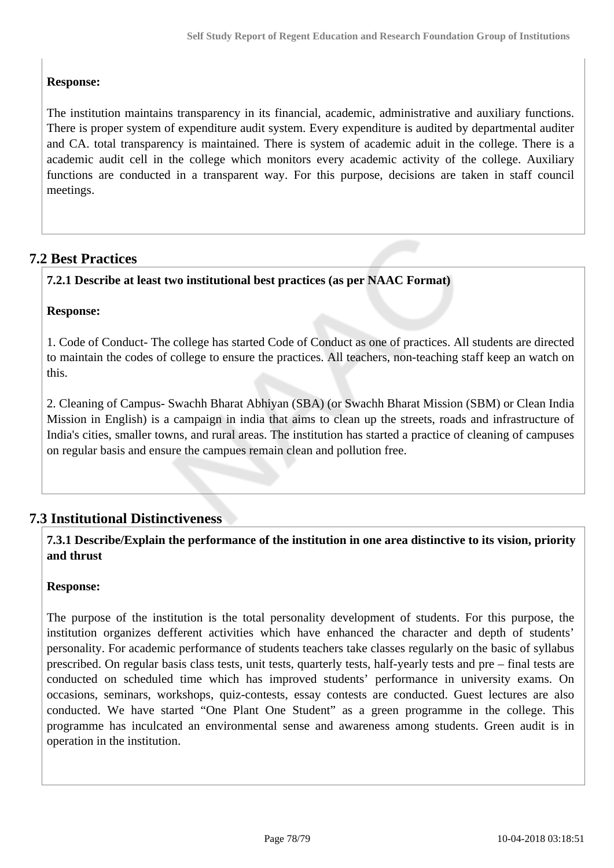# **Response:**

The institution maintains transparency in its financial, academic, administrative and auxiliary functions. There is proper system of expenditure audit system. Every expenditure is audited by departmental auditer and CA. total transparency is maintained. There is system of academic aduit in the college. There is a academic audit cell in the college which monitors every academic activity of the college. Auxiliary functions are conducted in a transparent way. For this purpose, decisions are taken in staff council meetings.

# **7.2 Best Practices**

# **7.2.1 Describe at least two institutional best practices (as per NAAC Format)**

# **Response:**

1. Code of Conduct- The college has started Code of Conduct as one of practices. All students are directed to maintain the codes of college to ensure the practices. All teachers, non-teaching staff keep an watch on this.

2. Cleaning of Campus- Swachh Bharat Abhiyan (SBA) (or Swachh Bharat Mission (SBM) or Clean India Mission in English) is a campaign in india that aims to clean up the streets, roads and infrastructure of India's cities, smaller towns, and rural areas. The institution has started a practice of cleaning of campuses on regular basis and ensure the campues remain clean and pollution free.

# **7.3 Institutional Distinctiveness**

 **7.3.1 Describe/Explain the performance of the institution in one area distinctive to its vision, priority and thrust**

### **Response:**

The purpose of the institution is the total personality development of students. For this purpose, the institution organizes defferent activities which have enhanced the character and depth of students' personality. For academic performance of students teachers take classes regularly on the basic of syllabus prescribed. On regular basis class tests, unit tests, quarterly tests, half-yearly tests and pre – final tests are conducted on scheduled time which has improved students' performance in university exams. On occasions, seminars, workshops, quiz-contests, essay contests are conducted. Guest lectures are also conducted. We have started "One Plant One Student" as a green programme in the college. This programme has inculcated an environmental sense and awareness among students. Green audit is in operation in the institution.